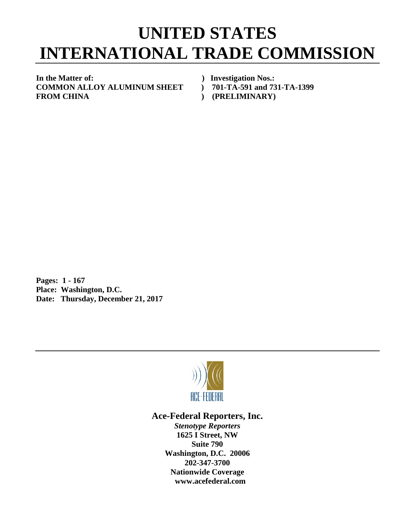## **UNITED STATES INTERNATIONAL TRADE COMMISSION**

**In the Matter of: ) Investigation Nos.: COMMON ALLOY ALUMINUM SHEET ) 701-TA-591 and 731-TA-1399** FROM CHINA (PRELIMINARY)

**Pages: 1 - 167 Place: Washington, D.C. Date: Thursday, December 21, 2017**



## **Ace-Federal Reporters, Inc.**

*Stenotype Reporters* **1625 I Street, NW Suite 790 Washington, D.C. 20006 202-347-3700 Nationwide Coverage www.acefederal.com**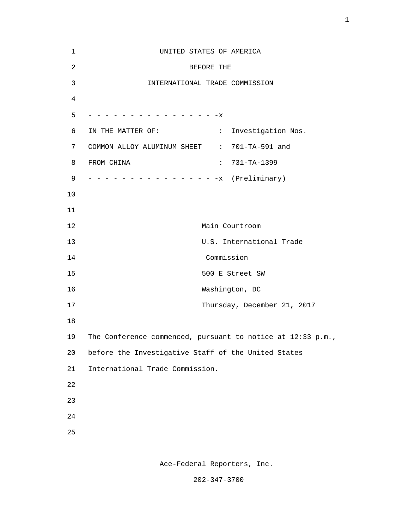| $\mathbf{1}$   | UNITED STATES OF AMERICA                                               |
|----------------|------------------------------------------------------------------------|
| $\overline{a}$ | BEFORE THE                                                             |
| 3              | INTERNATIONAL TRADE COMMISSION                                         |
| 4              |                                                                        |
| 5              | - - - - - - - - - - - - - - X                                          |
| 6              | $\mathcal{Z}^{\mathcal{A}}$<br>IN THE MATTER OF:<br>Investigation Nos. |
| 7              | COMMON ALLOY ALUMINUM SHEET : 701-TA-591 and                           |
| 8              | FROM CHINA<br>$\mathbb{Z}^{\times}$ .<br>731-TA-1399                   |
| 9              | - - - - - - - - - - - - - - - x (Preliminary)                          |
| 10             |                                                                        |
| 11             |                                                                        |
| 12             | Main Courtroom                                                         |
| 13             | U.S. International Trade                                               |
| 14             | Commission                                                             |
| 15             | 500 E Street SW                                                        |
| 16             | Washington, DC                                                         |
| 17             | Thursday, December 21, 2017                                            |
| 18             |                                                                        |
| 19             | The Conference commenced, pursuant to notice at $12:33$ p.m.,          |
| 20             | before the Investigative Staff of the United States                    |
| 21             | International Trade Commission.                                        |
| 22             |                                                                        |
| 23             |                                                                        |
| 24             |                                                                        |
| 25             |                                                                        |
|                |                                                                        |

Ace-Federal Reporters, Inc.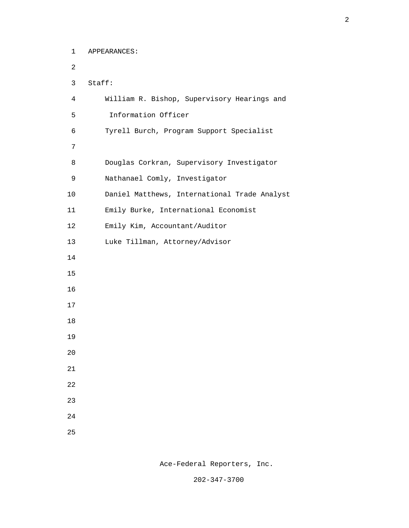1 APPEARANCES: 2 3 Staff: 4 William R. Bishop, Supervisory Hearings and 5 Information Officer 6 Tyrell Burch, Program Support Specialist 7 8 Douglas Corkran, Supervisory Investigator 9 Nathanael Comly, Investigator 10 Daniel Matthews, International Trade Analyst 11 Emily Burke, International Economist 12 Emily Kim, Accountant/Auditor 13 Luke Tillman, Attorney/Advisor 14 15 16 17 18 19 20 21 22 23 24 <u>25</u>

Ace-Federal Reporters, Inc.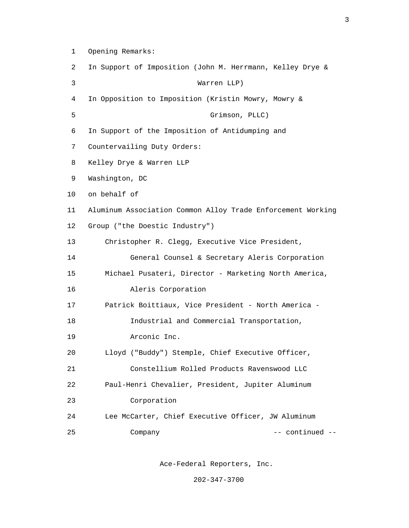- 1 Opening Remarks:
- 2 In Support of Imposition (John M. Herrmann, Kelley Drye &
- 3 Warren LLP)
- 4 In Opposition to Imposition (Kristin Mowry, Mowry &
- 5 Grimson, PLLC)
- 6 In Support of the Imposition of Antidumping and
- 7 Countervailing Duty Orders:
- 8 Kelley Drye & Warren LLP
- 9 Washington, DC
- 10 on behalf of
- 11 Aluminum Association Common Alloy Trade Enforcement Working 12 Group ("the Doestic Industry")
- 13 Christopher R. Clegg, Executive Vice President,
- 14 General Counsel & Secretary Aleris Corporation 15 Michael Pusateri, Director - Marketing North America, 16 Aleris Corporation
- 17 Patrick Boittiaux, Vice President North America -
- 18 Industrial and Commercial Transportation,
- 19 Arconic Inc.
- 20 Lloyd ("Buddy") Stemple, Chief Executive Officer,
- 21 Constellium Rolled Products Ravenswood LLC
- 22 Paul-Henri Chevalier, President, Jupiter Aluminum 23 Corporation
- 24 Lee McCarter, Chief Executive Officer, JW Aluminum 25 Company Company -- continued --

Ace-Federal Reporters, Inc.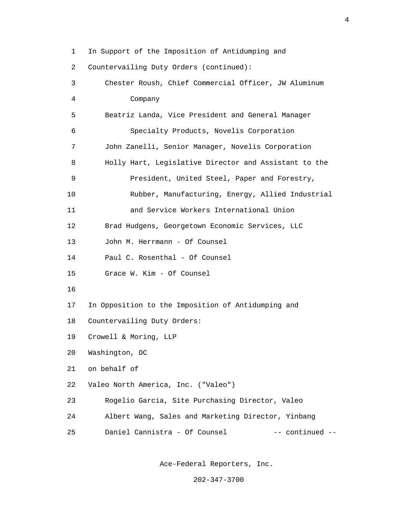1 In Support of the Imposition of Antidumping and 2 Countervailing Duty Orders (continued): 3 Chester Roush, Chief Commercial Officer, JW Aluminum 4 Company 5 Beatriz Landa, Vice President and General Manager 6 Specialty Products, Novelis Corporation 7 John Zanelli, Senior Manager, Novelis Corporation 8 Holly Hart, Legislative Director and Assistant to the 9 President, United Steel, Paper and Forestry, 10 Rubber, Manufacturing, Energy, Allied Industrial 11 and Service Workers International Union 12 Brad Hudgens, Georgetown Economic Services, LLC 13 John M. Herrmann - Of Counsel 14 Paul C. Rosenthal - Of Counsel 15 Grace W. Kim - Of Counsel 16 17 In Opposition to the Imposition of Antidumping and 18 Countervailing Duty Orders: 19 Crowell & Moring, LLP 20 Washington, DC 21 on behalf of 22 Valeo North America, Inc. ("Valeo") 23 Rogelio Garcia, Site Purchasing Director, Valeo 24 Albert Wang, Sales and Marketing Director, Yinbang 25 Daniel Cannistra - Of Counsel -- continued --

Ace-Federal Reporters, Inc.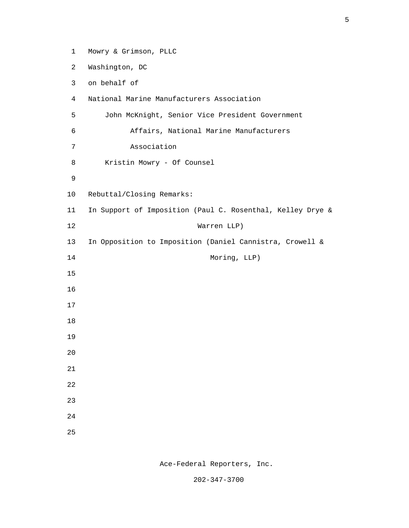1 Mowry & Grimson, PLLC 2 Washington, DC 3 on behalf of 4 National Marine Manufacturers Association 5 John McKnight, Senior Vice President Government 6 Affairs, National Marine Manufacturers 7 Association 8 Kristin Mowry - Of Counsel 9 10 Rebuttal/Closing Remarks: 11 In Support of Imposition (Paul C. Rosenthal, Kelley Drye & 12 Warren LLP) 13 In Opposition to Imposition (Daniel Cannistra, Crowell & 14 Moring, LLP) 15 16 17 18 19 20 21 22 23 24 <u>25</u>

Ace-Federal Reporters, Inc.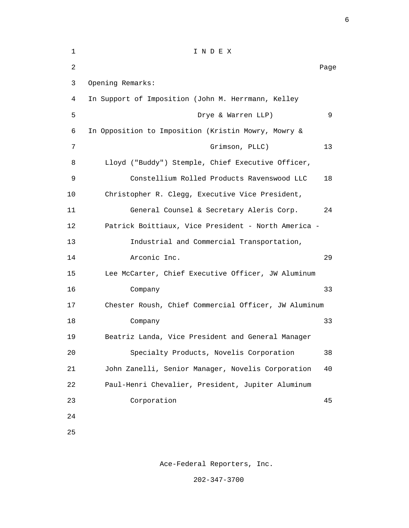| 1              | INDEX                                                |      |
|----------------|------------------------------------------------------|------|
| $\overline{a}$ |                                                      | Page |
| 3              | Opening Remarks:                                     |      |
| 4              | In Support of Imposition (John M. Herrmann, Kelley   |      |
| 5              | Drye & Warren LLP)                                   | 9    |
| 6              | In Opposition to Imposition (Kristin Mowry, Mowry &  |      |
| 7              | Grimson, PLLC)                                       | 13   |
| 8              | Lloyd ("Buddy") Stemple, Chief Executive Officer,    |      |
| 9              | Constellium Rolled Products Ravenswood LLC           | 18   |
| 10             | Christopher R. Clegg, Executive Vice President,      |      |
| 11             | General Counsel & Secretary Aleris Corp.             | 24   |
| 12             | Patrick Boittiaux, Vice President - North America -  |      |
| 13             | Industrial and Commercial Transportation,            |      |
| 14             | Arconic Inc.                                         | 29   |
| 15             | Lee McCarter, Chief Executive Officer, JW Aluminum   |      |
| 16             | Company                                              | 33   |
| 17             | Chester Roush, Chief Commercial Officer, JW Aluminum |      |
| 18             | Company                                              | 33   |
| 19             | Beatriz Landa, Vice President and General Manager    |      |
| 20             | Specialty Products, Novelis Corporation              | 38   |
| 21             | John Zanelli, Senior Manager, Novelis Corporation    | 40   |
| 22             | Paul-Henri Chevalier, President, Jupiter Aluminum    |      |
| 23             | Corporation                                          | 45   |
| 24             |                                                      |      |
| 25             |                                                      |      |

Ace-Federal Reporters, Inc.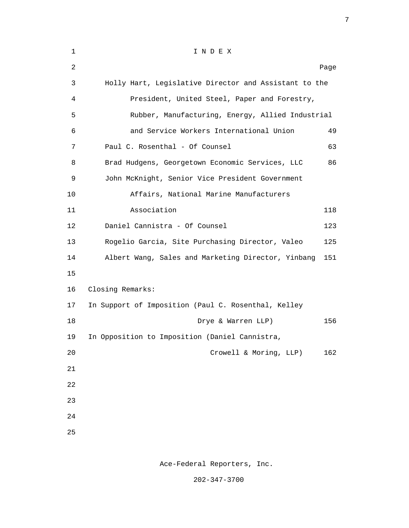| $\mathbf{1}$ | INDEX                                                 |      |
|--------------|-------------------------------------------------------|------|
| 2            |                                                       | Page |
| 3            | Holly Hart, Legislative Director and Assistant to the |      |
| 4            | President, United Steel, Paper and Forestry,          |      |
| 5            | Rubber, Manufacturing, Energy, Allied Industrial      |      |
| 6            | and Service Workers International Union               | 49   |
| 7            | Paul C. Rosenthal - Of Counsel                        | 63   |
| 8            | Brad Hudgens, Georgetown Economic Services, LLC       | 86   |
| 9            | John McKnight, Senior Vice President Government       |      |
| 10           | Affairs, National Marine Manufacturers                |      |
| 11           | Association                                           | 118  |
| 12           | Daniel Cannistra - Of Counsel                         | 123  |
| 13           | Rogelio Garcia, Site Purchasing Director, Valeo       | 125  |
| 14           | Albert Wang, Sales and Marketing Director, Yinbang    | 151  |
| 15           |                                                       |      |
| 16           | Closing Remarks:                                      |      |
| 17           | In Support of Imposition (Paul C. Rosenthal, Kelley   |      |
| 18           | Drye & Warren LLP)                                    | 156  |
| 19           | In Opposition to Imposition (Daniel Cannistra,        |      |
| 20           | Crowell & Moring, LLP)                                | 162  |
| 21           |                                                       |      |
| 22           |                                                       |      |
| 23           |                                                       |      |
| 24           |                                                       |      |
| 25           |                                                       |      |
|              |                                                       |      |

7

Ace-Federal Reporters, Inc.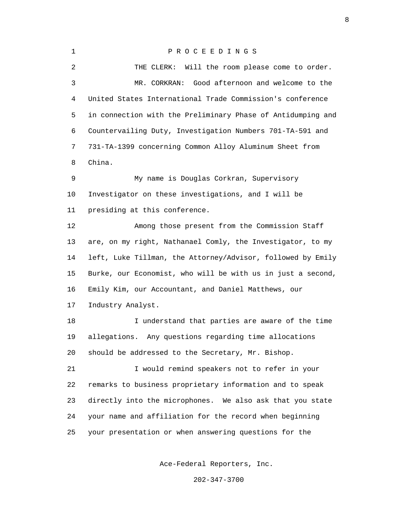1 P R O C E E D I N G S 2 THE CLERK: Will the room please come to order. 3 MR. CORKRAN: Good afternoon and welcome to the 4 United States International Trade Commission's conference 5 in connection with the Preliminary Phase of Antidumping and 6 Countervailing Duty, Investigation Numbers 701-TA-591 and 7 731-TA-1399 concerning Common Alloy Aluminum Sheet from 8 China. 9 My name is Douglas Corkran, Supervisory 10 Investigator on these investigations, and I will be 11 presiding at this conference. 12 Among those present from the Commission Staff 13 are, on my right, Nathanael Comly, the Investigator, to my 14 left, Luke Tillman, the Attorney/Advisor, followed by Emily 15 Burke, our Economist, who will be with us in just a second, 16 Emily Kim, our Accountant, and Daniel Matthews, our 17 Industry Analyst. 18 I understand that parties are aware of the time 19 allegations. Any questions regarding time allocations 20 should be addressed to the Secretary, Mr. Bishop. 21 I would remind speakers not to refer in your 22 remarks to business proprietary information and to speak 23 directly into the microphones. We also ask that you state 24 your name and affiliation for the record when beginning 25 your presentation or when answering questions for the

Ace-Federal Reporters, Inc.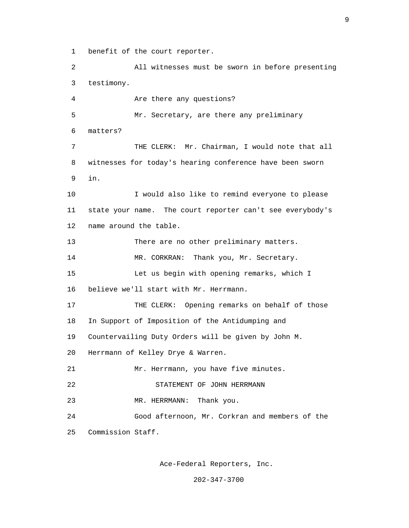1 benefit of the court reporter.

 2 All witnesses must be sworn in before presenting 3 testimony. 4 Are there any questions? 5 Mr. Secretary, are there any preliminary 6 matters? 7 THE CLERK: Mr. Chairman, I would note that all 8 witnesses for today's hearing conference have been sworn 9 in. 10 I would also like to remind everyone to please 11 state your name. The court reporter can't see everybody's 12 name around the table. 13 There are no other preliminary matters. 14 MR. CORKRAN: Thank you, Mr. Secretary. 15 Let us begin with opening remarks, which I 16 believe we'll start with Mr. Herrmann. 17 THE CLERK: Opening remarks on behalf of those 18 In Support of Imposition of the Antidumping and 19 Countervailing Duty Orders will be given by John M. 20 Herrmann of Kelley Drye & Warren. 21 Mr. Herrmann, you have five minutes. 22 STATEMENT OF JOHN HERRMANN 23 MR. HERRMANN: Thank you. 24 Good afternoon, Mr. Corkran and members of the 25 Commission Staff.

Ace-Federal Reporters, Inc.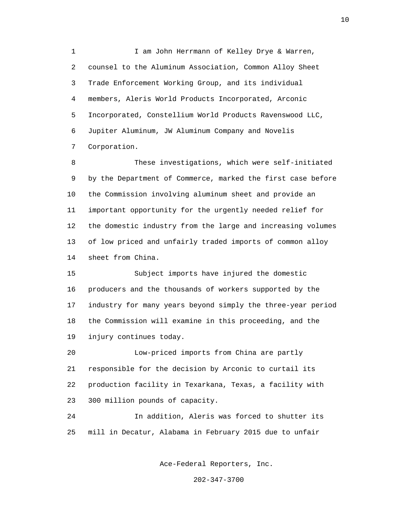1 I am John Herrmann of Kelley Drye & Warren, 2 counsel to the Aluminum Association, Common Alloy Sheet 3 Trade Enforcement Working Group, and its individual 4 members, Aleris World Products Incorporated, Arconic 5 Incorporated, Constellium World Products Ravenswood LLC, 6 Jupiter Aluminum, JW Aluminum Company and Novelis 7 Corporation.

 8 These investigations, which were self-initiated 9 by the Department of Commerce, marked the first case before 10 the Commission involving aluminum sheet and provide an 11 important opportunity for the urgently needed relief for 12 the domestic industry from the large and increasing volumes 13 of low priced and unfairly traded imports of common alloy 14 sheet from China.

 15 Subject imports have injured the domestic 16 producers and the thousands of workers supported by the 17 industry for many years beyond simply the three-year period 18 the Commission will examine in this proceeding, and the 19 injury continues today.

 20 Low-priced imports from China are partly 21 responsible for the decision by Arconic to curtail its 22 production facility in Texarkana, Texas, a facility with 23 300 million pounds of capacity.

 24 In addition, Aleris was forced to shutter its 25 mill in Decatur, Alabama in February 2015 due to unfair

Ace-Federal Reporters, Inc.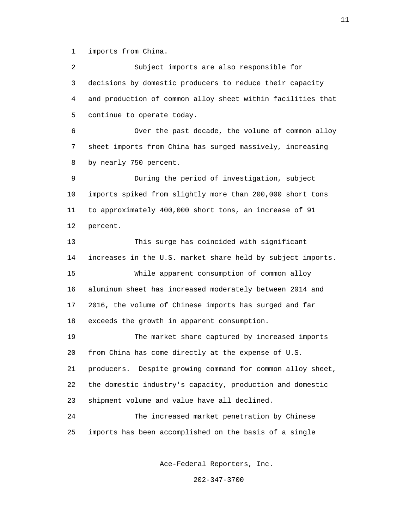1 imports from China.

 2 Subject imports are also responsible for 3 decisions by domestic producers to reduce their capacity 4 and production of common alloy sheet within facilities that 5 continue to operate today.

 6 Over the past decade, the volume of common alloy 7 sheet imports from China has surged massively, increasing 8 by nearly 750 percent.

 9 During the period of investigation, subject 10 imports spiked from slightly more than 200,000 short tons 11 to approximately 400,000 short tons, an increase of 91 12 percent.

 13 This surge has coincided with significant 14 increases in the U.S. market share held by subject imports. 15 While apparent consumption of common alloy 16 aluminum sheet has increased moderately between 2014 and 17 2016, the volume of Chinese imports has surged and far 18 exceeds the growth in apparent consumption.

 19 The market share captured by increased imports 20 from China has come directly at the expense of U.S. 21 producers. Despite growing command for common alloy sheet, 22 the domestic industry's capacity, production and domestic 23 shipment volume and value have all declined.

 24 The increased market penetration by Chinese 25 imports has been accomplished on the basis of a single

Ace-Federal Reporters, Inc.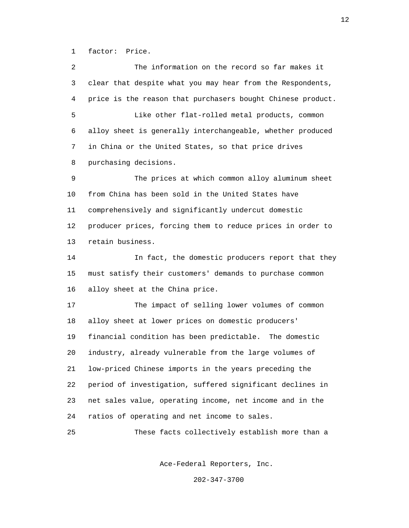1 factor: Price.

 2 The information on the record so far makes it 3 clear that despite what you may hear from the Respondents, 4 price is the reason that purchasers bought Chinese product. 5 Like other flat-rolled metal products, common 6 alloy sheet is generally interchangeable, whether produced 7 in China or the United States, so that price drives 8 purchasing decisions. 9 The prices at which common alloy aluminum sheet 10 from China has been sold in the United States have 11 comprehensively and significantly undercut domestic 12 producer prices, forcing them to reduce prices in order to 13 retain business. 14 In fact, the domestic producers report that they 15 must satisfy their customers' demands to purchase common 16 alloy sheet at the China price. 17 The impact of selling lower volumes of common 18 alloy sheet at lower prices on domestic producers' 19 financial condition has been predictable. The domestic 20 industry, already vulnerable from the large volumes of 21 low-priced Chinese imports in the years preceding the 22 period of investigation, suffered significant declines in 23 net sales value, operating income, net income and in the 24 ratios of operating and net income to sales. 25 These facts collectively establish more than a

Ace-Federal Reporters, Inc.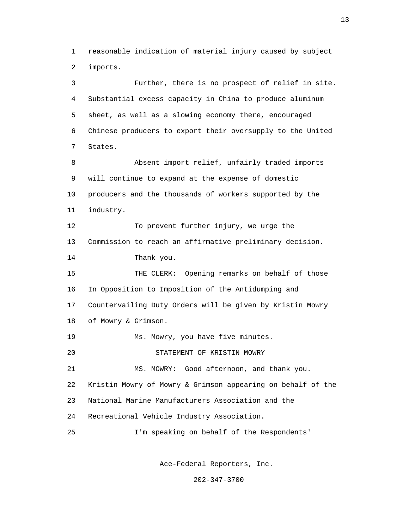1 reasonable indication of material injury caused by subject 2 imports.

 3 Further, there is no prospect of relief in site. 4 Substantial excess capacity in China to produce aluminum 5 sheet, as well as a slowing economy there, encouraged 6 Chinese producers to export their oversupply to the United 7 States. 8 Absent import relief, unfairly traded imports 9 will continue to expand at the expense of domestic 10 producers and the thousands of workers supported by the 11 industry. 12 To prevent further injury, we urge the 13 Commission to reach an affirmative preliminary decision. 14 Thank you. 15 THE CLERK: Opening remarks on behalf of those 16 In Opposition to Imposition of the Antidumping and 17 Countervailing Duty Orders will be given by Kristin Mowry 18 of Mowry & Grimson. 19 Ms. Mowry, you have five minutes. 20 STATEMENT OF KRISTIN MOWRY 21 MS. MOWRY: Good afternoon, and thank you. 22 Kristin Mowry of Mowry & Grimson appearing on behalf of the 23 National Marine Manufacturers Association and the 24 Recreational Vehicle Industry Association. 25 I'm speaking on behalf of the Respondents'

Ace-Federal Reporters, Inc.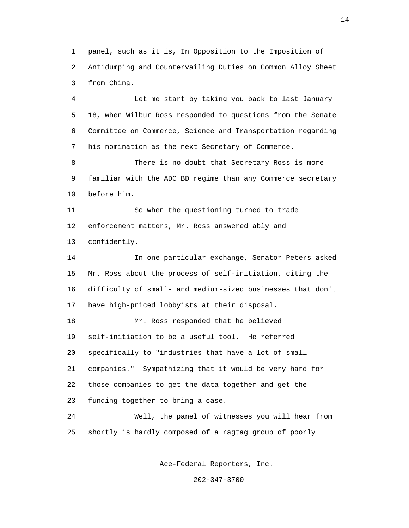1 panel, such as it is, In Opposition to the Imposition of 2 Antidumping and Countervailing Duties on Common Alloy Sheet 3 from China.

 4 Let me start by taking you back to last January 5 18, when Wilbur Ross responded to questions from the Senate 6 Committee on Commerce, Science and Transportation regarding 7 his nomination as the next Secretary of Commerce.

 8 There is no doubt that Secretary Ross is more 9 familiar with the ADC BD regime than any Commerce secretary 10 before him.

 11 So when the questioning turned to trade 12 enforcement matters, Mr. Ross answered ably and 13 confidently.

 14 In one particular exchange, Senator Peters asked 15 Mr. Ross about the process of self-initiation, citing the 16 difficulty of small- and medium-sized businesses that don't 17 have high-priced lobbyists at their disposal.

 18 Mr. Ross responded that he believed 19 self-initiation to be a useful tool. He referred 20 specifically to "industries that have a lot of small 21 companies." Sympathizing that it would be very hard for 22 those companies to get the data together and get the 23 funding together to bring a case.

 24 Well, the panel of witnesses you will hear from 25 shortly is hardly composed of a ragtag group of poorly

Ace-Federal Reporters, Inc.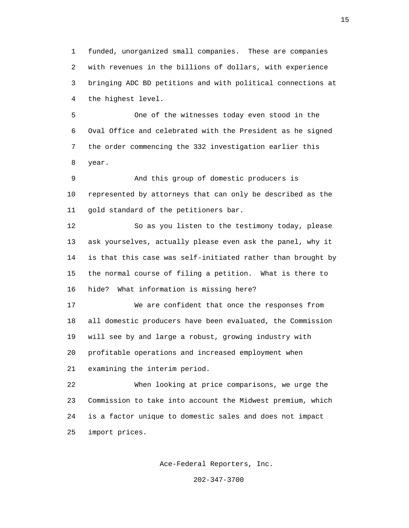1 funded, unorganized small companies. These are companies 2 with revenues in the billions of dollars, with experience 3 bringing ADC BD petitions and with political connections at 4 the highest level.

 5 One of the witnesses today even stood in the 6 Oval Office and celebrated with the President as he signed 7 the order commencing the 332 investigation earlier this 8 year.

 9 And this group of domestic producers is 10 represented by attorneys that can only be described as the 11 gold standard of the petitioners bar.

 12 So as you listen to the testimony today, please 13 ask yourselves, actually please even ask the panel, why it 14 is that this case was self-initiated rather than brought by 15 the normal course of filing a petition. What is there to 16 hide? What information is missing here?

 17 We are confident that once the responses from 18 all domestic producers have been evaluated, the Commission 19 will see by and large a robust, growing industry with 20 profitable operations and increased employment when 21 examining the interim period.

 22 When looking at price comparisons, we urge the 23 Commission to take into account the Midwest premium, which 24 is a factor unique to domestic sales and does not impact 25 import prices.

Ace-Federal Reporters, Inc.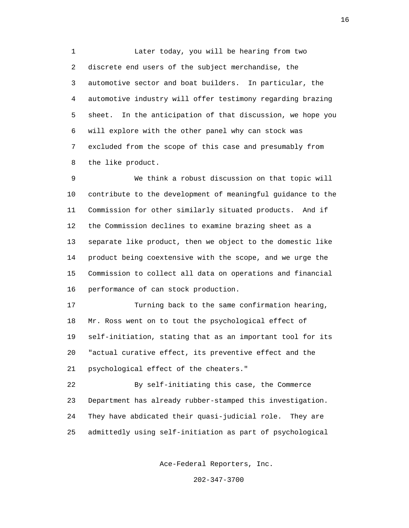1 Later today, you will be hearing from two 2 discrete end users of the subject merchandise, the 3 automotive sector and boat builders. In particular, the 4 automotive industry will offer testimony regarding brazing 5 sheet. In the anticipation of that discussion, we hope you 6 will explore with the other panel why can stock was 7 excluded from the scope of this case and presumably from 8 the like product.

 9 We think a robust discussion on that topic will 10 contribute to the development of meaningful guidance to the 11 Commission for other similarly situated products. And if 12 the Commission declines to examine brazing sheet as a 13 separate like product, then we object to the domestic like 14 product being coextensive with the scope, and we urge the 15 Commission to collect all data on operations and financial 16 performance of can stock production.

 17 Turning back to the same confirmation hearing, 18 Mr. Ross went on to tout the psychological effect of 19 self-initiation, stating that as an important tool for its 20 "actual curative effect, its preventive effect and the 21 psychological effect of the cheaters."

 22 By self-initiating this case, the Commerce 23 Department has already rubber-stamped this investigation. 24 They have abdicated their quasi-judicial role. They are 25 admittedly using self-initiation as part of psychological

Ace-Federal Reporters, Inc.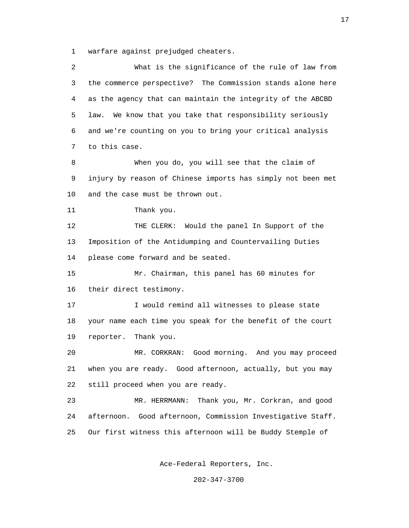1 warfare against prejudged cheaters.

| 2  | What is the significance of the rule of law from            |
|----|-------------------------------------------------------------|
| 3  | the commerce perspective? The Commission stands alone here  |
| 4  | as the agency that can maintain the integrity of the ABCBD  |
| 5  | We know that you take that responsibility seriously<br>law. |
| 6  | and we're counting on you to bring your critical analysis   |
| 7  | to this case.                                               |
| 8  | When you do, you will see that the claim of                 |
| 9  | injury by reason of Chinese imports has simply not been met |
| 10 | and the case must be thrown out.                            |
| 11 | Thank you.                                                  |
| 12 | THE CLERK: Would the panel In Support of the                |
| 13 | Imposition of the Antidumping and Countervailing Duties     |
| 14 | please come forward and be seated.                          |
| 15 | Mr. Chairman, this panel has 60 minutes for                 |
| 16 | their direct testimony.                                     |
| 17 | I would remind all witnesses to please state                |
| 18 | your name each time you speak for the benefit of the court  |
| 19 | reporter.<br>Thank you.                                     |
| 20 | Good morning. And you may proceed<br>MR. CORKRAN:           |
| 21 | when you are ready. Good afternoon, actually, but you may   |
| 22 | still proceed when you are ready.                           |
| 23 | Thank you, Mr. Corkran, and good<br>MR. HERRMANN:           |
| 24 | afternoon. Good afternoon, Commission Investigative Staff.  |
| 25 | Our first witness this afternoon will be Buddy Stemple of   |
|    |                                                             |

Ace-Federal Reporters, Inc.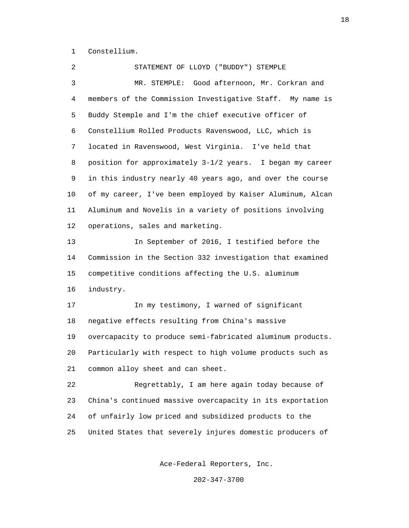1 Constellium.

 2 STATEMENT OF LLOYD ("BUDDY") STEMPLE 3 MR. STEMPLE: Good afternoon, Mr. Corkran and 4 members of the Commission Investigative Staff. My name is 5 Buddy Stemple and I'm the chief executive officer of 6 Constellium Rolled Products Ravenswood, LLC, which is 7 located in Ravenswood, West Virginia. I've held that 8 position for approximately 3-1/2 years. I began my career 9 in this industry nearly 40 years ago, and over the course 10 of my career, I've been employed by Kaiser Aluminum, Alcan 11 Aluminum and Novelis in a variety of positions involving 12 operations, sales and marketing. 13 In September of 2016, I testified before the 14 Commission in the Section 332 investigation that examined 15 competitive conditions affecting the U.S. aluminum 16 industry. 17 In my testimony, I warned of significant 18 negative effects resulting from China's massive 19 overcapacity to produce semi-fabricated aluminum products. 20 Particularly with respect to high volume products such as 21 common alloy sheet and can sheet. 22 Regrettably, I am here again today because of 23 China's continued massive overcapacity in its exportation 24 of unfairly low priced and subsidized products to the 25 United States that severely injures domestic producers of

Ace-Federal Reporters, Inc.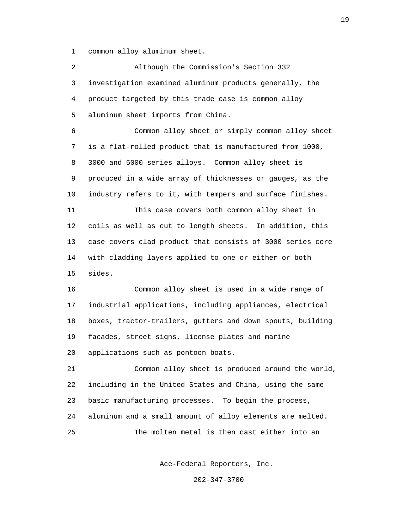1 common alloy aluminum sheet.

 2 Although the Commission's Section 332 3 investigation examined aluminum products generally, the 4 product targeted by this trade case is common alloy 5 aluminum sheet imports from China. 6 Common alloy sheet or simply common alloy sheet 7 is a flat-rolled product that is manufactured from 1000, 8 3000 and 5000 series alloys. Common alloy sheet is 9 produced in a wide array of thicknesses or gauges, as the 10 industry refers to it, with tempers and surface finishes. 11 This case covers both common alloy sheet in 12 coils as well as cut to length sheets. In addition, this 13 case covers clad product that consists of 3000 series core 14 with cladding layers applied to one or either or both 15 sides. 16 Common alloy sheet is used in a wide range of 17 industrial applications, including appliances, electrical 18 boxes, tractor-trailers, gutters and down spouts, building 19 facades, street signs, license plates and marine 20 applications such as pontoon boats. 21 Common alloy sheet is produced around the world, 22 including in the United States and China, using the same 23 basic manufacturing processes. To begin the process, 24 aluminum and a small amount of alloy elements are melted. 25 The molten metal is then cast either into an

Ace-Federal Reporters, Inc.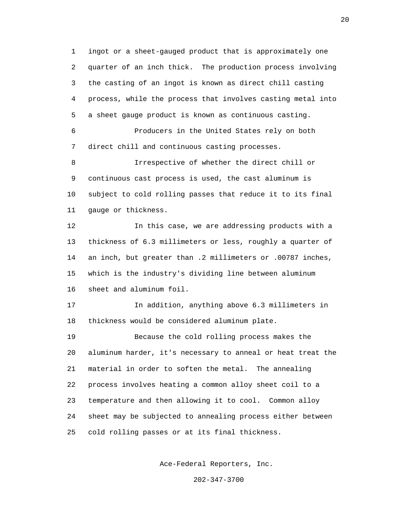1 ingot or a sheet-gauged product that is approximately one 2 quarter of an inch thick. The production process involving 3 the casting of an ingot is known as direct chill casting 4 process, while the process that involves casting metal into 5 a sheet gauge product is known as continuous casting.

 6 Producers in the United States rely on both 7 direct chill and continuous casting processes.

 8 Irrespective of whether the direct chill or 9 continuous cast process is used, the cast aluminum is 10 subject to cold rolling passes that reduce it to its final 11 gauge or thickness.

 12 In this case, we are addressing products with a 13 thickness of 6.3 millimeters or less, roughly a quarter of 14 an inch, but greater than .2 millimeters or .00787 inches, 15 which is the industry's dividing line between aluminum 16 sheet and aluminum foil.

 17 In addition, anything above 6.3 millimeters in 18 thickness would be considered aluminum plate.

 19 Because the cold rolling process makes the 20 aluminum harder, it's necessary to anneal or heat treat the 21 material in order to soften the metal. The annealing 22 process involves heating a common alloy sheet coil to a 23 temperature and then allowing it to cool. Common alloy 24 sheet may be subjected to annealing process either between 25 cold rolling passes or at its final thickness.

Ace-Federal Reporters, Inc.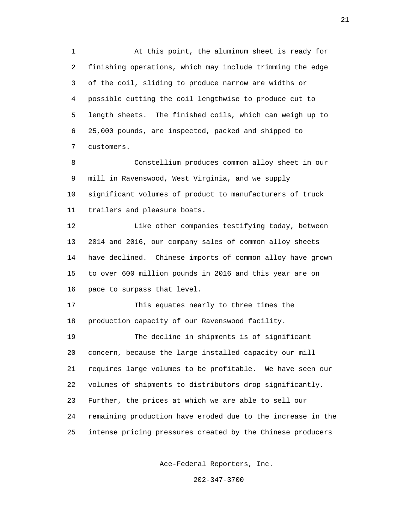1 At this point, the aluminum sheet is ready for 2 finishing operations, which may include trimming the edge 3 of the coil, sliding to produce narrow are widths or 4 possible cutting the coil lengthwise to produce cut to 5 length sheets. The finished coils, which can weigh up to 6 25,000 pounds, are inspected, packed and shipped to 7 customers.

 8 Constellium produces common alloy sheet in our 9 mill in Ravenswood, West Virginia, and we supply 10 significant volumes of product to manufacturers of truck 11 trailers and pleasure boats.

 12 Like other companies testifying today, between 13 2014 and 2016, our company sales of common alloy sheets 14 have declined. Chinese imports of common alloy have grown 15 to over 600 million pounds in 2016 and this year are on 16 pace to surpass that level.

 17 This equates nearly to three times the 18 production capacity of our Ravenswood facility.

 19 The decline in shipments is of significant 20 concern, because the large installed capacity our mill 21 requires large volumes to be profitable. We have seen our 22 volumes of shipments to distributors drop significantly. 23 Further, the prices at which we are able to sell our 24 remaining production have eroded due to the increase in the 25 intense pricing pressures created by the Chinese producers

Ace-Federal Reporters, Inc.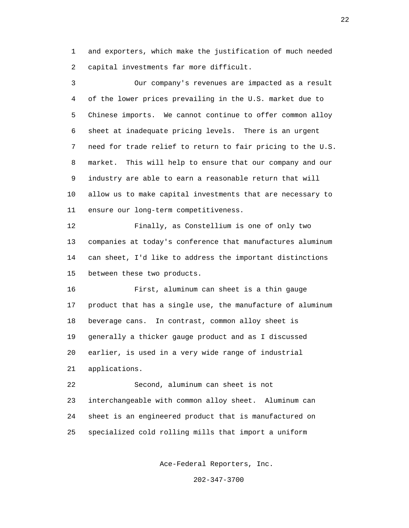1 and exporters, which make the justification of much needed 2 capital investments far more difficult.

 3 Our company's revenues are impacted as a result 4 of the lower prices prevailing in the U.S. market due to 5 Chinese imports. We cannot continue to offer common alloy 6 sheet at inadequate pricing levels. There is an urgent 7 need for trade relief to return to fair pricing to the U.S. 8 market. This will help to ensure that our company and our 9 industry are able to earn a reasonable return that will 10 allow us to make capital investments that are necessary to 11 ensure our long-term competitiveness. 12 Finally, as Constellium is one of only two

 13 companies at today's conference that manufactures aluminum 14 can sheet, I'd like to address the important distinctions 15 between these two products.

 16 First, aluminum can sheet is a thin gauge 17 product that has a single use, the manufacture of aluminum 18 beverage cans. In contrast, common alloy sheet is 19 generally a thicker gauge product and as I discussed 20 earlier, is used in a very wide range of industrial 21 applications.

 22 Second, aluminum can sheet is not 23 interchangeable with common alloy sheet. Aluminum can 24 sheet is an engineered product that is manufactured on 25 specialized cold rolling mills that import a uniform

Ace-Federal Reporters, Inc.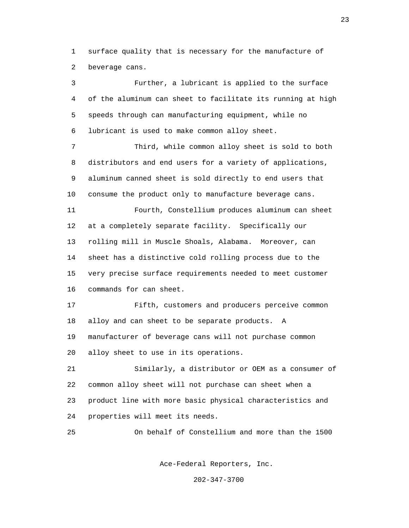1 surface quality that is necessary for the manufacture of 2 beverage cans.

 3 Further, a lubricant is applied to the surface 4 of the aluminum can sheet to facilitate its running at high 5 speeds through can manufacturing equipment, while no 6 lubricant is used to make common alloy sheet. 7 Third, while common alloy sheet is sold to both 8 distributors and end users for a variety of applications, 9 aluminum canned sheet is sold directly to end users that 10 consume the product only to manufacture beverage cans. 11 Fourth, Constellium produces aluminum can sheet 12 at a completely separate facility. Specifically our 13 rolling mill in Muscle Shoals, Alabama. Moreover, can 14 sheet has a distinctive cold rolling process due to the 15 very precise surface requirements needed to meet customer 16 commands for can sheet. 17 Fifth, customers and producers perceive common 18 alloy and can sheet to be separate products. A 19 manufacturer of beverage cans will not purchase common 20 alloy sheet to use in its operations. 21 Similarly, a distributor or OEM as a consumer of 22 common alloy sheet will not purchase can sheet when a 23 product line with more basic physical characteristics and 24 properties will meet its needs. 25 On behalf of Constellium and more than the 1500

Ace-Federal Reporters, Inc.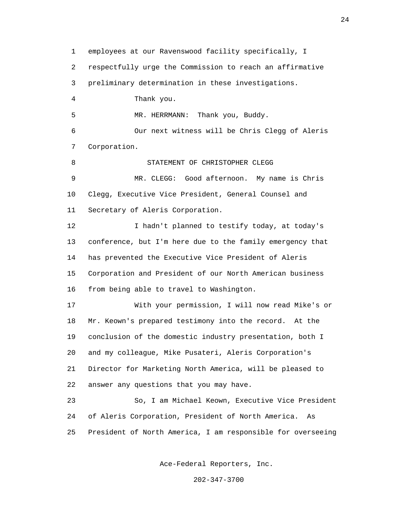1 employees at our Ravenswood facility specifically, I 2 respectfully urge the Commission to reach an affirmative 3 preliminary determination in these investigations. 4 Thank you. 5 MR. HERRMANN: Thank you, Buddy. 6 Our next witness will be Chris Clegg of Aleris 7 Corporation. 8 STATEMENT OF CHRISTOPHER CLEGG 9 MR. CLEGG: Good afternoon. My name is Chris 10 Clegg, Executive Vice President, General Counsel and 11 Secretary of Aleris Corporation. 12 I hadn't planned to testify today, at today's 13 conference, but I'm here due to the family emergency that 14 has prevented the Executive Vice President of Aleris 15 Corporation and President of our North American business 16 from being able to travel to Washington. 17 With your permission, I will now read Mike's or 18 Mr. Keown's prepared testimony into the record. At the 19 conclusion of the domestic industry presentation, both I 20 and my colleague, Mike Pusateri, Aleris Corporation's 21 Director for Marketing North America, will be pleased to 22 answer any questions that you may have. 23 So, I am Michael Keown, Executive Vice President 24 of Aleris Corporation, President of North America. As 25 President of North America, I am responsible for overseeing

Ace-Federal Reporters, Inc.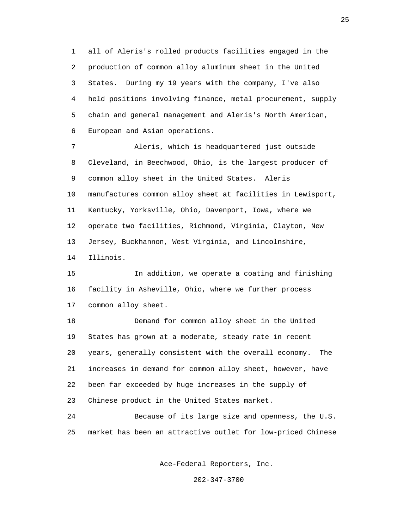1 all of Aleris's rolled products facilities engaged in the 2 production of common alloy aluminum sheet in the United 3 States. During my 19 years with the company, I've also 4 held positions involving finance, metal procurement, supply 5 chain and general management and Aleris's North American, 6 European and Asian operations.

 7 Aleris, which is headquartered just outside 8 Cleveland, in Beechwood, Ohio, is the largest producer of 9 common alloy sheet in the United States. Aleris 10 manufactures common alloy sheet at facilities in Lewisport, 11 Kentucky, Yorksville, Ohio, Davenport, Iowa, where we 12 operate two facilities, Richmond, Virginia, Clayton, New 13 Jersey, Buckhannon, West Virginia, and Lincolnshire, 14 Illinois.

 15 In addition, we operate a coating and finishing 16 facility in Asheville, Ohio, where we further process 17 common alloy sheet.

 18 Demand for common alloy sheet in the United 19 States has grown at a moderate, steady rate in recent 20 years, generally consistent with the overall economy. The 21 increases in demand for common alloy sheet, however, have 22 been far exceeded by huge increases in the supply of 23 Chinese product in the United States market.

 24 Because of its large size and openness, the U.S. 25 market has been an attractive outlet for low-priced Chinese

Ace-Federal Reporters, Inc.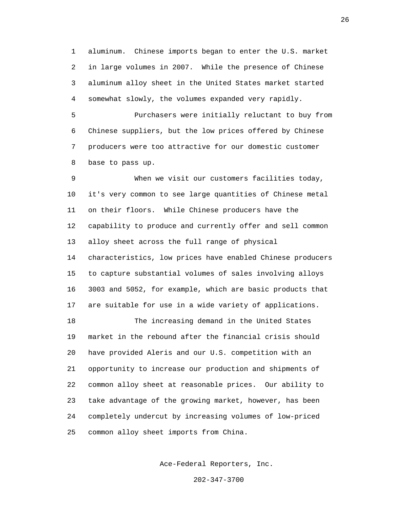1 aluminum. Chinese imports began to enter the U.S. market 2 in large volumes in 2007. While the presence of Chinese 3 aluminum alloy sheet in the United States market started 4 somewhat slowly, the volumes expanded very rapidly.

 5 Purchasers were initially reluctant to buy from 6 Chinese suppliers, but the low prices offered by Chinese 7 producers were too attractive for our domestic customer 8 base to pass up.

 9 When we visit our customers facilities today, 10 it's very common to see large quantities of Chinese metal 11 on their floors. While Chinese producers have the 12 capability to produce and currently offer and sell common 13 alloy sheet across the full range of physical 14 characteristics, low prices have enabled Chinese producers 15 to capture substantial volumes of sales involving alloys 16 3003 and 5052, for example, which are basic products that 17 are suitable for use in a wide variety of applications.

 18 The increasing demand in the United States 19 market in the rebound after the financial crisis should 20 have provided Aleris and our U.S. competition with an 21 opportunity to increase our production and shipments of 22 common alloy sheet at reasonable prices. Our ability to 23 take advantage of the growing market, however, has been 24 completely undercut by increasing volumes of low-priced 25 common alloy sheet imports from China.

Ace-Federal Reporters, Inc.

202-347-3700

 $26$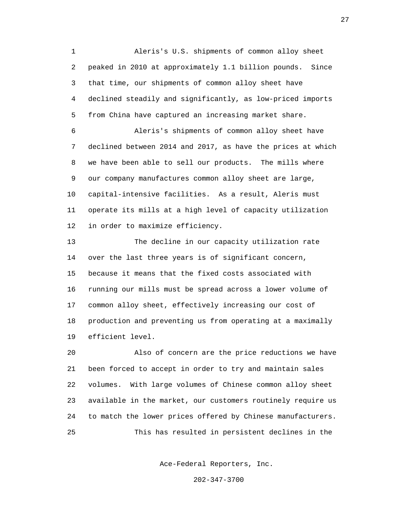1 Aleris's U.S. shipments of common alloy sheet 2 peaked in 2010 at approximately 1.1 billion pounds. Since 3 that time, our shipments of common alloy sheet have 4 declined steadily and significantly, as low-priced imports 5 from China have captured an increasing market share.

 6 Aleris's shipments of common alloy sheet have 7 declined between 2014 and 2017, as have the prices at which 8 we have been able to sell our products. The mills where 9 our company manufactures common alloy sheet are large, 10 capital-intensive facilities. As a result, Aleris must 11 operate its mills at a high level of capacity utilization 12 in order to maximize efficiency.

 13 The decline in our capacity utilization rate 14 over the last three years is of significant concern, 15 because it means that the fixed costs associated with 16 running our mills must be spread across a lower volume of 17 common alloy sheet, effectively increasing our cost of 18 production and preventing us from operating at a maximally 19 efficient level.

 20 Also of concern are the price reductions we have 21 been forced to accept in order to try and maintain sales 22 volumes. With large volumes of Chinese common alloy sheet 23 available in the market, our customers routinely require us 24 to match the lower prices offered by Chinese manufacturers. 25 This has resulted in persistent declines in the

Ace-Federal Reporters, Inc.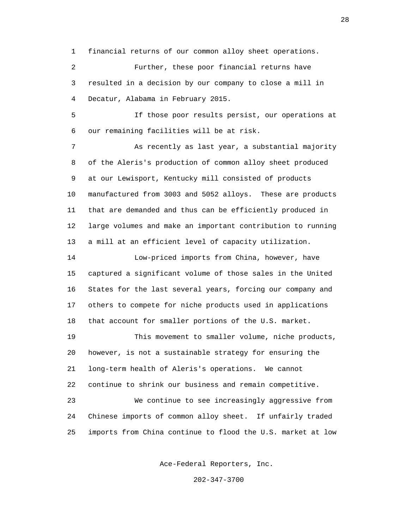1 financial returns of our common alloy sheet operations.

 2 Further, these poor financial returns have 3 resulted in a decision by our company to close a mill in 4 Decatur, Alabama in February 2015.

 5 If those poor results persist, our operations at 6 our remaining facilities will be at risk.

 7 As recently as last year, a substantial majority 8 of the Aleris's production of common alloy sheet produced 9 at our Lewisport, Kentucky mill consisted of products 10 manufactured from 3003 and 5052 alloys. These are products 11 that are demanded and thus can be efficiently produced in 12 large volumes and make an important contribution to running 13 a mill at an efficient level of capacity utilization.

 14 Low-priced imports from China, however, have 15 captured a significant volume of those sales in the United 16 States for the last several years, forcing our company and 17 others to compete for niche products used in applications 18 that account for smaller portions of the U.S. market.

 19 This movement to smaller volume, niche products, 20 however, is not a sustainable strategy for ensuring the 21 long-term health of Aleris's operations. We cannot 22 continue to shrink our business and remain competitive. 23 We continue to see increasingly aggressive from 24 Chinese imports of common alloy sheet. If unfairly traded

25 imports from China continue to flood the U.S. market at low

Ace-Federal Reporters, Inc.

202-347-3700

en de la construction de la construction de la construction de la construction de la construction de la constr<br>28 de juny : la construction de la construction de la construction de la construction de la construction de la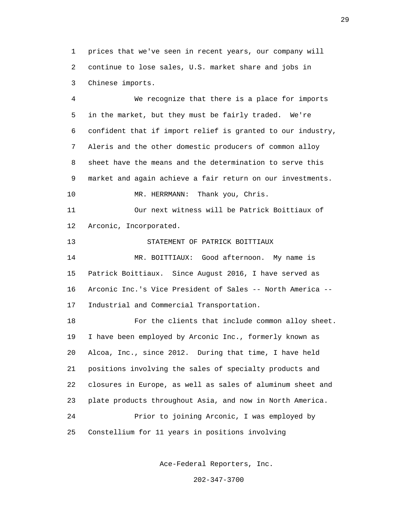1 prices that we've seen in recent years, our company will 2 continue to lose sales, U.S. market share and jobs in 3 Chinese imports.

 4 We recognize that there is a place for imports 5 in the market, but they must be fairly traded. We're 6 confident that if import relief is granted to our industry, 7 Aleris and the other domestic producers of common alloy 8 sheet have the means and the determination to serve this 9 market and again achieve a fair return on our investments. 10 MR. HERRMANN: Thank you, Chris. 11 Our next witness will be Patrick Boittiaux of 12 Arconic, Incorporated. 13 STATEMENT OF PATRICK BOITTIAUX 14 MR. BOITTIAUX: Good afternoon. My name is 15 Patrick Boittiaux. Since August 2016, I have served as 16 Arconic Inc.'s Vice President of Sales -- North America -- 17 Industrial and Commercial Transportation. 18 For the clients that include common alloy sheet. 19 I have been employed by Arconic Inc., formerly known as 20 Alcoa, Inc., since 2012. During that time, I have held 21 positions involving the sales of specialty products and 22 closures in Europe, as well as sales of aluminum sheet and 23 plate products throughout Asia, and now in North America. 24 Prior to joining Arconic, I was employed by 25 Constellium for 11 years in positions involving

Ace-Federal Reporters, Inc.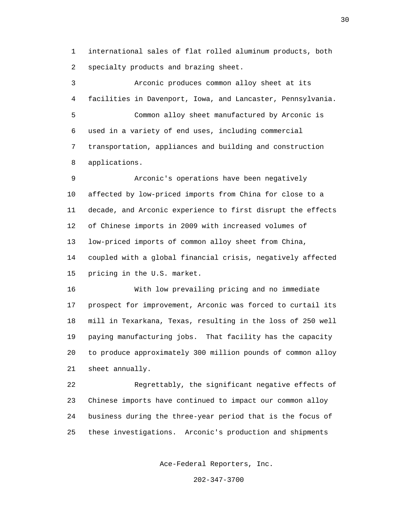1 international sales of flat rolled aluminum products, both 2 specialty products and brazing sheet.

 3 Arconic produces common alloy sheet at its 4 facilities in Davenport, Iowa, and Lancaster, Pennsylvania. 5 Common alloy sheet manufactured by Arconic is 6 used in a variety of end uses, including commercial 7 transportation, appliances and building and construction 8 applications.

 9 Arconic's operations have been negatively 10 affected by low-priced imports from China for close to a 11 decade, and Arconic experience to first disrupt the effects 12 of Chinese imports in 2009 with increased volumes of 13 low-priced imports of common alloy sheet from China, 14 coupled with a global financial crisis, negatively affected 15 pricing in the U.S. market.

 16 With low prevailing pricing and no immediate 17 prospect for improvement, Arconic was forced to curtail its 18 mill in Texarkana, Texas, resulting in the loss of 250 well 19 paying manufacturing jobs. That facility has the capacity 20 to produce approximately 300 million pounds of common alloy 21 sheet annually.

 22 Regrettably, the significant negative effects of 23 Chinese imports have continued to impact our common alloy 24 business during the three-year period that is the focus of 25 these investigations. Arconic's production and shipments

Ace-Federal Reporters, Inc.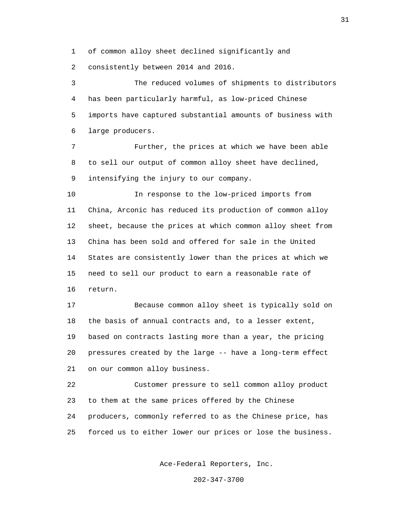1 of common alloy sheet declined significantly and

2 consistently between 2014 and 2016.

 3 The reduced volumes of shipments to distributors 4 has been particularly harmful, as low-priced Chinese 5 imports have captured substantial amounts of business with 6 large producers.

 7 Further, the prices at which we have been able 8 to sell our output of common alloy sheet have declined, 9 intensifying the injury to our company.

 10 In response to the low-priced imports from 11 China, Arconic has reduced its production of common alloy 12 sheet, because the prices at which common alloy sheet from 13 China has been sold and offered for sale in the United 14 States are consistently lower than the prices at which we 15 need to sell our product to earn a reasonable rate of 16 return.

 17 Because common alloy sheet is typically sold on 18 the basis of annual contracts and, to a lesser extent, 19 based on contracts lasting more than a year, the pricing 20 pressures created by the large -- have a long-term effect 21 on our common alloy business.

 22 Customer pressure to sell common alloy product 23 to them at the same prices offered by the Chinese 24 producers, commonly referred to as the Chinese price, has 25 forced us to either lower our prices or lose the business.

Ace-Federal Reporters, Inc.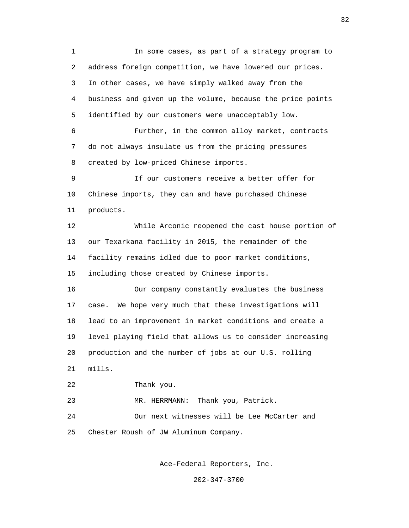1 In some cases, as part of a strategy program to 2 address foreign competition, we have lowered our prices. 3 In other cases, we have simply walked away from the 4 business and given up the volume, because the price points 5 identified by our customers were unacceptably low. 6 Further, in the common alloy market, contracts 7 do not always insulate us from the pricing pressures 8 created by low-priced Chinese imports. 9 If our customers receive a better offer for 10 Chinese imports, they can and have purchased Chinese 11 products. 12 While Arconic reopened the cast house portion of 13 our Texarkana facility in 2015, the remainder of the 14 facility remains idled due to poor market conditions, 15 including those created by Chinese imports. 16 Our company constantly evaluates the business 17 case. We hope very much that these investigations will 18 lead to an improvement in market conditions and create a 19 level playing field that allows us to consider increasing 20 production and the number of jobs at our U.S. rolling 21 mills. 22 Thank you. 23 MR. HERRMANN: Thank you, Patrick. 24 Our next witnesses will be Lee McCarter and 25 Chester Roush of JW Aluminum Company.

Ace-Federal Reporters, Inc.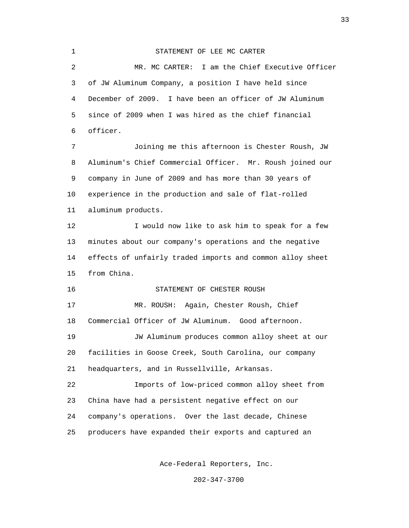| $\mathbf 1$ | STATEMENT OF LEE MC CARTER                                |
|-------------|-----------------------------------------------------------|
| 2           | MR. MC CARTER: I am the Chief Executive Officer           |
| 3           | of JW Aluminum Company, a position I have held since      |
| 4           | December of 2009. I have been an officer of JW Aluminum   |
| 5           | since of 2009 when I was hired as the chief financial     |
| 6           | officer.                                                  |
| 7           | Joining me this afternoon is Chester Roush, JW            |
| 8           | Aluminum's Chief Commercial Officer. Mr. Roush joined our |
| 9           | company in June of 2009 and has more than 30 years of     |
| 10          | experience in the production and sale of flat-rolled      |
| 11          | aluminum products.                                        |
| 12          | I would now like to ask him to speak for a few            |
| 13          | minutes about our company's operations and the negative   |
| 14          | effects of unfairly traded imports and common alloy sheet |
| 15          | from China.                                               |
| 16          | STATEMENT OF CHESTER ROUSH                                |
| 17          | MR. ROUSH: Again, Chester Roush, Chief                    |
| 18          | Commercial Officer of JW Aluminum. Good afternoon.        |
| 19          | JW Aluminum produces common alloy sheet at our            |
| 20          | facilities in Goose Creek, South Carolina, our company    |
| 21          | headquarters, and in Russellville, Arkansas.              |
| 22          | Imports of low-priced common alloy sheet from             |
| 23          | China have had a persistent negative effect on our        |
| 24          | company's operations. Over the last decade, Chinese       |
| 25          | producers have expanded their exports and captured an     |
|             |                                                           |

Ace-Federal Reporters, Inc.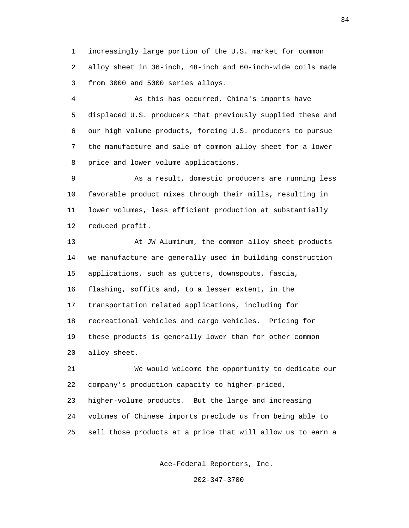1 increasingly large portion of the U.S. market for common 2 alloy sheet in 36-inch, 48-inch and 60-inch-wide coils made 3 from 3000 and 5000 series alloys.

 4 As this has occurred, China's imports have 5 displaced U.S. producers that previously supplied these and 6 our high volume products, forcing U.S. producers to pursue 7 the manufacture and sale of common alloy sheet for a lower 8 price and lower volume applications.

 9 As a result, domestic producers are running less 10 favorable product mixes through their mills, resulting in 11 lower volumes, less efficient production at substantially 12 reduced profit.

 13 At JW Aluminum, the common alloy sheet products 14 we manufacture are generally used in building construction 15 applications, such as gutters, downspouts, fascia, 16 flashing, soffits and, to a lesser extent, in the 17 transportation related applications, including for 18 recreational vehicles and cargo vehicles. Pricing for 19 these products is generally lower than for other common 20 alloy sheet.

 21 We would welcome the opportunity to dedicate our 22 company's production capacity to higher-priced, 23 higher-volume products. But the large and increasing 24 volumes of Chinese imports preclude us from being able to 25 sell those products at a price that will allow us to earn a

Ace-Federal Reporters, Inc.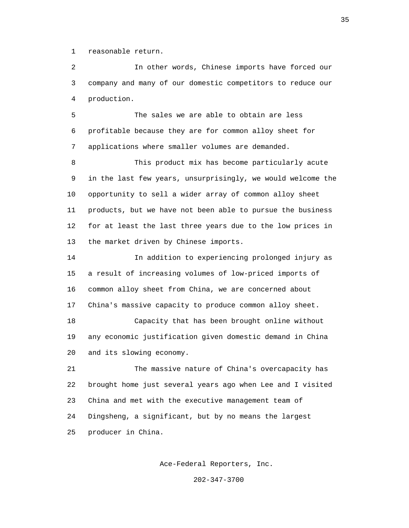1 reasonable return.

 2 In other words, Chinese imports have forced our 3 company and many of our domestic competitors to reduce our 4 production.

 5 The sales we are able to obtain are less 6 profitable because they are for common alloy sheet for 7 applications where smaller volumes are demanded.

 8 This product mix has become particularly acute 9 in the last few years, unsurprisingly, we would welcome the 10 opportunity to sell a wider array of common alloy sheet 11 products, but we have not been able to pursue the business 12 for at least the last three years due to the low prices in 13 the market driven by Chinese imports.

 14 In addition to experiencing prolonged injury as 15 a result of increasing volumes of low-priced imports of 16 common alloy sheet from China, we are concerned about 17 China's massive capacity to produce common alloy sheet.

 18 Capacity that has been brought online without 19 any economic justification given domestic demand in China 20 and its slowing economy.

 21 The massive nature of China's overcapacity has 22 brought home just several years ago when Lee and I visited 23 China and met with the executive management team of 24 Dingsheng, a significant, but by no means the largest 25 producer in China.

Ace-Federal Reporters, Inc.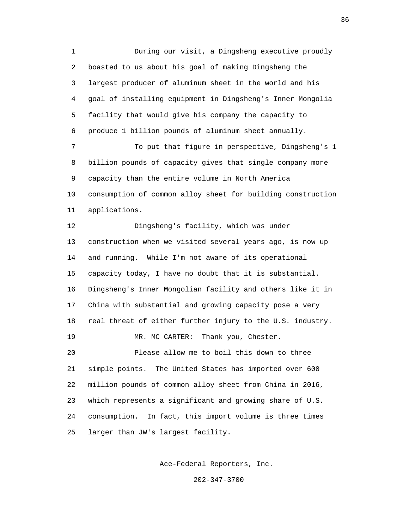1 During our visit, a Dingsheng executive proudly 2 boasted to us about his goal of making Dingsheng the 3 largest producer of aluminum sheet in the world and his 4 goal of installing equipment in Dingsheng's Inner Mongolia 5 facility that would give his company the capacity to 6 produce 1 billion pounds of aluminum sheet annually. 7 To put that figure in perspective, Dingsheng's 1 8 billion pounds of capacity gives that single company more 9 capacity than the entire volume in North America 10 consumption of common alloy sheet for building construction 11 applications. 12 Dingsheng's facility, which was under 13 construction when we visited several years ago, is now up 14 and running. While I'm not aware of its operational 15 capacity today, I have no doubt that it is substantial. 16 Dingsheng's Inner Mongolian facility and others like it in 17 China with substantial and growing capacity pose a very 18 real threat of either further injury to the U.S. industry. 19 MR. MC CARTER: Thank you, Chester. 20 Please allow me to boil this down to three 21 simple points. The United States has imported over 600 22 million pounds of common alloy sheet from China in 2016, 23 which represents a significant and growing share of U.S. 24 consumption. In fact, this import volume is three times 25 larger than JW's largest facility.

Ace-Federal Reporters, Inc.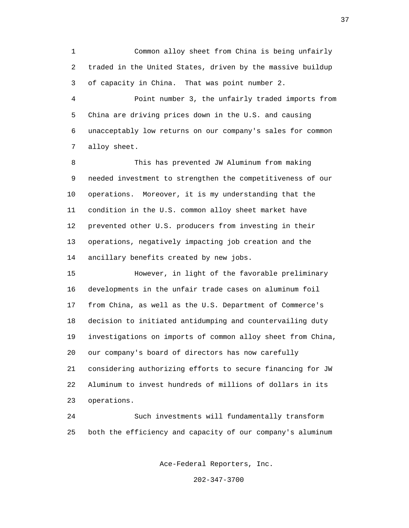1 Common alloy sheet from China is being unfairly 2 traded in the United States, driven by the massive buildup 3 of capacity in China. That was point number 2.

 4 Point number 3, the unfairly traded imports from 5 China are driving prices down in the U.S. and causing 6 unacceptably low returns on our company's sales for common 7 alloy sheet.

 8 This has prevented JW Aluminum from making 9 needed investment to strengthen the competitiveness of our 10 operations. Moreover, it is my understanding that the 11 condition in the U.S. common alloy sheet market have 12 prevented other U.S. producers from investing in their 13 operations, negatively impacting job creation and the 14 ancillary benefits created by new jobs.

 15 However, in light of the favorable preliminary 16 developments in the unfair trade cases on aluminum foil 17 from China, as well as the U.S. Department of Commerce's 18 decision to initiated antidumping and countervailing duty 19 investigations on imports of common alloy sheet from China, 20 our company's board of directors has now carefully 21 considering authorizing efforts to secure financing for JW 22 Aluminum to invest hundreds of millions of dollars in its 23 operations.

 24 Such investments will fundamentally transform 25 both the efficiency and capacity of our company's aluminum

Ace-Federal Reporters, Inc.

202-347-3700

37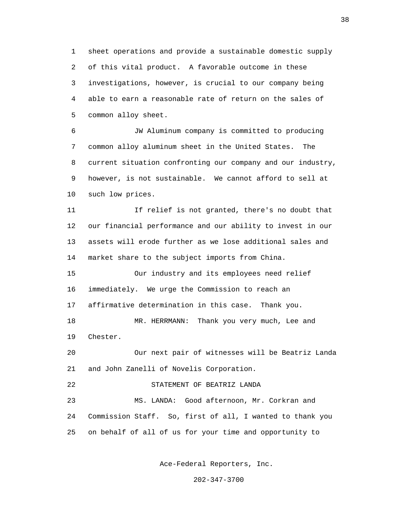1 sheet operations and provide a sustainable domestic supply 2 of this vital product. A favorable outcome in these 3 investigations, however, is crucial to our company being 4 able to earn a reasonable rate of return on the sales of 5 common alloy sheet.

 6 JW Aluminum company is committed to producing 7 common alloy aluminum sheet in the United States. The 8 current situation confronting our company and our industry, 9 however, is not sustainable. We cannot afford to sell at 10 such low prices.

 11 If relief is not granted, there's no doubt that 12 our financial performance and our ability to invest in our 13 assets will erode further as we lose additional sales and 14 market share to the subject imports from China.

 15 Our industry and its employees need relief 16 immediately. We urge the Commission to reach an 17 affirmative determination in this case. Thank you. 18 MR. HERRMANN: Thank you very much, Lee and

19 Chester.

 20 Our next pair of witnesses will be Beatriz Landa 21 and John Zanelli of Novelis Corporation.

22 STATEMENT OF BEATRIZ LANDA

 23 MS. LANDA: Good afternoon, Mr. Corkran and 24 Commission Staff. So, first of all, I wanted to thank you 25 on behalf of all of us for your time and opportunity to

Ace-Federal Reporters, Inc.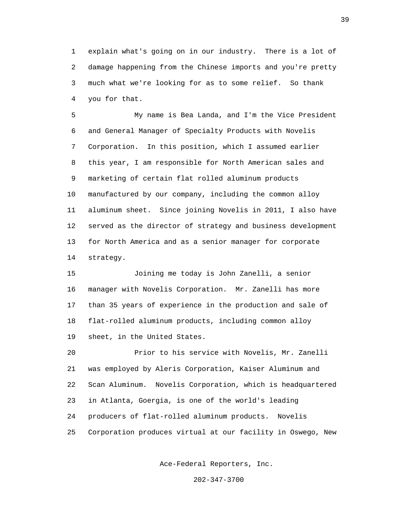1 explain what's going on in our industry. There is a lot of 2 damage happening from the Chinese imports and you're pretty 3 much what we're looking for as to some relief. So thank 4 you for that.

 5 My name is Bea Landa, and I'm the Vice President 6 and General Manager of Specialty Products with Novelis 7 Corporation. In this position, which I assumed earlier 8 this year, I am responsible for North American sales and 9 marketing of certain flat rolled aluminum products 10 manufactured by our company, including the common alloy 11 aluminum sheet. Since joining Novelis in 2011, I also have 12 served as the director of strategy and business development 13 for North America and as a senior manager for corporate 14 strategy.

 15 Joining me today is John Zanelli, a senior 16 manager with Novelis Corporation. Mr. Zanelli has more 17 than 35 years of experience in the production and sale of 18 flat-rolled aluminum products, including common alloy 19 sheet, in the United States.

 20 Prior to his service with Novelis, Mr. Zanelli 21 was employed by Aleris Corporation, Kaiser Aluminum and 22 Scan Aluminum. Novelis Corporation, which is headquartered 23 in Atlanta, Goergia, is one of the world's leading 24 producers of flat-rolled aluminum products. Novelis 25 Corporation produces virtual at our facility in Oswego, New

Ace-Federal Reporters, Inc.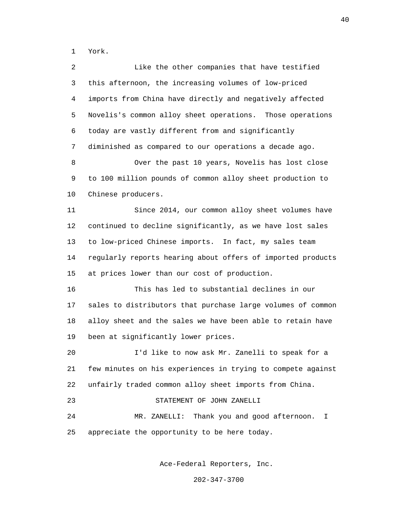1 York.

 2 Like the other companies that have testified 3 this afternoon, the increasing volumes of low-priced 4 imports from China have directly and negatively affected 5 Novelis's common alloy sheet operations. Those operations 6 today are vastly different from and significantly 7 diminished as compared to our operations a decade ago. 8 Over the past 10 years, Novelis has lost close 9 to 100 million pounds of common alloy sheet production to 10 Chinese producers. 11 Since 2014, our common alloy sheet volumes have 12 continued to decline significantly, as we have lost sales 13 to low-priced Chinese imports. In fact, my sales team 14 regularly reports hearing about offers of imported products 15 at prices lower than our cost of production. 16 This has led to substantial declines in our 17 sales to distributors that purchase large volumes of common 18 alloy sheet and the sales we have been able to retain have 19 been at significantly lower prices. 20 I'd like to now ask Mr. Zanelli to speak for a 21 few minutes on his experiences in trying to compete against 22 unfairly traded common alloy sheet imports from China. 23 STATEMENT OF JOHN ZANELLI 24 MR. ZANELLI: Thank you and good afternoon. I 25 appreciate the opportunity to be here today.

Ace-Federal Reporters, Inc.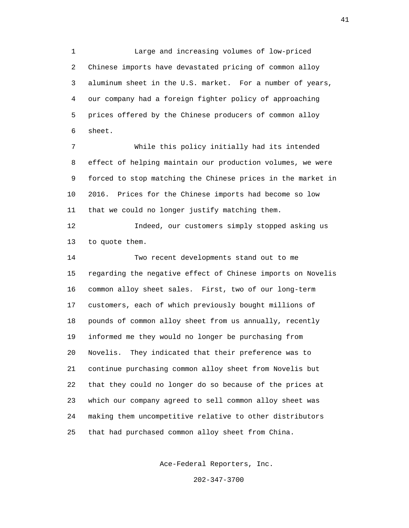1 Large and increasing volumes of low-priced 2 Chinese imports have devastated pricing of common alloy 3 aluminum sheet in the U.S. market. For a number of years, 4 our company had a foreign fighter policy of approaching 5 prices offered by the Chinese producers of common alloy 6 sheet.

 7 While this policy initially had its intended 8 effect of helping maintain our production volumes, we were 9 forced to stop matching the Chinese prices in the market in 10 2016. Prices for the Chinese imports had become so low 11 that we could no longer justify matching them.

 12 Indeed, our customers simply stopped asking us 13 to quote them.

 14 Two recent developments stand out to me 15 regarding the negative effect of Chinese imports on Novelis 16 common alloy sheet sales. First, two of our long-term 17 customers, each of which previously bought millions of 18 pounds of common alloy sheet from us annually, recently 19 informed me they would no longer be purchasing from 20 Novelis. They indicated that their preference was to 21 continue purchasing common alloy sheet from Novelis but 22 that they could no longer do so because of the prices at 23 which our company agreed to sell common alloy sheet was 24 making them uncompetitive relative to other distributors 25 that had purchased common alloy sheet from China.

Ace-Federal Reporters, Inc.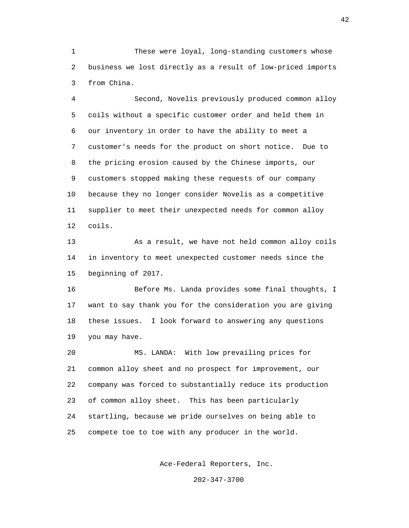1 These were loyal, long-standing customers whose 2 business we lost directly as a result of low-priced imports 3 from China.

 4 Second, Novelis previously produced common alloy 5 coils without a specific customer order and held them in 6 our inventory in order to have the ability to meet a 7 customer's needs for the product on short notice. Due to 8 the pricing erosion caused by the Chinese imports, our 9 customers stopped making these requests of our company 10 because they no longer consider Novelis as a competitive 11 supplier to meet their unexpected needs for common alloy 12 coils.

 13 As a result, we have not held common alloy coils 14 in inventory to meet unexpected customer needs since the 15 beginning of 2017.

 16 Before Ms. Landa provides some final thoughts, I 17 want to say thank you for the consideration you are giving 18 these issues. I look forward to answering any questions 19 you may have.

 20 MS. LANDA: With low prevailing prices for 21 common alloy sheet and no prospect for improvement, our 22 company was forced to substantially reduce its production 23 of common alloy sheet. This has been particularly 24 startling, because we pride ourselves on being able to 25 compete toe to toe with any producer in the world.

Ace-Federal Reporters, Inc.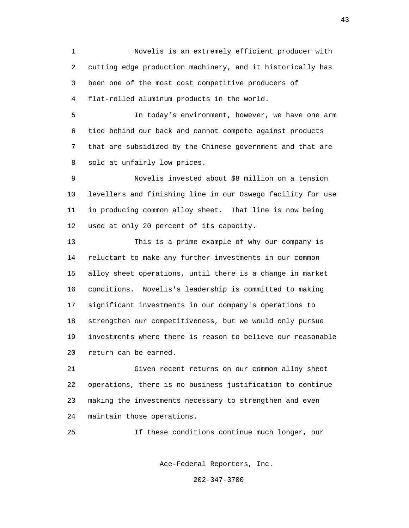1 Novelis is an extremely efficient producer with 2 cutting edge production machinery, and it historically has 3 been one of the most cost competitive producers of 4 flat-rolled aluminum products in the world.

 5 In today's environment, however, we have one arm 6 tied behind our back and cannot compete against products 7 that are subsidized by the Chinese government and that are 8 sold at unfairly low prices.

 9 Novelis invested about \$8 million on a tension 10 levellers and finishing line in our Oswego facility for use 11 in producing common alloy sheet. That line is now being 12 used at only 20 percent of its capacity.

 13 This is a prime example of why our company is 14 reluctant to make any further investments in our common 15 alloy sheet operations, until there is a change in market 16 conditions. Novelis's leadership is committed to making 17 significant investments in our company's operations to 18 strengthen our competitiveness, but we would only pursue 19 investments where there is reason to believe our reasonable 20 return can be earned.

 21 Given recent returns on our common alloy sheet 22 operations, there is no business justification to continue 23 making the investments necessary to strengthen and even 24 maintain those operations.

25 If these conditions continue much longer, our

Ace-Federal Reporters, Inc.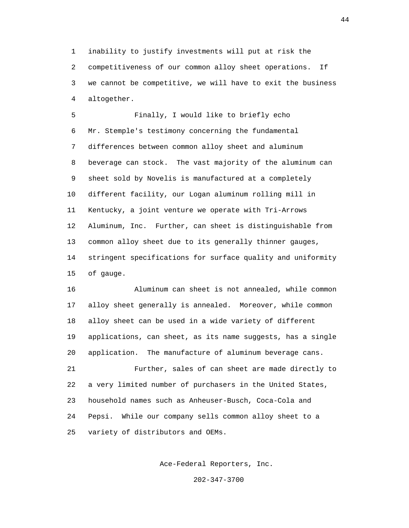1 inability to justify investments will put at risk the 2 competitiveness of our common alloy sheet operations. If 3 we cannot be competitive, we will have to exit the business 4 altogether.

 5 Finally, I would like to briefly echo 6 Mr. Stemple's testimony concerning the fundamental 7 differences between common alloy sheet and aluminum 8 beverage can stock. The vast majority of the aluminum can 9 sheet sold by Novelis is manufactured at a completely 10 different facility, our Logan aluminum rolling mill in 11 Kentucky, a joint venture we operate with Tri-Arrows 12 Aluminum, Inc. Further, can sheet is distinguishable from 13 common alloy sheet due to its generally thinner gauges, 14 stringent specifications for surface quality and uniformity 15 of gauge.

 16 Aluminum can sheet is not annealed, while common 17 alloy sheet generally is annealed. Moreover, while common 18 alloy sheet can be used in a wide variety of different 19 applications, can sheet, as its name suggests, has a single 20 application. The manufacture of aluminum beverage cans. 21 Further, sales of can sheet are made directly to 22 a very limited number of purchasers in the United States,

 23 household names such as Anheuser-Busch, Coca-Cola and 24 Pepsi. While our company sells common alloy sheet to a 25 variety of distributors and OEMs.

Ace-Federal Reporters, Inc.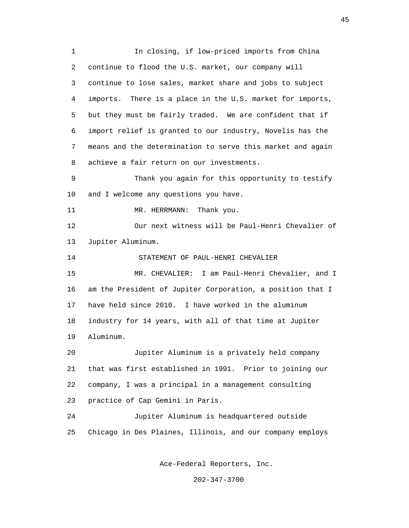1 In closing, if low-priced imports from China 2 continue to flood the U.S. market, our company will 3 continue to lose sales, market share and jobs to subject 4 imports. There is a place in the U.S. market for imports, 5 but they must be fairly traded. We are confident that if 6 import relief is granted to our industry, Novelis has the 7 means and the determination to serve this market and again 8 achieve a fair return on our investments. 9 Thank you again for this opportunity to testify 10 and I welcome any questions you have. 11 MR. HERRMANN: Thank you. 12 Our next witness will be Paul-Henri Chevalier of 13 Jupiter Aluminum. 14 STATEMENT OF PAUL-HENRI CHEVALIER 15 MR. CHEVALIER: I am Paul-Henri Chevalier, and I 16 am the President of Jupiter Corporation, a position that I 17 have held since 2010. I have worked in the aluminum 18 industry for 14 years, with all of that time at Jupiter 19 Aluminum. 20 Jupiter Aluminum is a privately held company 21 that was first established in 1991. Prior to joining our 22 company, I was a principal in a management consulting 23 practice of Cap Gemini in Paris. 24 Jupiter Aluminum is headquartered outside 25 Chicago in Des Plaines, Illinois, and our company employs

Ace-Federal Reporters, Inc.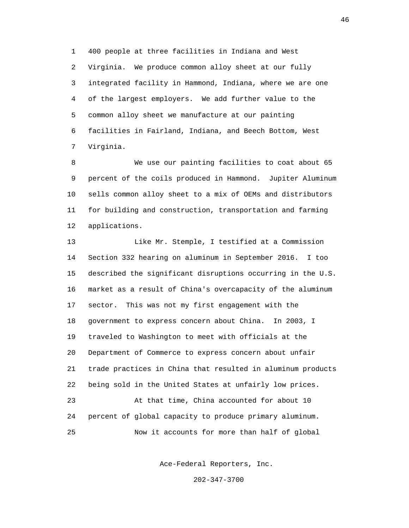1 400 people at three facilities in Indiana and West 2 Virginia. We produce common alloy sheet at our fully 3 integrated facility in Hammond, Indiana, where we are one 4 of the largest employers. We add further value to the 5 common alloy sheet we manufacture at our painting 6 facilities in Fairland, Indiana, and Beech Bottom, West 7 Virginia.

 8 We use our painting facilities to coat about 65 9 percent of the coils produced in Hammond. Jupiter Aluminum 10 sells common alloy sheet to a mix of OEMs and distributors 11 for building and construction, transportation and farming 12 applications.

 13 Like Mr. Stemple, I testified at a Commission 14 Section 332 hearing on aluminum in September 2016. I too 15 described the significant disruptions occurring in the U.S. 16 market as a result of China's overcapacity of the aluminum 17 sector. This was not my first engagement with the 18 government to express concern about China. In 2003, I 19 traveled to Washington to meet with officials at the 20 Department of Commerce to express concern about unfair 21 trade practices in China that resulted in aluminum products 22 being sold in the United States at unfairly low prices. 23 At that time, China accounted for about 10 24 percent of global capacity to produce primary aluminum. 25 Now it accounts for more than half of global

Ace-Federal Reporters, Inc.

202-347-3700

46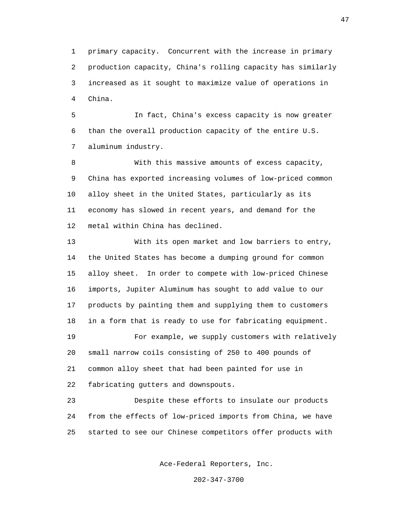1 primary capacity. Concurrent with the increase in primary 2 production capacity, China's rolling capacity has similarly 3 increased as it sought to maximize value of operations in 4 China.

 5 In fact, China's excess capacity is now greater 6 than the overall production capacity of the entire U.S. 7 aluminum industry.

 8 With this massive amounts of excess capacity, 9 China has exported increasing volumes of low-priced common 10 alloy sheet in the United States, particularly as its 11 economy has slowed in recent years, and demand for the 12 metal within China has declined.

 13 With its open market and low barriers to entry, 14 the United States has become a dumping ground for common 15 alloy sheet. In order to compete with low-priced Chinese 16 imports, Jupiter Aluminum has sought to add value to our 17 products by painting them and supplying them to customers 18 in a form that is ready to use for fabricating equipment. 19 For example, we supply customers with relatively

 20 small narrow coils consisting of 250 to 400 pounds of 21 common alloy sheet that had been painted for use in 22 fabricating gutters and downspouts.

 23 Despite these efforts to insulate our products 24 from the effects of low-priced imports from China, we have 25 started to see our Chinese competitors offer products with

Ace-Federal Reporters, Inc.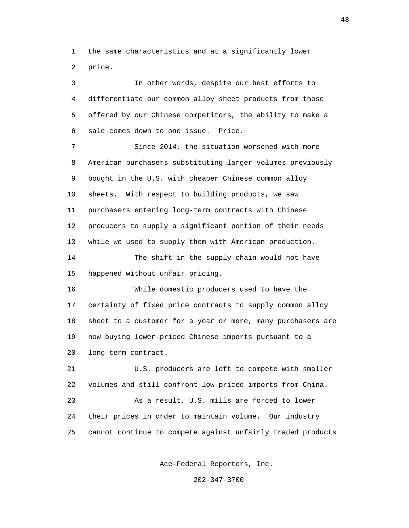1 the same characteristics and at a significantly lower 2 price.

 3 In other words, despite our best efforts to 4 differentiate our common alloy sheet products from those 5 offered by our Chinese competitors, the ability to make a 6 sale comes down to one issue. Price. 7 Since 2014, the situation worsened with more 8 American purchasers substituting larger volumes previously 9 bought in the U.S. with cheaper Chinese common alloy 10 sheets. With respect to building products, we saw 11 purchasers entering long-term contracts with Chinese 12 producers to supply a significant portion of their needs 13 while we used to supply them with American production. 14 The shift in the supply chain would not have 15 happened without unfair pricing. 16 While domestic producers used to have the 17 certainty of fixed price contracts to supply common alloy 18 sheet to a customer for a year or more, many purchasers are 19 now buying lower-priced Chinese imports pursuant to a 20 long-term contract. 21 U.S. producers are left to compete with smaller 22 volumes and still confront low-priced imports from China. 23 As a result, U.S. mills are forced to lower 24 their prices in order to maintain volume. Our industry 25 cannot continue to compete against unfairly traded products

Ace-Federal Reporters, Inc.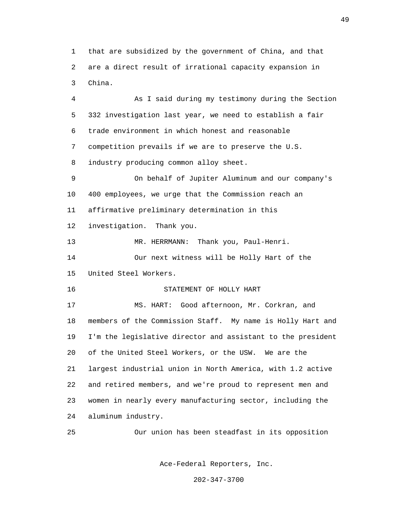1 that are subsidized by the government of China, and that 2 are a direct result of irrational capacity expansion in 3 China.

 4 As I said during my testimony during the Section 5 332 investigation last year, we need to establish a fair 6 trade environment in which honest and reasonable 7 competition prevails if we are to preserve the U.S. 8 industry producing common alloy sheet. 9 On behalf of Jupiter Aluminum and our company's 10 400 employees, we urge that the Commission reach an 11 affirmative preliminary determination in this 12 investigation. Thank you. 13 MR. HERRMANN: Thank you, Paul-Henri. 14 Our next witness will be Holly Hart of the 15 United Steel Workers. 16 STATEMENT OF HOLLY HART 17 MS. HART: Good afternoon, Mr. Corkran, and 18 members of the Commission Staff. My name is Holly Hart and 19 I'm the legislative director and assistant to the president 20 of the United Steel Workers, or the USW. We are the 21 largest industrial union in North America, with 1.2 active 22 and retired members, and we're proud to represent men and 23 women in nearly every manufacturing sector, including the 24 aluminum industry.

25 Our union has been steadfast in its opposition

Ace-Federal Reporters, Inc.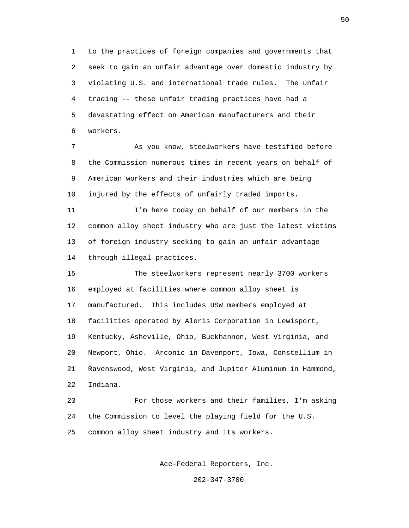1 to the practices of foreign companies and governments that 2 seek to gain an unfair advantage over domestic industry by 3 violating U.S. and international trade rules. The unfair 4 trading -- these unfair trading practices have had a 5 devastating effect on American manufacturers and their 6 workers.

 7 As you know, steelworkers have testified before 8 the Commission numerous times in recent years on behalf of 9 American workers and their industries which are being 10 injured by the effects of unfairly traded imports.

 11 I'm here today on behalf of our members in the 12 common alloy sheet industry who are just the latest victims 13 of foreign industry seeking to gain an unfair advantage 14 through illegal practices.

 15 The steelworkers represent nearly 3700 workers 16 employed at facilities where common alloy sheet is 17 manufactured. This includes USW members employed at 18 facilities operated by Aleris Corporation in Lewisport, 19 Kentucky, Asheville, Ohio, Buckhannon, West Virginia, and 20 Newport, Ohio. Arconic in Davenport, Iowa, Constellium in 21 Ravenswood, West Virginia, and Jupiter Aluminum in Hammond, 22 Indiana.

 23 For those workers and their families, I'm asking 24 the Commission to level the playing field for the U.S. 25 common alloy sheet industry and its workers.

Ace-Federal Reporters, Inc.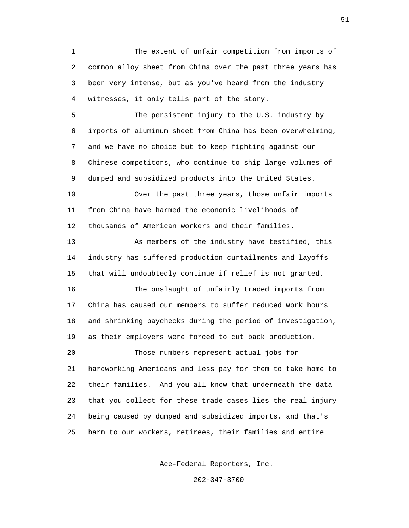1 The extent of unfair competition from imports of 2 common alloy sheet from China over the past three years has 3 been very intense, but as you've heard from the industry 4 witnesses, it only tells part of the story.

 5 The persistent injury to the U.S. industry by 6 imports of aluminum sheet from China has been overwhelming, 7 and we have no choice but to keep fighting against our 8 Chinese competitors, who continue to ship large volumes of 9 dumped and subsidized products into the United States.

 10 Over the past three years, those unfair imports 11 from China have harmed the economic livelihoods of 12 thousands of American workers and their families.

 13 As members of the industry have testified, this 14 industry has suffered production curtailments and layoffs 15 that will undoubtedly continue if relief is not granted. 16 The onslaught of unfairly traded imports from 17 China has caused our members to suffer reduced work hours 18 and shrinking paychecks during the period of investigation,

19 as their employers were forced to cut back production.

 20 Those numbers represent actual jobs for 21 hardworking Americans and less pay for them to take home to 22 their families. And you all know that underneath the data 23 that you collect for these trade cases lies the real injury 24 being caused by dumped and subsidized imports, and that's 25 harm to our workers, retirees, their families and entire

Ace-Federal Reporters, Inc.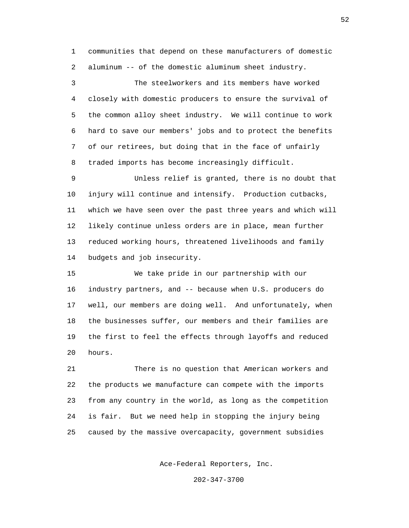1 communities that depend on these manufacturers of domestic 2 aluminum -- of the domestic aluminum sheet industry.

 3 The steelworkers and its members have worked 4 closely with domestic producers to ensure the survival of 5 the common alloy sheet industry. We will continue to work 6 hard to save our members' jobs and to protect the benefits 7 of our retirees, but doing that in the face of unfairly 8 traded imports has become increasingly difficult.

 9 Unless relief is granted, there is no doubt that 10 injury will continue and intensify. Production cutbacks, 11 which we have seen over the past three years and which will 12 likely continue unless orders are in place, mean further 13 reduced working hours, threatened livelihoods and family 14 budgets and job insecurity.

 15 We take pride in our partnership with our 16 industry partners, and -- because when U.S. producers do 17 well, our members are doing well. And unfortunately, when 18 the businesses suffer, our members and their families are 19 the first to feel the effects through layoffs and reduced 20 hours.

 21 There is no question that American workers and 22 the products we manufacture can compete with the imports 23 from any country in the world, as long as the competition 24 is fair. But we need help in stopping the injury being 25 caused by the massive overcapacity, government subsidies

Ace-Federal Reporters, Inc.

202-347-3700

 $52$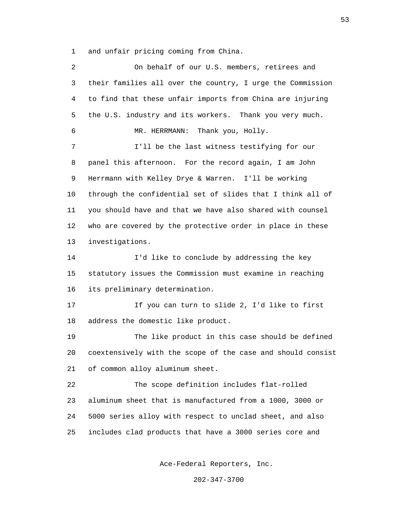1 and unfair pricing coming from China.

| $\overline{a}$ | On behalf of our U.S. members, retirees and                 |
|----------------|-------------------------------------------------------------|
| 3              | their families all over the country, I urge the Commission  |
| 4              | to find that these unfair imports from China are injuring   |
| 5              | the U.S. industry and its workers. Thank you very much.     |
| 6              | MR. HERRMANN:<br>Thank you, Holly.                          |
| 7              | I'll be the last witness testifying for our                 |
| 8              | panel this afternoon. For the record again, I am John       |
| 9              | Herrmann with Kelley Drye & Warren. I'll be working         |
| 10             | through the confidential set of slides that I think all of  |
| 11             | you should have and that we have also shared with counsel   |
| 12             | who are covered by the protective order in place in these   |
| 13             | investigations.                                             |
| 14             | I'd like to conclude by addressing the key                  |
| 15             | statutory issues the Commission must examine in reaching    |
| 16             | its preliminary determination.                              |
| 17             | If you can turn to slide 2, I'd like to first               |
| 18             | address the domestic like product.                          |
| 19             | The like product in this case should be defined             |
| 20             | coextensively with the scope of the case and should consist |
| 21             | of common alloy aluminum sheet.                             |
| 22             | The scope definition includes flat-rolled                   |
| 23             | aluminum sheet that is manufactured from a 1000, 3000 or    |
| 24             | 5000 series alloy with respect to unclad sheet, and also    |
| 25             | includes clad products that have a 3000 series core and     |
|                |                                                             |

Ace-Federal Reporters, Inc.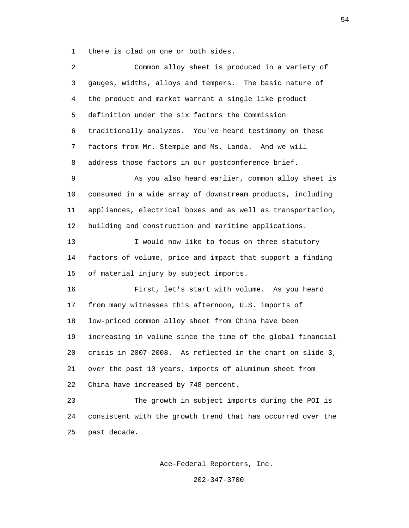1 there is clad on one or both sides.

| 2  | Common alloy sheet is produced in a variety of              |
|----|-------------------------------------------------------------|
| 3  | gauges, widths, alloys and tempers. The basic nature of     |
| 4  | the product and market warrant a single like product        |
| 5  | definition under the six factors the Commission             |
| 6  | traditionally analyzes. You've heard testimony on these     |
| 7  | factors from Mr. Stemple and Ms. Landa. And we will         |
| 8  | address those factors in our postconference brief.          |
| 9  | As you also heard earlier, common alloy sheet is            |
| 10 | consumed in a wide array of downstream products, including  |
| 11 | appliances, electrical boxes and as well as transportation, |
| 12 | building and construction and maritime applications.        |
| 13 | I would now like to focus on three statutory                |
| 14 | factors of volume, price and impact that support a finding  |
| 15 | of material injury by subject imports.                      |
| 16 | First, let's start with volume. As you heard                |
| 17 | from many witnesses this afternoon, U.S. imports of         |
| 18 | low-priced common alloy sheet from China have been          |
| 19 | increasing in volume since the time of the global financial |
| 20 | crisis in 2007-2008. As reflected in the chart on slide 3,  |
| 21 | over the past 10 years, imports of aluminum sheet from      |
| 22 | China have increased by 748 percent.                        |
| 23 | The growth in subject imports during the POI is             |
| 24 | consistent with the growth trend that has occurred over the |
| 25 | past decade.                                                |

Ace-Federal Reporters, Inc.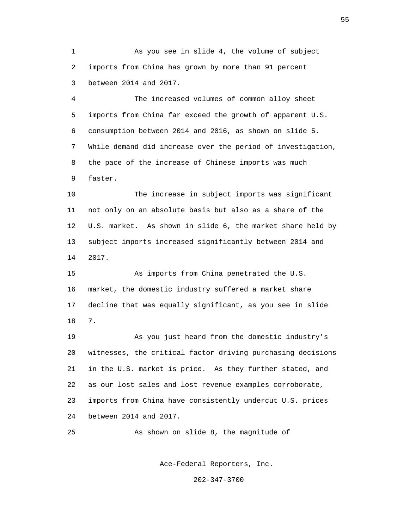1 As you see in slide 4, the volume of subject 2 imports from China has grown by more than 91 percent 3 between 2014 and 2017.

 4 The increased volumes of common alloy sheet 5 imports from China far exceed the growth of apparent U.S. 6 consumption between 2014 and 2016, as shown on slide 5. 7 While demand did increase over the period of investigation, 8 the pace of the increase of Chinese imports was much 9 faster.

 10 The increase in subject imports was significant 11 not only on an absolute basis but also as a share of the 12 U.S. market. As shown in slide 6, the market share held by 13 subject imports increased significantly between 2014 and 14 2017.

 15 As imports from China penetrated the U.S. 16 market, the domestic industry suffered a market share 17 decline that was equally significant, as you see in slide 18 7.

> 19 As you just heard from the domestic industry's 20 witnesses, the critical factor driving purchasing decisions 21 in the U.S. market is price. As they further stated, and 22 as our lost sales and lost revenue examples corroborate, 23 imports from China have consistently undercut U.S. prices 24 between 2014 and 2017.

25 As shown on slide 8, the magnitude of

Ace-Federal Reporters, Inc.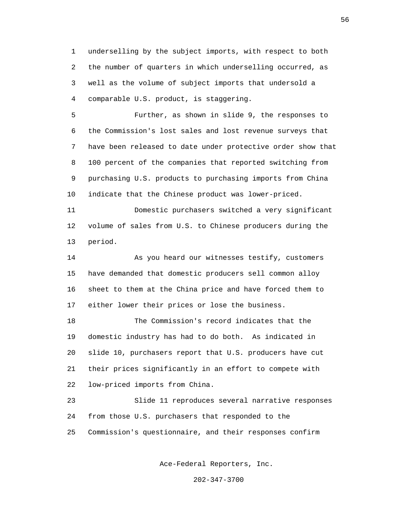1 underselling by the subject imports, with respect to both 2 the number of quarters in which underselling occurred, as 3 well as the volume of subject imports that undersold a 4 comparable U.S. product, is staggering.

 5 Further, as shown in slide 9, the responses to 6 the Commission's lost sales and lost revenue surveys that 7 have been released to date under protective order show that 8 100 percent of the companies that reported switching from 9 purchasing U.S. products to purchasing imports from China 10 indicate that the Chinese product was lower-priced.

 11 Domestic purchasers switched a very significant 12 volume of sales from U.S. to Chinese producers during the 13 period.

 14 As you heard our witnesses testify, customers 15 have demanded that domestic producers sell common alloy 16 sheet to them at the China price and have forced them to 17 either lower their prices or lose the business.

 18 The Commission's record indicates that the 19 domestic industry has had to do both. As indicated in 20 slide 10, purchasers report that U.S. producers have cut 21 their prices significantly in an effort to compete with 22 low-priced imports from China.

 23 Slide 11 reproduces several narrative responses 24 from those U.S. purchasers that responded to the 25 Commission's questionnaire, and their responses confirm

Ace-Federal Reporters, Inc.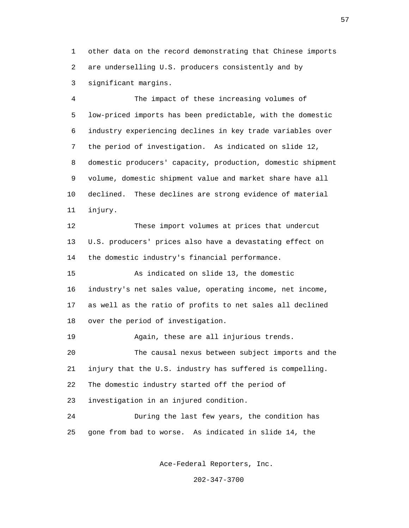1 other data on the record demonstrating that Chinese imports 2 are underselling U.S. producers consistently and by 3 significant margins.

 4 The impact of these increasing volumes of 5 low-priced imports has been predictable, with the domestic 6 industry experiencing declines in key trade variables over 7 the period of investigation. As indicated on slide 12, 8 domestic producers' capacity, production, domestic shipment 9 volume, domestic shipment value and market share have all 10 declined. These declines are strong evidence of material 11 injury.

 12 These import volumes at prices that undercut 13 U.S. producers' prices also have a devastating effect on 14 the domestic industry's financial performance.

 15 As indicated on slide 13, the domestic 16 industry's net sales value, operating income, net income, 17 as well as the ratio of profits to net sales all declined 18 over the period of investigation.

 19 Again, these are all injurious trends. 20 The causal nexus between subject imports and the 21 injury that the U.S. industry has suffered is compelling. 22 The domestic industry started off the period of 23 investigation in an injured condition. 24 During the last few years, the condition has

25 gone from bad to worse. As indicated in slide 14, the

Ace-Federal Reporters, Inc.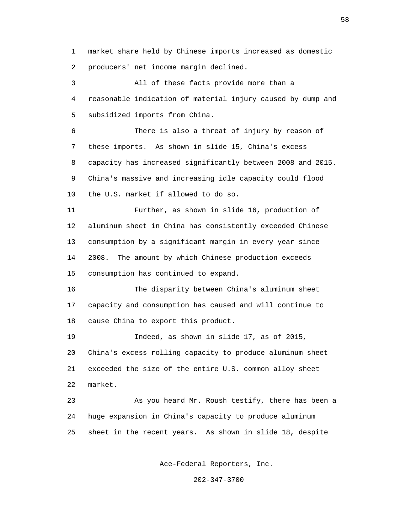1 market share held by Chinese imports increased as domestic 2 producers' net income margin declined.

 3 All of these facts provide more than a 4 reasonable indication of material injury caused by dump and 5 subsidized imports from China.

 6 There is also a threat of injury by reason of 7 these imports. As shown in slide 15, China's excess 8 capacity has increased significantly between 2008 and 2015. 9 China's massive and increasing idle capacity could flood 10 the U.S. market if allowed to do so.

 11 Further, as shown in slide 16, production of 12 aluminum sheet in China has consistently exceeded Chinese 13 consumption by a significant margin in every year since 14 2008. The amount by which Chinese production exceeds 15 consumption has continued to expand.

 16 The disparity between China's aluminum sheet 17 capacity and consumption has caused and will continue to 18 cause China to export this product.

 19 Indeed, as shown in slide 17, as of 2015, 20 China's excess rolling capacity to produce aluminum sheet 21 exceeded the size of the entire U.S. common alloy sheet 22 market.

 23 As you heard Mr. Roush testify, there has been a 24 huge expansion in China's capacity to produce aluminum 25 sheet in the recent years. As shown in slide 18, despite

Ace-Federal Reporters, Inc.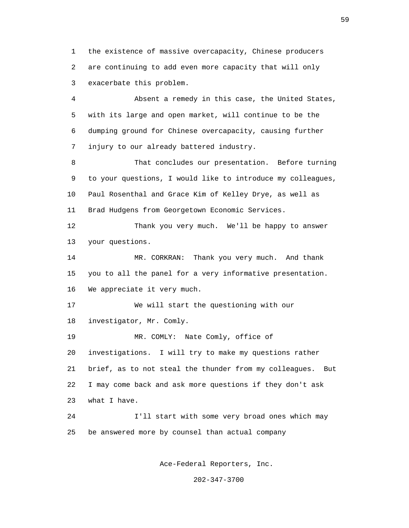1 the existence of massive overcapacity, Chinese producers 2 are continuing to add even more capacity that will only 3 exacerbate this problem.

 4 Absent a remedy in this case, the United States, 5 with its large and open market, will continue to be the 6 dumping ground for Chinese overcapacity, causing further 7 injury to our already battered industry.

 8 That concludes our presentation. Before turning 9 to your questions, I would like to introduce my colleagues, 10 Paul Rosenthal and Grace Kim of Kelley Drye, as well as 11 Brad Hudgens from Georgetown Economic Services.

 12 Thank you very much. We'll be happy to answer 13 your questions.

 14 MR. CORKRAN: Thank you very much. And thank 15 you to all the panel for a very informative presentation. 16 We appreciate it very much.

 17 We will start the questioning with our 18 investigator, Mr. Comly.

 19 MR. COMLY: Nate Comly, office of 20 investigations. I will try to make my questions rather 21 brief, as to not steal the thunder from my colleagues. But 22 I may come back and ask more questions if they don't ask 23 what I have.

 24 I'll start with some very broad ones which may 25 be answered more by counsel than actual company

Ace-Federal Reporters, Inc.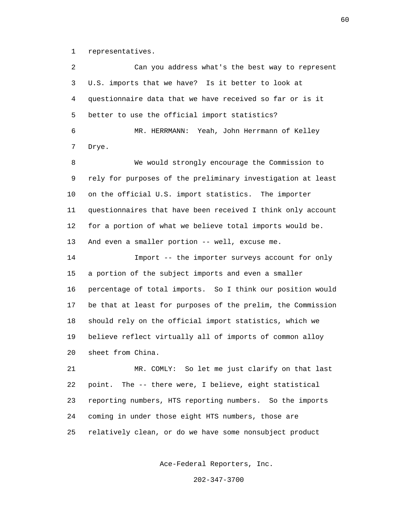1 representatives.

 2 Can you address what's the best way to represent 3 U.S. imports that we have? Is it better to look at 4 questionnaire data that we have received so far or is it 5 better to use the official import statistics? 6 MR. HERRMANN: Yeah, John Herrmann of Kelley 7 Drye. 8 We would strongly encourage the Commission to 9 rely for purposes of the preliminary investigation at least 10 on the official U.S. import statistics. The importer 11 questionnaires that have been received I think only account 12 for a portion of what we believe total imports would be. 13 And even a smaller portion -- well, excuse me. 14 Import -- the importer surveys account for only 15 a portion of the subject imports and even a smaller 16 percentage of total imports. So I think our position would 17 be that at least for purposes of the prelim, the Commission 18 should rely on the official import statistics, which we 19 believe reflect virtually all of imports of common alloy 20 sheet from China. 21 MR. COMLY: So let me just clarify on that last 22 point. The -- there were, I believe, eight statistical 23 reporting numbers, HTS reporting numbers. So the imports

25 relatively clean, or do we have some nonsubject product

24 coming in under those eight HTS numbers, those are

Ace-Federal Reporters, Inc.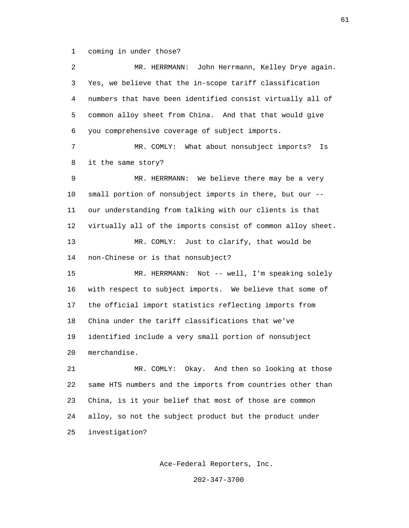1 coming in under those?

 2 MR. HERRMANN: John Herrmann, Kelley Drye again. 3 Yes, we believe that the in-scope tariff classification 4 numbers that have been identified consist virtually all of 5 common alloy sheet from China. And that that would give 6 you comprehensive coverage of subject imports. 7 MR. COMLY: What about nonsubject imports? Is 8 it the same story? 9 MR. HERRMANN: We believe there may be a very 10 small portion of nonsubject imports in there, but our -- 11 our understanding from talking with our clients is that 12 virtually all of the imports consist of common alloy sheet. 13 MR. COMLY: Just to clarify, that would be 14 non-Chinese or is that nonsubject? 15 MR. HERRMANN: Not -- well, I'm speaking solely 16 with respect to subject imports. We believe that some of 17 the official import statistics reflecting imports from 18 China under the tariff classifications that we've 19 identified include a very small portion of nonsubject 20 merchandise. 21 MR. COMLY: Okay. And then so looking at those 22 same HTS numbers and the imports from countries other than 23 China, is it your belief that most of those are common 24 alloy, so not the subject product but the product under 25 investigation?

Ace-Federal Reporters, Inc.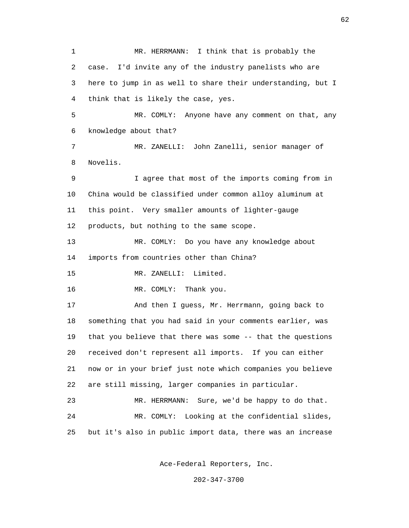1 MR. HERRMANN: I think that is probably the 2 case. I'd invite any of the industry panelists who are 3 here to jump in as well to share their understanding, but I 4 think that is likely the case, yes. 5 MR. COMLY: Anyone have any comment on that, any 6 knowledge about that? 7 MR. ZANELLI: John Zanelli, senior manager of 8 Novelis. 9 I agree that most of the imports coming from in 10 China would be classified under common alloy aluminum at 11 this point. Very smaller amounts of lighter-gauge 12 products, but nothing to the same scope. 13 MR. COMLY: Do you have any knowledge about 14 imports from countries other than China? 15 MR. ZANELLI: Limited. 16 MR. COMLY: Thank you. 17 And then I guess, Mr. Herrmann, going back to 18 something that you had said in your comments earlier, was 19 that you believe that there was some -- that the questions 20 received don't represent all imports. If you can either 21 now or in your brief just note which companies you believe 22 are still missing, larger companies in particular. 23 MR. HERRMANN: Sure, we'd be happy to do that. 24 MR. COMLY: Looking at the confidential slides, 25 but it's also in public import data, there was an increase

Ace-Federal Reporters, Inc.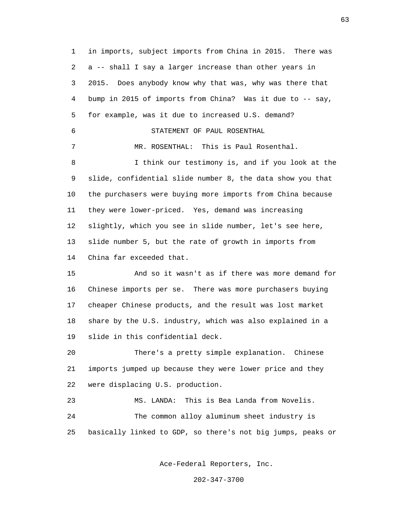1 in imports, subject imports from China in 2015. There was 2 a -- shall I say a larger increase than other years in 3 2015. Does anybody know why that was, why was there that 4 bump in 2015 of imports from China? Was it due to -- say, 5 for example, was it due to increased U.S. demand? 6 STATEMENT OF PAUL ROSENTHAL 7 MR. ROSENTHAL: This is Paul Rosenthal. 8 I think our testimony is, and if you look at the 9 slide, confidential slide number 8, the data show you that 10 the purchasers were buying more imports from China because 11 they were lower-priced. Yes, demand was increasing 12 slightly, which you see in slide number, let's see here, 13 slide number 5, but the rate of growth in imports from 14 China far exceeded that. 15 And so it wasn't as if there was more demand for 16 Chinese imports per se. There was more purchasers buying 17 cheaper Chinese products, and the result was lost market 18 share by the U.S. industry, which was also explained in a 19 slide in this confidential deck. 20 There's a pretty simple explanation. Chinese 21 imports jumped up because they were lower price and they 22 were displacing U.S. production. 23 MS. LANDA: This is Bea Landa from Novelis. 24 The common alloy aluminum sheet industry is 25 basically linked to GDP, so there's not big jumps, peaks or

Ace-Federal Reporters, Inc.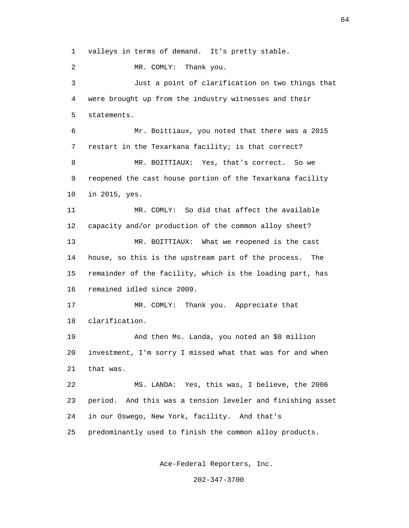1 valleys in terms of demand. It's pretty stable.

2 MR. COMLY: Thank you.

 3 Just a point of clarification on two things that 4 were brought up from the industry witnesses and their 5 statements.

 6 Mr. Boittiaux, you noted that there was a 2015 7 restart in the Texarkana facility; is that correct? 8 MR. BOITTIAUX: Yes, that's correct. So we 9 reopened the cast house portion of the Texarkana facility 10 in 2015, yes.

 11 MR. COMLY: So did that affect the available 12 capacity and/or production of the common alloy sheet? 13 MR. BOITTIAUX: What we reopened is the cast 14 house, so this is the upstream part of the process. The 15 remainder of the facility, which is the loading part, has

16 remained idled since 2009.

 17 MR. COMLY: Thank you. Appreciate that 18 clarification.

 19 And then Ms. Landa, you noted an \$8 million 20 investment, I'm sorry I missed what that was for and when 21 that was.

 22 MS. LANDA: Yes, this was, I believe, the 2006 23 period. And this was a tension leveler and finishing asset 24 in our Oswego, New York, facility. And that's 25 predominantly used to finish the common alloy products.

Ace-Federal Reporters, Inc.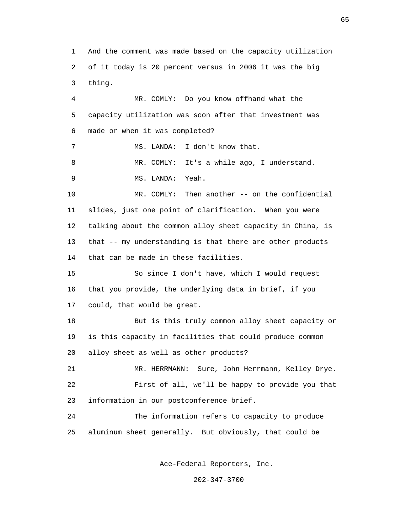1 And the comment was made based on the capacity utilization 2 of it today is 20 percent versus in 2006 it was the big 3 thing. 4 MR. COMLY: Do you know offhand what the 5 capacity utilization was soon after that investment was 6 made or when it was completed? 7 MS. LANDA: I don't know that. 8 MR. COMLY: It's a while ago, I understand. 9 MS. LANDA: Yeah. 10 MR. COMLY: Then another -- on the confidential 11 slides, just one point of clarification. When you were 12 talking about the common alloy sheet capacity in China, is 13 that -- my understanding is that there are other products 14 that can be made in these facilities. 15 So since I don't have, which I would request 16 that you provide, the underlying data in brief, if you 17 could, that would be great. 18 But is this truly common alloy sheet capacity or 19 is this capacity in facilities that could produce common 20 alloy sheet as well as other products? 21 MR. HERRMANN: Sure, John Herrmann, Kelley Drye. 22 First of all, we'll be happy to provide you that 23 information in our postconference brief. 24 The information refers to capacity to produce 25 aluminum sheet generally. But obviously, that could be

Ace-Federal Reporters, Inc.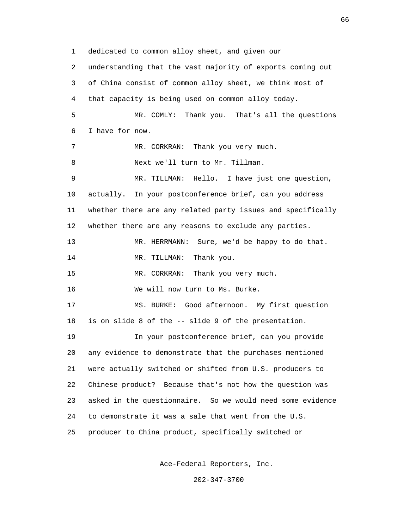1 dedicated to common alloy sheet, and given our 2 understanding that the vast majority of exports coming out 3 of China consist of common alloy sheet, we think most of 4 that capacity is being used on common alloy today. 5 MR. COMLY: Thank you. That's all the questions 6 I have for now. 7 MR. CORKRAN: Thank you very much. 8 Next we'll turn to Mr. Tillman. 9 MR. TILLMAN: Hello. I have just one question, 10 actually. In your postconference brief, can you address 11 whether there are any related party issues and specifically 12 whether there are any reasons to exclude any parties. 13 MR. HERRMANN: Sure, we'd be happy to do that. 14 MR. TILLMAN: Thank you. 15 MR. CORKRAN: Thank you very much. 16 We will now turn to Ms. Burke. 17 MS. BURKE: Good afternoon. My first question 18 is on slide 8 of the -- slide 9 of the presentation. 19 In your postconference brief, can you provide 20 any evidence to demonstrate that the purchases mentioned 21 were actually switched or shifted from U.S. producers to 22 Chinese product? Because that's not how the question was 23 asked in the questionnaire. So we would need some evidence 24 to demonstrate it was a sale that went from the U.S. 25 producer to China product, specifically switched or

Ace-Federal Reporters, Inc.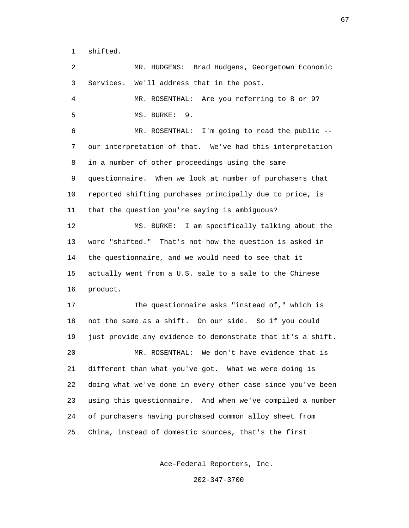1 shifted.

 2 MR. HUDGENS: Brad Hudgens, Georgetown Economic 3 Services. We'll address that in the post. 4 MR. ROSENTHAL: Are you referring to 8 or 9? 5 MS. BURKE: 9. 6 MR. ROSENTHAL: I'm going to read the public -- 7 our interpretation of that. We've had this interpretation 8 in a number of other proceedings using the same 9 questionnaire. When we look at number of purchasers that 10 reported shifting purchases principally due to price, is 11 that the question you're saying is ambiguous? 12 MS. BURKE: I am specifically talking about the 13 word "shifted." That's not how the question is asked in 14 the questionnaire, and we would need to see that it 15 actually went from a U.S. sale to a sale to the Chinese 16 product. 17 The questionnaire asks "instead of," which is 18 not the same as a shift. On our side. So if you could 19 just provide any evidence to demonstrate that it's a shift. 20 MR. ROSENTHAL: We don't have evidence that is 21 different than what you've got. What we were doing is 22 doing what we've done in every other case since you've been 23 using this questionnaire. And when we've compiled a number 24 of purchasers having purchased common alloy sheet from 25 China, instead of domestic sources, that's the first

Ace-Federal Reporters, Inc.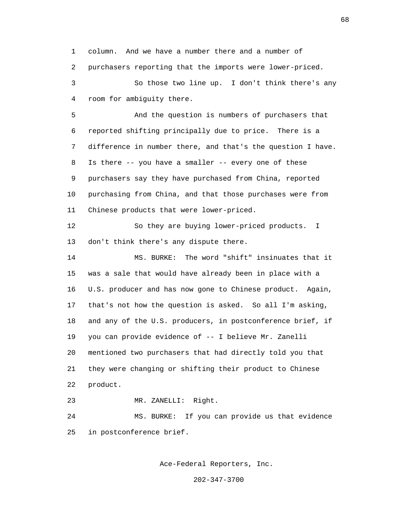1 column. And we have a number there and a number of 2 purchasers reporting that the imports were lower-priced. 3 So those two line up. I don't think there's any 4 room for ambiguity there.

 5 And the question is numbers of purchasers that 6 reported shifting principally due to price. There is a 7 difference in number there, and that's the question I have. 8 Is there -- you have a smaller -- every one of these 9 purchasers say they have purchased from China, reported 10 purchasing from China, and that those purchases were from 11 Chinese products that were lower-priced.

 12 So they are buying lower-priced products. I 13 don't think there's any dispute there.

 14 MS. BURKE: The word "shift" insinuates that it 15 was a sale that would have already been in place with a 16 U.S. producer and has now gone to Chinese product. Again, 17 that's not how the question is asked. So all I'm asking, 18 and any of the U.S. producers, in postconference brief, if 19 you can provide evidence of -- I believe Mr. Zanelli 20 mentioned two purchasers that had directly told you that 21 they were changing or shifting their product to Chinese 22 product.

23 MR. ZANELLI: Right.

 24 MS. BURKE: If you can provide us that evidence 25 in postconference brief.

Ace-Federal Reporters, Inc.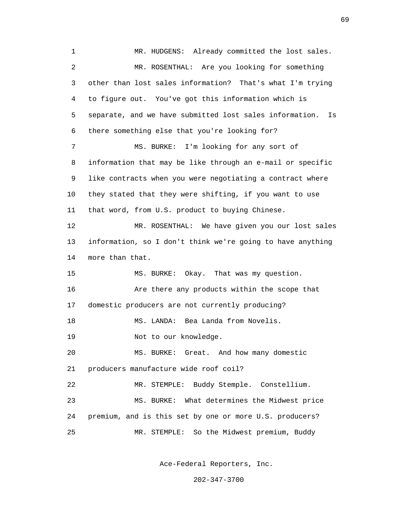1 MR. HUDGENS: Already committed the lost sales. 2 MR. ROSENTHAL: Are you looking for something 3 other than lost sales information? That's what I'm trying 4 to figure out. You've got this information which is 5 separate, and we have submitted lost sales information. Is 6 there something else that you're looking for? 7 MS. BURKE: I'm looking for any sort of 8 information that may be like through an e-mail or specific 9 like contracts when you were negotiating a contract where 10 they stated that they were shifting, if you want to use 11 that word, from U.S. product to buying Chinese. 12 MR. ROSENTHAL: We have given you our lost sales 13 information, so I don't think we're going to have anything 14 more than that. 15 MS. BURKE: Okay. That was my question. 16 Are there any products within the scope that 17 domestic producers are not currently producing? 18 MS. LANDA: Bea Landa from Novelis. 19 Not to our knowledge. 20 MS. BURKE: Great. And how many domestic 21 producers manufacture wide roof coil? 22 MR. STEMPLE: Buddy Stemple. Constellium. 23 MS. BURKE: What determines the Midwest price 24 premium, and is this set by one or more U.S. producers? 25 MR. STEMPLE: So the Midwest premium, Buddy

Ace-Federal Reporters, Inc.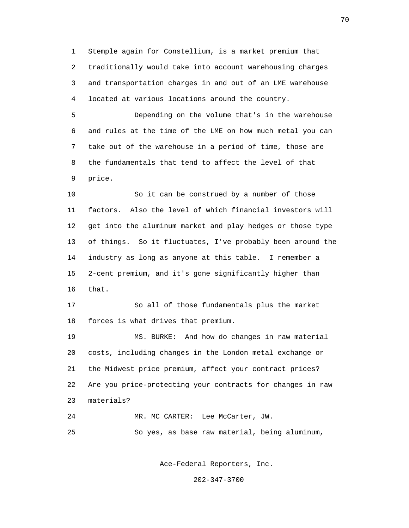1 Stemple again for Constellium, is a market premium that 2 traditionally would take into account warehousing charges 3 and transportation charges in and out of an LME warehouse 4 located at various locations around the country.

 5 Depending on the volume that's in the warehouse 6 and rules at the time of the LME on how much metal you can 7 take out of the warehouse in a period of time, those are 8 the fundamentals that tend to affect the level of that 9 price.

 10 So it can be construed by a number of those 11 factors. Also the level of which financial investors will 12 get into the aluminum market and play hedges or those type 13 of things. So it fluctuates, I've probably been around the 14 industry as long as anyone at this table. I remember a 15 2-cent premium, and it's gone significantly higher than 16 that.

 17 So all of those fundamentals plus the market 18 forces is what drives that premium.

 19 MS. BURKE: And how do changes in raw material 20 costs, including changes in the London metal exchange or 21 the Midwest price premium, affect your contract prices? 22 Are you price-protecting your contracts for changes in raw 23 materials?

24 MR. MC CARTER: Lee McCarter, JW.

25 So yes, as base raw material, being aluminum,

Ace-Federal Reporters, Inc.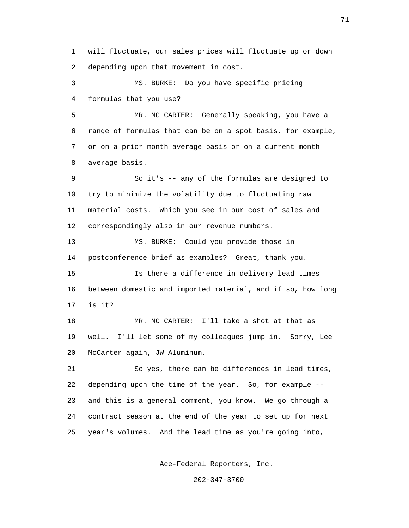1 will fluctuate, our sales prices will fluctuate up or down 2 depending upon that movement in cost.

 3 MS. BURKE: Do you have specific pricing 4 formulas that you use?

 5 MR. MC CARTER: Generally speaking, you have a 6 range of formulas that can be on a spot basis, for example, 7 or on a prior month average basis or on a current month 8 average basis.

 9 So it's -- any of the formulas are designed to 10 try to minimize the volatility due to fluctuating raw 11 material costs. Which you see in our cost of sales and 12 correspondingly also in our revenue numbers.

 13 MS. BURKE: Could you provide those in 14 postconference brief as examples? Great, thank you.

 15 Is there a difference in delivery lead times 16 between domestic and imported material, and if so, how long 17 is it?

 18 MR. MC CARTER: I'll take a shot at that as 19 well. I'll let some of my colleagues jump in. Sorry, Lee 20 McCarter again, JW Aluminum.

 21 So yes, there can be differences in lead times, 22 depending upon the time of the year. So, for example -- 23 and this is a general comment, you know. We go through a 24 contract season at the end of the year to set up for next 25 year's volumes. And the lead time as you're going into,

Ace-Federal Reporters, Inc.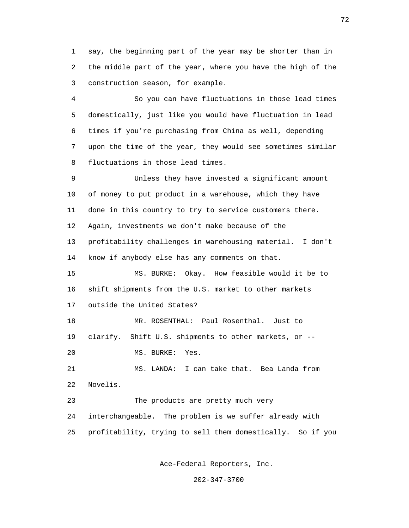1 say, the beginning part of the year may be shorter than in 2 the middle part of the year, where you have the high of the 3 construction season, for example.

 4 So you can have fluctuations in those lead times 5 domestically, just like you would have fluctuation in lead 6 times if you're purchasing from China as well, depending 7 upon the time of the year, they would see sometimes similar 8 fluctuations in those lead times.

 9 Unless they have invested a significant amount 10 of money to put product in a warehouse, which they have 11 done in this country to try to service customers there. 12 Again, investments we don't make because of the 13 profitability challenges in warehousing material. I don't 14 know if anybody else has any comments on that. 15 MS. BURKE: Okay. How feasible would it be to 16 shift shipments from the U.S. market to other markets 17 outside the United States? 18 MR. ROSENTHAL: Paul Rosenthal. Just to 19 clarify. Shift U.S. shipments to other markets, or -- 20 MS. BURKE: Yes.

 21 MS. LANDA: I can take that. Bea Landa from 22 Novelis.

 23 The products are pretty much very 24 interchangeable. The problem is we suffer already with 25 profitability, trying to sell them domestically. So if you

Ace-Federal Reporters, Inc.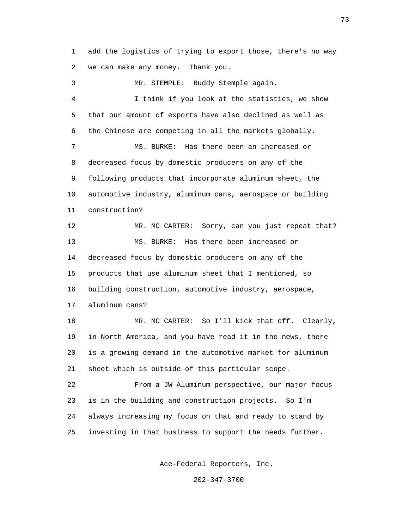1 add the logistics of trying to export those, there's no way 2 we can make any money. Thank you.

 3 MR. STEMPLE: Buddy Stemple again. 4 I think if you look at the statistics, we show 5 that our amount of exports have also declined as well as 6 the Chinese are competing in all the markets globally. 7 MS. BURKE: Has there been an increased or 8 decreased focus by domestic producers on any of the 9 following products that incorporate aluminum sheet, the 10 automotive industry, aluminum cans, aerospace or building 11 construction? 12 MR. MC CARTER: Sorry, can you just repeat that? 13 MS. BURKE: Has there been increased or 14 decreased focus by domestic producers on any of the 15 products that use aluminum sheet that I mentioned, so 16 building construction, automotive industry, aerospace, 17 aluminum cans? 18 MR. MC CARTER: So I'll kick that off. Clearly,

 19 in North America, and you have read it in the news, there 20 is a growing demand in the automotive market for aluminum 21 sheet which is outside of this particular scope.

 22 From a JW Aluminum perspective, our major focus 23 is in the building and construction projects. So I'm 24 always increasing my focus on that and ready to stand by 25 investing in that business to support the needs further.

Ace-Federal Reporters, Inc.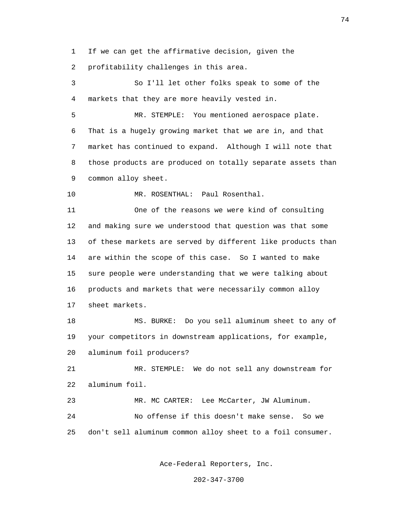1 If we can get the affirmative decision, given the

2 profitability challenges in this area.

 3 So I'll let other folks speak to some of the 4 markets that they are more heavily vested in.

 5 MR. STEMPLE: You mentioned aerospace plate. 6 That is a hugely growing market that we are in, and that 7 market has continued to expand. Although I will note that 8 those products are produced on totally separate assets than 9 common alloy sheet.

10 MR. ROSENTHAL: Paul Rosenthal.

 11 One of the reasons we were kind of consulting 12 and making sure we understood that question was that some 13 of these markets are served by different like products than 14 are within the scope of this case. So I wanted to make 15 sure people were understanding that we were talking about 16 products and markets that were necessarily common alloy 17 sheet markets.

 18 MS. BURKE: Do you sell aluminum sheet to any of 19 your competitors in downstream applications, for example, 20 aluminum foil producers?

 21 MR. STEMPLE: We do not sell any downstream for 22 aluminum foil.

 23 MR. MC CARTER: Lee McCarter, JW Aluminum. 24 No offense if this doesn't make sense. So we 25 don't sell aluminum common alloy sheet to a foil consumer.

Ace-Federal Reporters, Inc.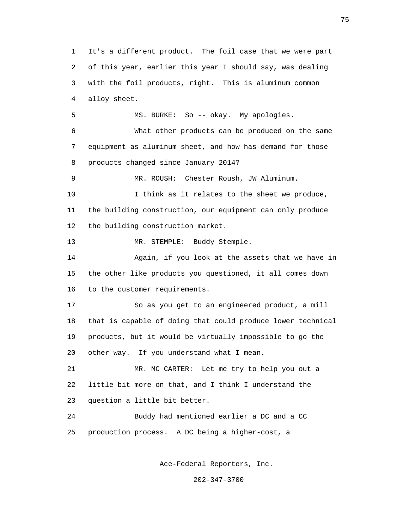1 It's a different product. The foil case that we were part 2 of this year, earlier this year I should say, was dealing 3 with the foil products, right. This is aluminum common 4 alloy sheet. 5 MS. BURKE: So -- okay. My apologies. 6 What other products can be produced on the same 7 equipment as aluminum sheet, and how has demand for those 8 products changed since January 2014? 9 MR. ROUSH: Chester Roush, JW Aluminum. 10 I think as it relates to the sheet we produce, 11 the building construction, our equipment can only produce 12 the building construction market. 13 MR. STEMPLE: Buddy Stemple. 14 Again, if you look at the assets that we have in 15 the other like products you questioned, it all comes down 16 to the customer requirements. 17 So as you get to an engineered product, a mill 18 that is capable of doing that could produce lower technical 19 products, but it would be virtually impossible to go the 20 other way. If you understand what I mean. 21 MR. MC CARTER: Let me try to help you out a 22 little bit more on that, and I think I understand the 23 question a little bit better. 24 Buddy had mentioned earlier a DC and a CC 25 production process. A DC being a higher-cost, a

Ace-Federal Reporters, Inc.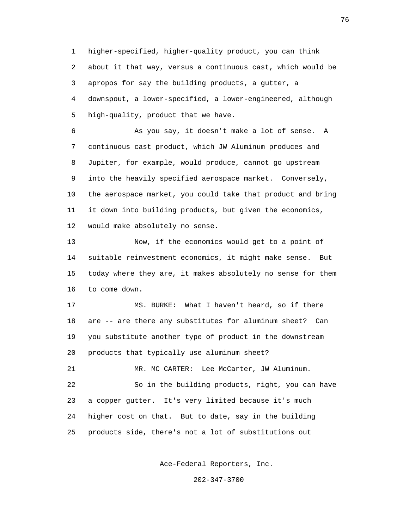1 higher-specified, higher-quality product, you can think 2 about it that way, versus a continuous cast, which would be 3 apropos for say the building products, a gutter, a 4 downspout, a lower-specified, a lower-engineered, although 5 high-quality, product that we have.

 6 As you say, it doesn't make a lot of sense. A 7 continuous cast product, which JW Aluminum produces and 8 Jupiter, for example, would produce, cannot go upstream 9 into the heavily specified aerospace market. Conversely, 10 the aerospace market, you could take that product and bring 11 it down into building products, but given the economics, 12 would make absolutely no sense.

 13 Now, if the economics would get to a point of 14 suitable reinvestment economics, it might make sense. But 15 today where they are, it makes absolutely no sense for them 16 to come down.

 17 MS. BURKE: What I haven't heard, so if there 18 are -- are there any substitutes for aluminum sheet? Can 19 you substitute another type of product in the downstream 20 products that typically use aluminum sheet?

21 MR. MC CARTER: Lee McCarter, JW Aluminum. 22 So in the building products, right, you can have 23 a copper gutter. It's very limited because it's much 24 higher cost on that. But to date, say in the building 25 products side, there's not a lot of substitutions out

Ace-Federal Reporters, Inc.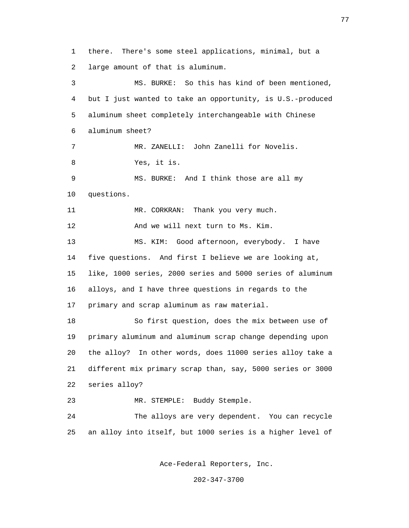1 there. There's some steel applications, minimal, but a 2 large amount of that is aluminum. 3 MS. BURKE: So this has kind of been mentioned, 4 but I just wanted to take an opportunity, is U.S.-produced 5 aluminum sheet completely interchangeable with Chinese 6 aluminum sheet? 7 MR. ZANELLI: John Zanelli for Novelis. 8 Yes, it is. 9 MS. BURKE: And I think those are all my 10 questions. 11 MR. CORKRAN: Thank you very much. 12 And we will next turn to Ms. Kim. 13 MS. KIM: Good afternoon, everybody. I have 14 five questions. And first I believe we are looking at, 15 like, 1000 series, 2000 series and 5000 series of aluminum 16 alloys, and I have three questions in regards to the 17 primary and scrap aluminum as raw material. 18 So first question, does the mix between use of 19 primary aluminum and aluminum scrap change depending upon 20 the alloy? In other words, does 11000 series alloy take a 21 different mix primary scrap than, say, 5000 series or 3000 22 series alloy? 23 MR. STEMPLE: Buddy Stemple. 24 The alloys are very dependent. You can recycle 25 an alloy into itself, but 1000 series is a higher level of

Ace-Federal Reporters, Inc.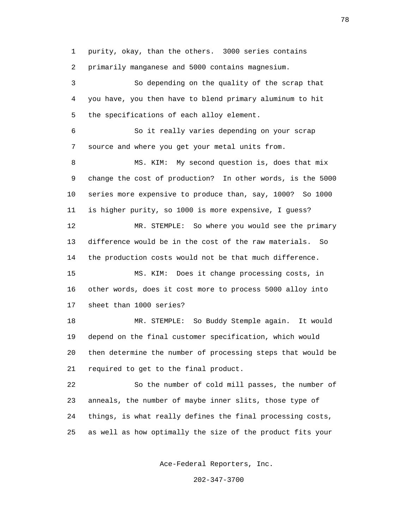1 purity, okay, than the others. 3000 series contains 2 primarily manganese and 5000 contains magnesium.

 3 So depending on the quality of the scrap that 4 you have, you then have to blend primary aluminum to hit 5 the specifications of each alloy element.

 6 So it really varies depending on your scrap 7 source and where you get your metal units from.

 8 MS. KIM: My second question is, does that mix 9 change the cost of production? In other words, is the 5000 10 series more expensive to produce than, say, 1000? So 1000 11 is higher purity, so 1000 is more expensive, I guess? 12 MR. STEMPLE: So where you would see the primary 13 difference would be in the cost of the raw materials. So 14 the production costs would not be that much difference. 15 MS. KIM: Does it change processing costs, in 16 other words, does it cost more to process 5000 alloy into 17 sheet than 1000 series?

 18 MR. STEMPLE: So Buddy Stemple again. It would 19 depend on the final customer specification, which would 20 then determine the number of processing steps that would be 21 required to get to the final product.

 22 So the number of cold mill passes, the number of 23 anneals, the number of maybe inner slits, those type of 24 things, is what really defines the final processing costs, 25 as well as how optimally the size of the product fits your

Ace-Federal Reporters, Inc.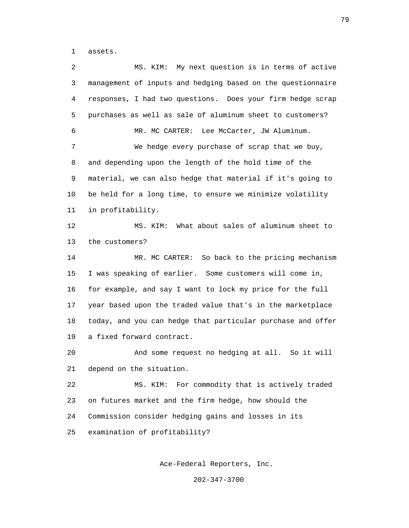1 assets.

 2 MS. KIM: My next question is in terms of active 3 management of inputs and hedging based on the questionnaire 4 responses, I had two questions. Does your firm hedge scrap 5 purchases as well as sale of aluminum sheet to customers? 6 MR. MC CARTER: Lee McCarter, JW Aluminum. 7 We hedge every purchase of scrap that we buy, 8 and depending upon the length of the hold time of the 9 material, we can also hedge that material if it's going to 10 be held for a long time, to ensure we minimize volatility 11 in profitability. 12 MS. KIM: What about sales of aluminum sheet to 13 the customers? 14 MR. MC CARTER: So back to the pricing mechanism 15 I was speaking of earlier. Some customers will come in, 16 for example, and say I want to lock my price for the full 17 year based upon the traded value that's in the marketplace 18 today, and you can hedge that particular purchase and offer 19 a fixed forward contract. 20 And some request no hedging at all. So it will 21 depend on the situation. 22 MS. KIM: For commodity that is actively traded 23 on futures market and the firm hedge, how should the 24 Commission consider hedging gains and losses in its 25 examination of profitability?

Ace-Federal Reporters, Inc.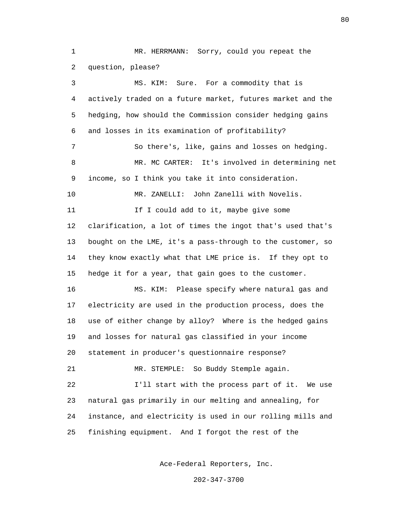1 MR. HERRMANN: Sorry, could you repeat the 2 question, please? 3 MS. KIM: Sure. For a commodity that is 4 actively traded on a future market, futures market and the 5 hedging, how should the Commission consider hedging gains 6 and losses in its examination of profitability? 7 So there's, like, gains and losses on hedging. 8 MR. MC CARTER: It's involved in determining net 9 income, so I think you take it into consideration. 10 MR. ZANELLI: John Zanelli with Novelis. 11 If I could add to it, maybe give some 12 clarification, a lot of times the ingot that's used that's 13 bought on the LME, it's a pass-through to the customer, so 14 they know exactly what that LME price is. If they opt to 15 hedge it for a year, that gain goes to the customer. 16 MS. KIM: Please specify where natural gas and 17 electricity are used in the production process, does the 18 use of either change by alloy? Where is the hedged gains 19 and losses for natural gas classified in your income 20 statement in producer's questionnaire response? 21 MR. STEMPLE: So Buddy Stemple again. 22 I'll start with the process part of it. We use 23 natural gas primarily in our melting and annealing, for 24 instance, and electricity is used in our rolling mills and 25 finishing equipment. And I forgot the rest of the

80 and 2012 and 2012 and 2012 and 2012 and 2012 and 2012 and 2012 and 2012 and 2012 and 2012 and 201

Ace-Federal Reporters, Inc.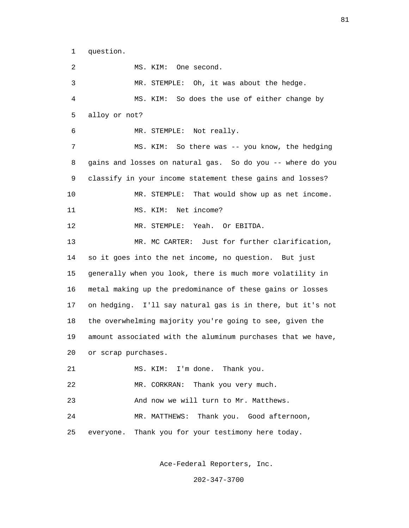1 question.

 2 MS. KIM: One second. 3 MR. STEMPLE: Oh, it was about the hedge. 4 MS. KIM: So does the use of either change by 5 alloy or not? 6 MR. STEMPLE: Not really. 7 MS. KIM: So there was -- you know, the hedging 8 gains and losses on natural gas. So do you -- where do you 9 classify in your income statement these gains and losses? 10 MR. STEMPLE: That would show up as net income. 11 MS. KIM: Net income? 12 MR. STEMPLE: Yeah. Or EBITDA. 13 MR. MC CARTER: Just for further clarification, 14 so it goes into the net income, no question. But just 15 generally when you look, there is much more volatility in 16 metal making up the predominance of these gains or losses 17 on hedging. I'll say natural gas is in there, but it's not 18 the overwhelming majority you're going to see, given the 19 amount associated with the aluminum purchases that we have, 20 or scrap purchases. 21 MS. KIM: I'm done. Thank you. 22 MR. CORKRAN: Thank you very much. 23 And now we will turn to Mr. Matthews. 24 MR. MATTHEWS: Thank you. Good afternoon, 25 everyone. Thank you for your testimony here today.

Ace-Federal Reporters, Inc.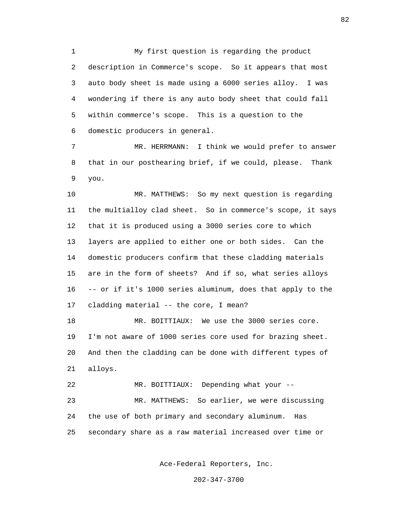1 My first question is regarding the product 2 description in Commerce's scope. So it appears that most 3 auto body sheet is made using a 6000 series alloy. I was 4 wondering if there is any auto body sheet that could fall 5 within commerce's scope. This is a question to the 6 domestic producers in general.

 7 MR. HERRMANN: I think we would prefer to answer 8 that in our posthearing brief, if we could, please. Thank 9 you.

 10 MR. MATTHEWS: So my next question is regarding 11 the multialloy clad sheet. So in commerce's scope, it says 12 that it is produced using a 3000 series core to which 13 layers are applied to either one or both sides. Can the 14 domestic producers confirm that these cladding materials 15 are in the form of sheets? And if so, what series alloys 16 -- or if it's 1000 series aluminum, does that apply to the 17 cladding material -- the core, I mean?

 18 MR. BOITTIAUX: We use the 3000 series core. 19 I'm not aware of 1000 series core used for brazing sheet. 20 And then the cladding can be done with different types of 21 alloys.

22 MR. BOITTIAUX: Depending what your --

 23 MR. MATTHEWS: So earlier, we were discussing 24 the use of both primary and secondary aluminum. Has 25 secondary share as a raw material increased over time or

Ace-Federal Reporters, Inc.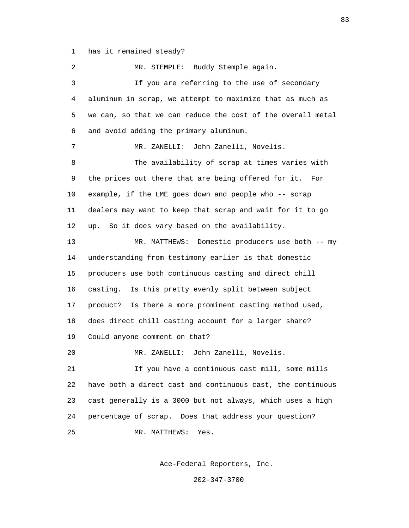1 has it remained steady?

 2 MR. STEMPLE: Buddy Stemple again. 3 If you are referring to the use of secondary 4 aluminum in scrap, we attempt to maximize that as much as 5 we can, so that we can reduce the cost of the overall metal 6 and avoid adding the primary aluminum. 7 MR. ZANELLI: John Zanelli, Novelis. 8 The availability of scrap at times varies with 9 the prices out there that are being offered for it. For 10 example, if the LME goes down and people who -- scrap 11 dealers may want to keep that scrap and wait for it to go 12 up. So it does vary based on the availability. 13 MR. MATTHEWS: Domestic producers use both -- my 14 understanding from testimony earlier is that domestic 15 producers use both continuous casting and direct chill 16 casting. Is this pretty evenly split between subject 17 product? Is there a more prominent casting method used, 18 does direct chill casting account for a larger share? 19 Could anyone comment on that? 20 MR. ZANELLI: John Zanelli, Novelis. 21 If you have a continuous cast mill, some mills 22 have both a direct cast and continuous cast, the continuous 23 cast generally is a 3000 but not always, which uses a high 24 percentage of scrap. Does that address your question? 25 MR. MATTHEWS: Yes.

Ace-Federal Reporters, Inc.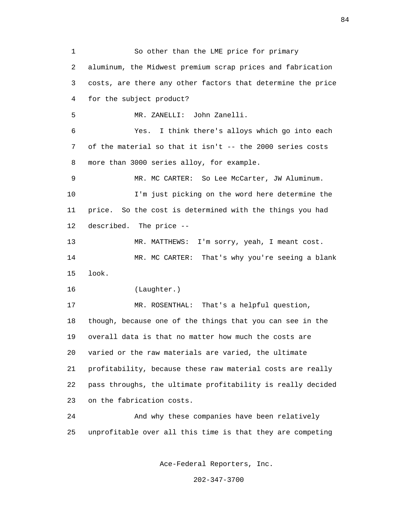1 So other than the LME price for primary 2 aluminum, the Midwest premium scrap prices and fabrication 3 costs, are there any other factors that determine the price 4 for the subject product? 5 MR. ZANELLI: John Zanelli. 6 Yes. I think there's alloys which go into each 7 of the material so that it isn't -- the 2000 series costs 8 more than 3000 series alloy, for example. 9 MR. MC CARTER: So Lee McCarter, JW Aluminum. 10 I'm just picking on the word here determine the 11 price. So the cost is determined with the things you had 12 described. The price -- 13 MR. MATTHEWS: I'm sorry, yeah, I meant cost. 14 MR. MC CARTER: That's why you're seeing a blank 15 look. 16 (Laughter.) 17 MR. ROSENTHAL: That's a helpful question, 18 though, because one of the things that you can see in the 19 overall data is that no matter how much the costs are 20 varied or the raw materials are varied, the ultimate 21 profitability, because these raw material costs are really 22 pass throughs, the ultimate profitability is really decided 23 on the fabrication costs. 24 And why these companies have been relatively 25 unprofitable over all this time is that they are competing

Ace-Federal Reporters, Inc.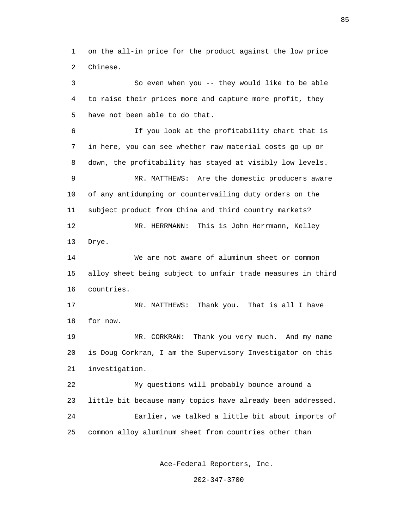1 on the all-in price for the product against the low price 2 Chinese.

 3 So even when you -- they would like to be able 4 to raise their prices more and capture more profit, they 5 have not been able to do that.

 6 If you look at the profitability chart that is 7 in here, you can see whether raw material costs go up or 8 down, the profitability has stayed at visibly low levels. 9 MR. MATTHEWS: Are the domestic producers aware 10 of any antidumping or countervailing duty orders on the 11 subject product from China and third country markets? 12 MR. HERRMANN: This is John Herrmann, Kelley 13 Drye. 14 We are not aware of aluminum sheet or common

 15 alloy sheet being subject to unfair trade measures in third 16 countries.

 17 MR. MATTHEWS: Thank you. That is all I have 18 for now.

 19 MR. CORKRAN: Thank you very much. And my name 20 is Doug Corkran, I am the Supervisory Investigator on this 21 investigation.

 22 My questions will probably bounce around a 23 little bit because many topics have already been addressed. 24 Earlier, we talked a little bit about imports of 25 common alloy aluminum sheet from countries other than

Ace-Federal Reporters, Inc.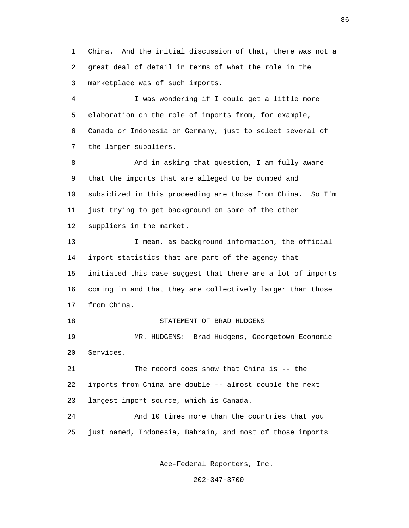1 China. And the initial discussion of that, there was not a 2 great deal of detail in terms of what the role in the 3 marketplace was of such imports.

 4 I was wondering if I could get a little more 5 elaboration on the role of imports from, for example, 6 Canada or Indonesia or Germany, just to select several of 7 the larger suppliers.

 8 And in asking that question, I am fully aware 9 that the imports that are alleged to be dumped and 10 subsidized in this proceeding are those from China. So I'm 11 just trying to get background on some of the other 12 suppliers in the market.

 13 I mean, as background information, the official 14 import statistics that are part of the agency that 15 initiated this case suggest that there are a lot of imports 16 coming in and that they are collectively larger than those 17 from China.

18 STATEMENT OF BRAD HUDGENS

 19 MR. HUDGENS: Brad Hudgens, Georgetown Economic 20 Services.

 21 The record does show that China is -- the 22 imports from China are double -- almost double the next 23 largest import source, which is Canada.

 24 And 10 times more than the countries that you 25 just named, Indonesia, Bahrain, and most of those imports

Ace-Federal Reporters, Inc.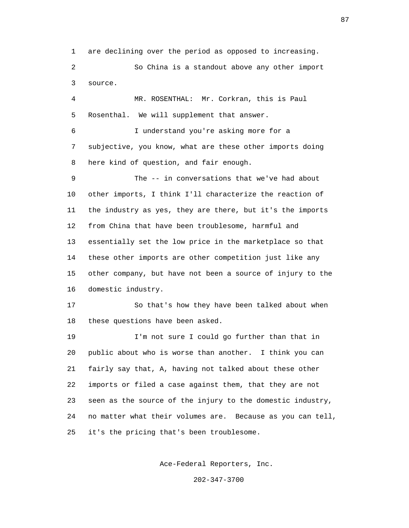1 are declining over the period as opposed to increasing.

 2 So China is a standout above any other import 3 source.

 4 MR. ROSENTHAL: Mr. Corkran, this is Paul 5 Rosenthal. We will supplement that answer.

 6 I understand you're asking more for a 7 subjective, you know, what are these other imports doing 8 here kind of question, and fair enough.

 9 The -- in conversations that we've had about 10 other imports, I think I'll characterize the reaction of 11 the industry as yes, they are there, but it's the imports 12 from China that have been troublesome, harmful and 13 essentially set the low price in the marketplace so that 14 these other imports are other competition just like any 15 other company, but have not been a source of injury to the 16 domestic industry.

 17 So that's how they have been talked about when 18 these questions have been asked.

 19 I'm not sure I could go further than that in 20 public about who is worse than another. I think you can 21 fairly say that, A, having not talked about these other 22 imports or filed a case against them, that they are not 23 seen as the source of the injury to the domestic industry, 24 no matter what their volumes are. Because as you can tell, 25 it's the pricing that's been troublesome.

Ace-Federal Reporters, Inc.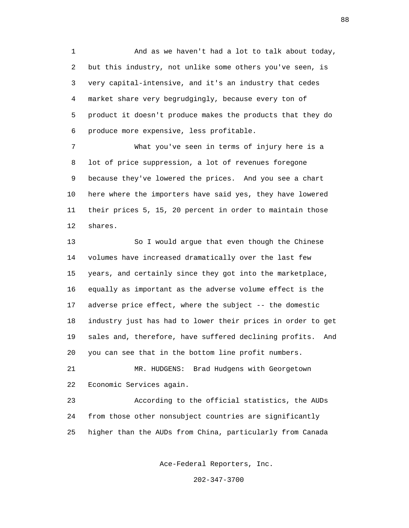1 And as we haven't had a lot to talk about today, 2 but this industry, not unlike some others you've seen, is 3 very capital-intensive, and it's an industry that cedes 4 market share very begrudgingly, because every ton of 5 product it doesn't produce makes the products that they do 6 produce more expensive, less profitable.

 7 What you've seen in terms of injury here is a 8 lot of price suppression, a lot of revenues foregone 9 because they've lowered the prices. And you see a chart 10 here where the importers have said yes, they have lowered 11 their prices 5, 15, 20 percent in order to maintain those 12 shares.

 13 So I would argue that even though the Chinese 14 volumes have increased dramatically over the last few 15 years, and certainly since they got into the marketplace, 16 equally as important as the adverse volume effect is the 17 adverse price effect, where the subject -- the domestic 18 industry just has had to lower their prices in order to get 19 sales and, therefore, have suffered declining profits. And 20 you can see that in the bottom line profit numbers.

 21 MR. HUDGENS: Brad Hudgens with Georgetown 22 Economic Services again.

 23 According to the official statistics, the AUDs 24 from those other nonsubject countries are significantly 25 higher than the AUDs from China, particularly from Canada

Ace-Federal Reporters, Inc.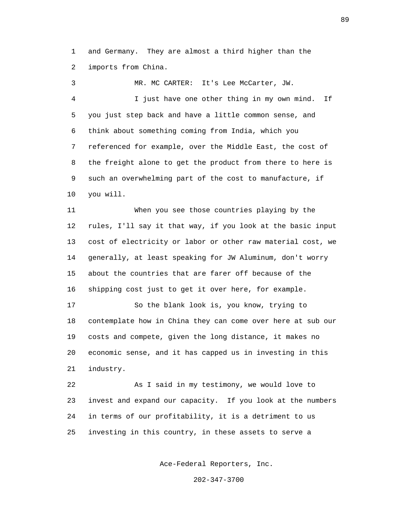1 and Germany. They are almost a third higher than the 2 imports from China.

 3 MR. MC CARTER: It's Lee McCarter, JW. 4 I just have one other thing in my own mind. If 5 you just step back and have a little common sense, and 6 think about something coming from India, which you 7 referenced for example, over the Middle East, the cost of 8 the freight alone to get the product from there to here is 9 such an overwhelming part of the cost to manufacture, if 10 you will.

 11 When you see those countries playing by the 12 rules, I'll say it that way, if you look at the basic input 13 cost of electricity or labor or other raw material cost, we 14 generally, at least speaking for JW Aluminum, don't worry 15 about the countries that are farer off because of the 16 shipping cost just to get it over here, for example.

 17 So the blank look is, you know, trying to 18 contemplate how in China they can come over here at sub our 19 costs and compete, given the long distance, it makes no 20 economic sense, and it has capped us in investing in this 21 industry.

 22 As I said in my testimony, we would love to 23 invest and expand our capacity. If you look at the numbers 24 in terms of our profitability, it is a detriment to us 25 investing in this country, in these assets to serve a

Ace-Federal Reporters, Inc.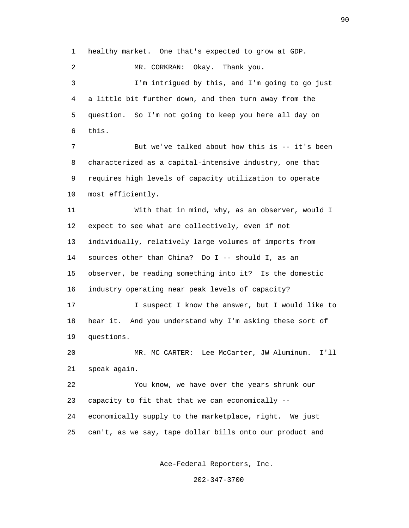1 healthy market. One that's expected to grow at GDP.

2 MR. CORKRAN: Okay. Thank you.

 3 I'm intrigued by this, and I'm going to go just 4 a little bit further down, and then turn away from the 5 question. So I'm not going to keep you here all day on 6 this.

7 But we've talked about how this is -- it's been 8 characterized as a capital-intensive industry, one that 9 requires high levels of capacity utilization to operate 10 most efficiently.

 11 With that in mind, why, as an observer, would I 12 expect to see what are collectively, even if not 13 individually, relatively large volumes of imports from 14 sources other than China? Do I -- should I, as an 15 observer, be reading something into it? Is the domestic 16 industry operating near peak levels of capacity? 17 I suspect I know the answer, but I would like to

 18 hear it. And you understand why I'm asking these sort of 19 questions.

 20 MR. MC CARTER: Lee McCarter, JW Aluminum. I'll 21 speak again.

 22 You know, we have over the years shrunk our 23 capacity to fit that that we can economically -- 24 economically supply to the marketplace, right. We just 25 can't, as we say, tape dollar bills onto our product and

Ace-Federal Reporters, Inc.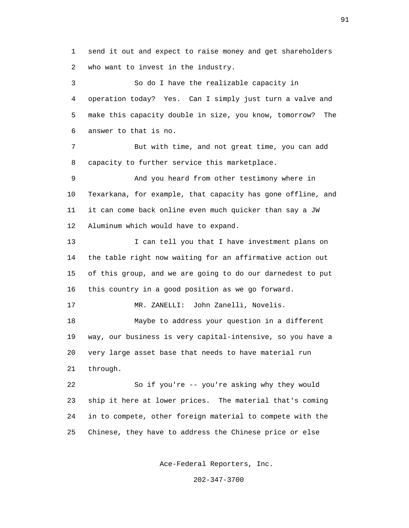1 send it out and expect to raise money and get shareholders 2 who want to invest in the industry.

 3 So do I have the realizable capacity in 4 operation today? Yes. Can I simply just turn a valve and 5 make this capacity double in size, you know, tomorrow? The 6 answer to that is no. 7 But with time, and not great time, you can add 8 capacity to further service this marketplace. 9 And you heard from other testimony where in 10 Texarkana, for example, that capacity has gone offline, and 11 it can come back online even much quicker than say a JW 12 Aluminum which would have to expand. 13 I can tell you that I have investment plans on 14 the table right now waiting for an affirmative action out

 15 of this group, and we are going to do our darnedest to put 16 this country in a good position as we go forward.

 17 MR. ZANELLI: John Zanelli, Novelis. 18 Maybe to address your question in a different 19 way, our business is very capital-intensive, so you have a 20 very large asset base that needs to have material run

21 through.

 22 So if you're -- you're asking why they would 23 ship it here at lower prices. The material that's coming 24 in to compete, other foreign material to compete with the 25 Chinese, they have to address the Chinese price or else

Ace-Federal Reporters, Inc.

202-347-3700

91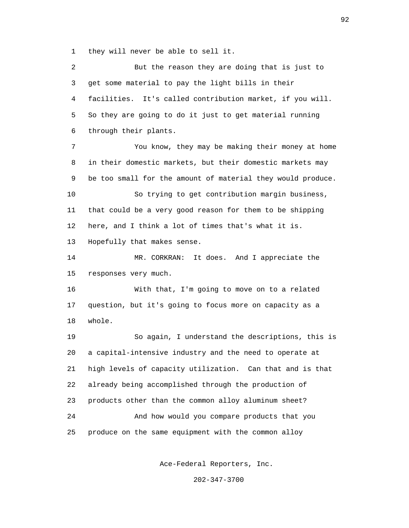1 they will never be able to sell it.

 2 But the reason they are doing that is just to 3 get some material to pay the light bills in their 4 facilities. It's called contribution market, if you will. 5 So they are going to do it just to get material running 6 through their plants. 7 You know, they may be making their money at home 8 in their domestic markets, but their domestic markets may 9 be too small for the amount of material they would produce. 10 So trying to get contribution margin business, 11 that could be a very good reason for them to be shipping 12 here, and I think a lot of times that's what it is. 13 Hopefully that makes sense. 14 MR. CORKRAN: It does. And I appreciate the 15 responses very much. 16 With that, I'm going to move on to a related 17 question, but it's going to focus more on capacity as a 18 whole. 19 So again, I understand the descriptions, this is 20 a capital-intensive industry and the need to operate at 21 high levels of capacity utilization. Can that and is that 22 already being accomplished through the production of 23 products other than the common alloy aluminum sheet? 24 And how would you compare products that you 25 produce on the same equipment with the common alloy

Ace-Federal Reporters, Inc.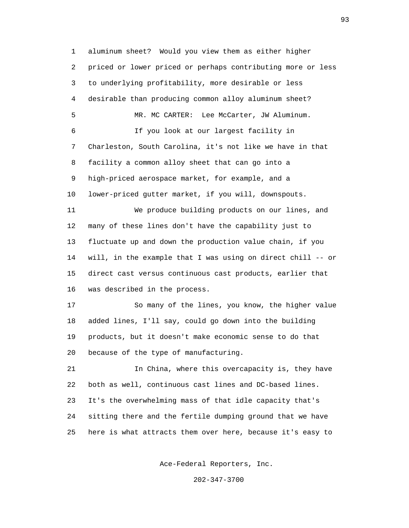1 aluminum sheet? Would you view them as either higher 2 priced or lower priced or perhaps contributing more or less 3 to underlying profitability, more desirable or less 4 desirable than producing common alloy aluminum sheet? 5 MR. MC CARTER: Lee McCarter, JW Aluminum. 6 If you look at our largest facility in 7 Charleston, South Carolina, it's not like we have in that 8 facility a common alloy sheet that can go into a 9 high-priced aerospace market, for example, and a 10 lower-priced gutter market, if you will, downspouts. 11 We produce building products on our lines, and 12 many of these lines don't have the capability just to 13 fluctuate up and down the production value chain, if you 14 will, in the example that I was using on direct chill -- or 15 direct cast versus continuous cast products, earlier that 16 was described in the process. 17 So many of the lines, you know, the higher value 18 added lines, I'll say, could go down into the building 19 products, but it doesn't make economic sense to do that 20 because of the type of manufacturing. 21 In China, where this overcapacity is, they have 22 both as well, continuous cast lines and DC-based lines. 23 It's the overwhelming mass of that idle capacity that's 24 sitting there and the fertile dumping ground that we have 25 here is what attracts them over here, because it's easy to

Ace-Federal Reporters, Inc.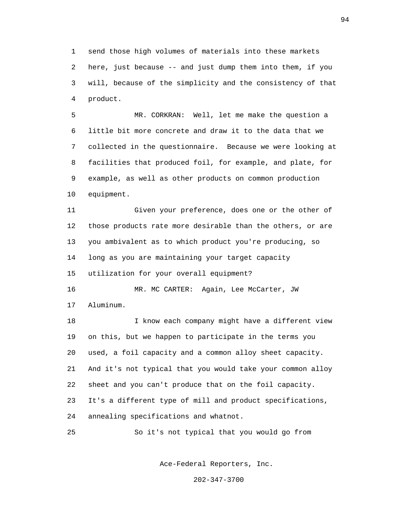1 send those high volumes of materials into these markets 2 here, just because -- and just dump them into them, if you 3 will, because of the simplicity and the consistency of that 4 product.

 5 MR. CORKRAN: Well, let me make the question a 6 little bit more concrete and draw it to the data that we 7 collected in the questionnaire. Because we were looking at 8 facilities that produced foil, for example, and plate, for 9 example, as well as other products on common production 10 equipment.

 11 Given your preference, does one or the other of 12 those products rate more desirable than the others, or are 13 you ambivalent as to which product you're producing, so 14 long as you are maintaining your target capacity 15 utilization for your overall equipment?

 16 MR. MC CARTER: Again, Lee McCarter, JW 17 Aluminum.

 18 I know each company might have a different view 19 on this, but we happen to participate in the terms you 20 used, a foil capacity and a common alloy sheet capacity. 21 And it's not typical that you would take your common alloy 22 sheet and you can't produce that on the foil capacity. 23 It's a different type of mill and product specifications, 24 annealing specifications and whatnot.

25 So it's not typical that you would go from

Ace-Federal Reporters, Inc.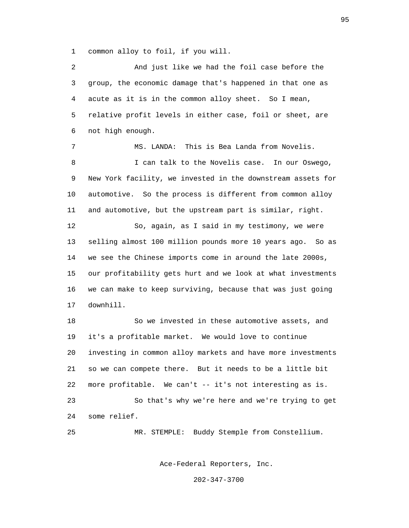1 common alloy to foil, if you will.

 2 And just like we had the foil case before the 3 group, the economic damage that's happened in that one as 4 acute as it is in the common alloy sheet. So I mean, 5 relative profit levels in either case, foil or sheet, are 6 not high enough. 7 MS. LANDA: This is Bea Landa from Novelis. 8 I can talk to the Novelis case. In our Oswego, 9 New York facility, we invested in the downstream assets for 10 automotive. So the process is different from common alloy 11 and automotive, but the upstream part is similar, right. 12 So, again, as I said in my testimony, we were 13 selling almost 100 million pounds more 10 years ago. So as 14 we see the Chinese imports come in around the late 2000s, 15 our profitability gets hurt and we look at what investments 16 we can make to keep surviving, because that was just going 17 downhill. 18 So we invested in these automotive assets, and 19 it's a profitable market. We would love to continue 20 investing in common alloy markets and have more investments 21 so we can compete there. But it needs to be a little bit 22 more profitable. We can't -- it's not interesting as is. 23 So that's why we're here and we're trying to get 24 some relief. 25 MR. STEMPLE: Buddy Stemple from Constellium.

Ace-Federal Reporters, Inc.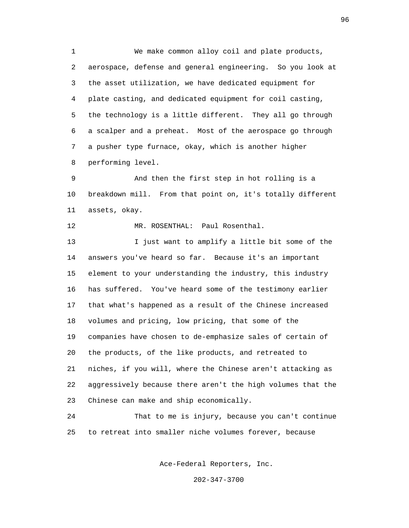1 We make common alloy coil and plate products, 2 aerospace, defense and general engineering. So you look at 3 the asset utilization, we have dedicated equipment for 4 plate casting, and dedicated equipment for coil casting, 5 the technology is a little different. They all go through 6 a scalper and a preheat. Most of the aerospace go through 7 a pusher type furnace, okay, which is another higher 8 performing level.

 9 And then the first step in hot rolling is a 10 breakdown mill. From that point on, it's totally different 11 assets, okay.

12 MR. ROSENTHAL: Paul Rosenthal.

 13 I just want to amplify a little bit some of the 14 answers you've heard so far. Because it's an important 15 element to your understanding the industry, this industry 16 has suffered. You've heard some of the testimony earlier 17 that what's happened as a result of the Chinese increased 18 volumes and pricing, low pricing, that some of the 19 companies have chosen to de-emphasize sales of certain of 20 the products, of the like products, and retreated to 21 niches, if you will, where the Chinese aren't attacking as 22 aggressively because there aren't the high volumes that the 23 Chinese can make and ship economically.

 24 That to me is injury, because you can't continue 25 to retreat into smaller niche volumes forever, because

Ace-Federal Reporters, Inc.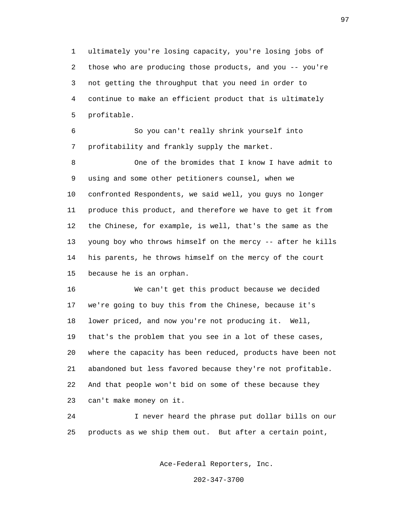1 ultimately you're losing capacity, you're losing jobs of 2 those who are producing those products, and you -- you're 3 not getting the throughput that you need in order to 4 continue to make an efficient product that is ultimately 5 profitable.

 6 So you can't really shrink yourself into 7 profitability and frankly supply the market.

 8 One of the bromides that I know I have admit to 9 using and some other petitioners counsel, when we 10 confronted Respondents, we said well, you guys no longer 11 produce this product, and therefore we have to get it from 12 the Chinese, for example, is well, that's the same as the 13 young boy who throws himself on the mercy -- after he kills 14 his parents, he throws himself on the mercy of the court 15 because he is an orphan.

 16 We can't get this product because we decided 17 we're going to buy this from the Chinese, because it's 18 lower priced, and now you're not producing it. Well, 19 that's the problem that you see in a lot of these cases, 20 where the capacity has been reduced, products have been not 21 abandoned but less favored because they're not profitable. 22 And that people won't bid on some of these because they 23 can't make money on it.

 24 I never heard the phrase put dollar bills on our 25 products as we ship them out. But after a certain point,

Ace-Federal Reporters, Inc.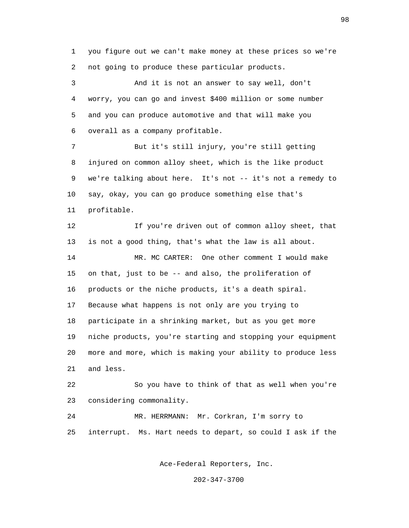1 you figure out we can't make money at these prices so we're 2 not going to produce these particular products.

 3 And it is not an answer to say well, don't 4 worry, you can go and invest \$400 million or some number 5 and you can produce automotive and that will make you 6 overall as a company profitable.

 7 But it's still injury, you're still getting 8 injured on common alloy sheet, which is the like product 9 we're talking about here. It's not -- it's not a remedy to 10 say, okay, you can go produce something else that's 11 profitable.

 12 If you're driven out of common alloy sheet, that 13 is not a good thing, that's what the law is all about. 14 MR. MC CARTER: One other comment I would make 15 on that, just to be -- and also, the proliferation of 16 products or the niche products, it's a death spiral. 17 Because what happens is not only are you trying to 18 participate in a shrinking market, but as you get more 19 niche products, you're starting and stopping your equipment 20 more and more, which is making your ability to produce less 21 and less.

 22 So you have to think of that as well when you're 23 considering commonality.

 24 MR. HERRMANN: Mr. Corkran, I'm sorry to 25 interrupt. Ms. Hart needs to depart, so could I ask if the

Ace-Federal Reporters, Inc.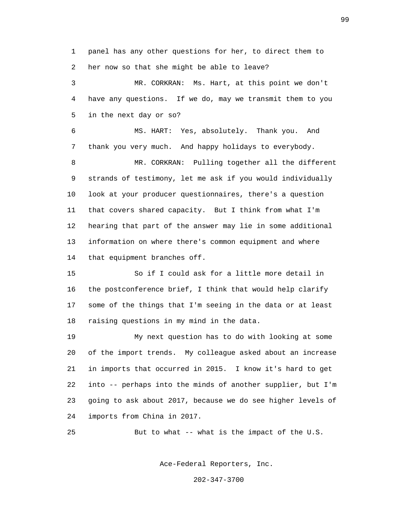1 panel has any other questions for her, to direct them to 2 her now so that she might be able to leave?

 3 MR. CORKRAN: Ms. Hart, at this point we don't 4 have any questions. If we do, may we transmit them to you 5 in the next day or so?

 6 MS. HART: Yes, absolutely. Thank you. And 7 thank you very much. And happy holidays to everybody.

 8 MR. CORKRAN: Pulling together all the different 9 strands of testimony, let me ask if you would individually 10 look at your producer questionnaires, there's a question 11 that covers shared capacity. But I think from what I'm 12 hearing that part of the answer may lie in some additional 13 information on where there's common equipment and where 14 that equipment branches off.

 15 So if I could ask for a little more detail in 16 the postconference brief, I think that would help clarify 17 some of the things that I'm seeing in the data or at least 18 raising questions in my mind in the data.

 19 My next question has to do with looking at some 20 of the import trends. My colleague asked about an increase 21 in imports that occurred in 2015. I know it's hard to get 22 into -- perhaps into the minds of another supplier, but I'm 23 going to ask about 2017, because we do see higher levels of 24 imports from China in 2017.

25 But to what -- what is the impact of the U.S.

Ace-Federal Reporters, Inc.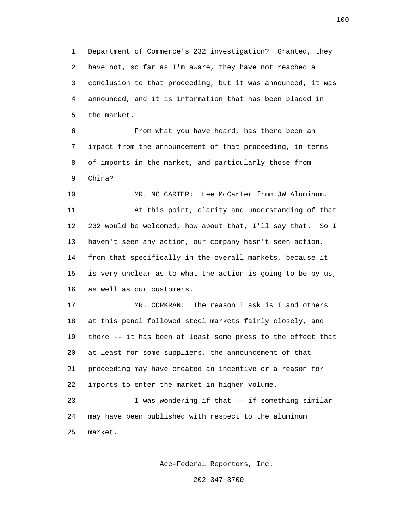1 Department of Commerce's 232 investigation? Granted, they 2 have not, so far as I'm aware, they have not reached a 3 conclusion to that proceeding, but it was announced, it was 4 announced, and it is information that has been placed in 5 the market.

 6 From what you have heard, has there been an 7 impact from the announcement of that proceeding, in terms 8 of imports in the market, and particularly those from 9 China?

 10 MR. MC CARTER: Lee McCarter from JW Aluminum. 11 At this point, clarity and understanding of that 12 232 would be welcomed, how about that, I'll say that. So I 13 haven't seen any action, our company hasn't seen action, 14 from that specifically in the overall markets, because it 15 is very unclear as to what the action is going to be by us, 16 as well as our customers.

 17 MR. CORKRAN: The reason I ask is I and others 18 at this panel followed steel markets fairly closely, and 19 there -- it has been at least some press to the effect that 20 at least for some suppliers, the announcement of that 21 proceeding may have created an incentive or a reason for 22 imports to enter the market in higher volume.

 23 I was wondering if that -- if something similar 24 may have been published with respect to the aluminum 25 market.

Ace-Federal Reporters, Inc.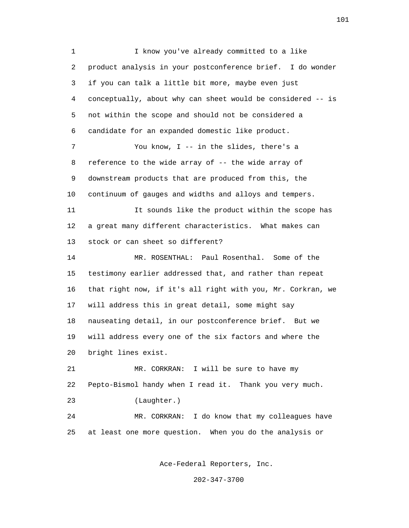1 I know you've already committed to a like 2 product analysis in your postconference brief. I do wonder 3 if you can talk a little bit more, maybe even just 4 conceptually, about why can sheet would be considered -- is 5 not within the scope and should not be considered a 6 candidate for an expanded domestic like product. 7 You know, I -- in the slides, there's a 8 reference to the wide array of -- the wide array of 9 downstream products that are produced from this, the 10 continuum of gauges and widths and alloys and tempers. 11 It sounds like the product within the scope has 12 a great many different characteristics. What makes can 13 stock or can sheet so different? 14 MR. ROSENTHAL: Paul Rosenthal. Some of the 15 testimony earlier addressed that, and rather than repeat 16 that right now, if it's all right with you, Mr. Corkran, we 17 will address this in great detail, some might say 18 nauseating detail, in our postconference brief. But we 19 will address every one of the six factors and where the 20 bright lines exist. 21 MR. CORKRAN: I will be sure to have my 22 Pepto-Bismol handy when I read it. Thank you very much. 23 (Laughter.) 24 MR. CORKRAN: I do know that my colleagues have 25 at least one more question. When you do the analysis or

Ace-Federal Reporters, Inc.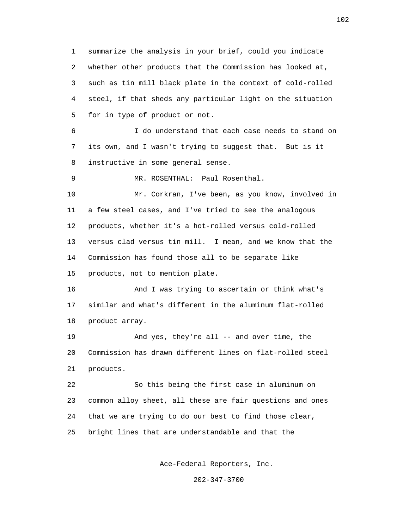1 summarize the analysis in your brief, could you indicate 2 whether other products that the Commission has looked at, 3 such as tin mill black plate in the context of cold-rolled 4 steel, if that sheds any particular light on the situation 5 for in type of product or not. 6 I do understand that each case needs to stand on 7 its own, and I wasn't trying to suggest that. But is it 8 instructive in some general sense. 9 MR. ROSENTHAL: Paul Rosenthal. 10 Mr. Corkran, I've been, as you know, involved in 11 a few steel cases, and I've tried to see the analogous 12 products, whether it's a hot-rolled versus cold-rolled 13 versus clad versus tin mill. I mean, and we know that the 14 Commission has found those all to be separate like 15 products, not to mention plate. 16 And I was trying to ascertain or think what's 17 similar and what's different in the aluminum flat-rolled 18 product array. 19 And yes, they're all -- and over time, the 20 Commission has drawn different lines on flat-rolled steel 21 products. 22 So this being the first case in aluminum on 23 common alloy sheet, all these are fair questions and ones 24 that we are trying to do our best to find those clear, 25 bright lines that are understandable and that the

Ace-Federal Reporters, Inc.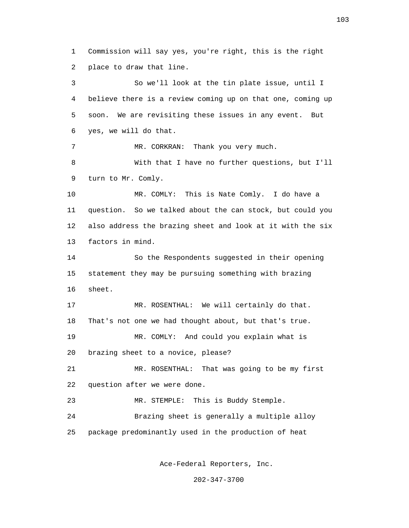1 Commission will say yes, you're right, this is the right 2 place to draw that line.

 3 So we'll look at the tin plate issue, until I 4 believe there is a review coming up on that one, coming up 5 soon. We are revisiting these issues in any event. But 6 yes, we will do that. 7 MR. CORKRAN: Thank you very much. 8 With that I have no further questions, but I'll 9 turn to Mr. Comly. 10 MR. COMLY: This is Nate Comly. I do have a 11 question. So we talked about the can stock, but could you 12 also address the brazing sheet and look at it with the six 13 factors in mind. 14 So the Respondents suggested in their opening 15 statement they may be pursuing something with brazing 16 sheet. 17 MR. ROSENTHAL: We will certainly do that. 18 That's not one we had thought about, but that's true. 19 MR. COMLY: And could you explain what is 20 brazing sheet to a novice, please? 21 MR. ROSENTHAL: That was going to be my first 22 question after we were done. 23 MR. STEMPLE: This is Buddy Stemple. 24 Brazing sheet is generally a multiple alloy 25 package predominantly used in the production of heat

Ace-Federal Reporters, Inc.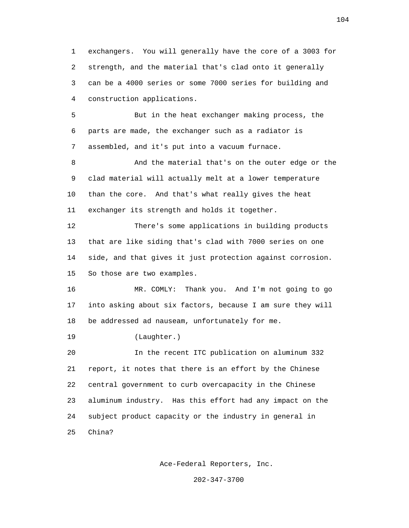1 exchangers. You will generally have the core of a 3003 for 2 strength, and the material that's clad onto it generally 3 can be a 4000 series or some 7000 series for building and 4 construction applications.

 5 But in the heat exchanger making process, the 6 parts are made, the exchanger such as a radiator is 7 assembled, and it's put into a vacuum furnace.

 8 And the material that's on the outer edge or the 9 clad material will actually melt at a lower temperature 10 than the core. And that's what really gives the heat 11 exchanger its strength and holds it together.

 12 There's some applications in building products 13 that are like siding that's clad with 7000 series on one 14 side, and that gives it just protection against corrosion. 15 So those are two examples.

 16 MR. COMLY: Thank you. And I'm not going to go 17 into asking about six factors, because I am sure they will 18 be addressed ad nauseam, unfortunately for me.

19 (Laughter.)

 20 In the recent ITC publication on aluminum 332 21 report, it notes that there is an effort by the Chinese 22 central government to curb overcapacity in the Chinese 23 aluminum industry. Has this effort had any impact on the 24 subject product capacity or the industry in general in 25 China?

Ace-Federal Reporters, Inc.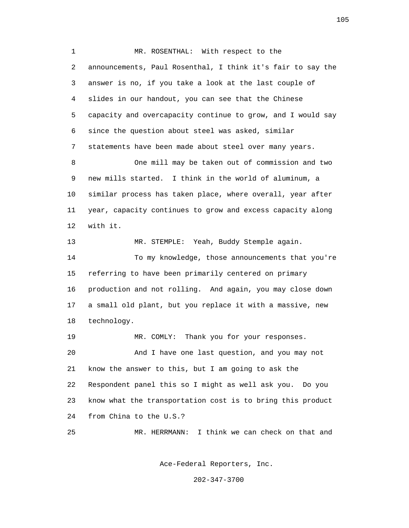1 MR. ROSENTHAL: With respect to the 2 announcements, Paul Rosenthal, I think it's fair to say the 3 answer is no, if you take a look at the last couple of 4 slides in our handout, you can see that the Chinese 5 capacity and overcapacity continue to grow, and I would say 6 since the question about steel was asked, similar 7 statements have been made about steel over many years. 8 One mill may be taken out of commission and two 9 new mills started. I think in the world of aluminum, a 10 similar process has taken place, where overall, year after 11 year, capacity continues to grow and excess capacity along 12 with it. 13 MR. STEMPLE: Yeah, Buddy Stemple again. 14 To my knowledge, those announcements that you're 15 referring to have been primarily centered on primary 16 production and not rolling. And again, you may close down 17 a small old plant, but you replace it with a massive, new 18 technology. 19 MR. COMLY: Thank you for your responses. 20 And I have one last question, and you may not 21 know the answer to this, but I am going to ask the 22 Respondent panel this so I might as well ask you. Do you 23 know what the transportation cost is to bring this product 24 from China to the U.S.? 25 MR. HERRMANN: I think we can check on that and

Ace-Federal Reporters, Inc.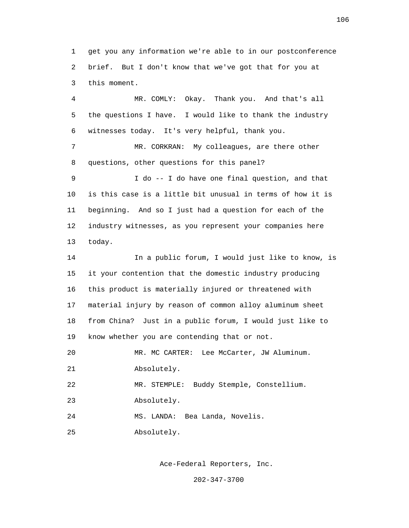1 get you any information we're able to in our postconference 2 brief. But I don't know that we've got that for you at 3 this moment.

 4 MR. COMLY: Okay. Thank you. And that's all 5 the questions I have. I would like to thank the industry 6 witnesses today. It's very helpful, thank you. 7 MR. CORKRAN: My colleagues, are there other

8 questions, other questions for this panel?

 9 I do -- I do have one final question, and that 10 is this case is a little bit unusual in terms of how it is 11 beginning. And so I just had a question for each of the 12 industry witnesses, as you represent your companies here 13 today.

 14 In a public forum, I would just like to know, is 15 it your contention that the domestic industry producing 16 this product is materially injured or threatened with 17 material injury by reason of common alloy aluminum sheet 18 from China? Just in a public forum, I would just like to 19 know whether you are contending that or not.

 20 MR. MC CARTER: Lee McCarter, JW Aluminum. 21 Absolutely.

22 MR. STEMPLE: Buddy Stemple, Constellium.

23 Absolutely.

24 MS. LANDA: Bea Landa, Novelis.

25 Absolutely.

Ace-Federal Reporters, Inc.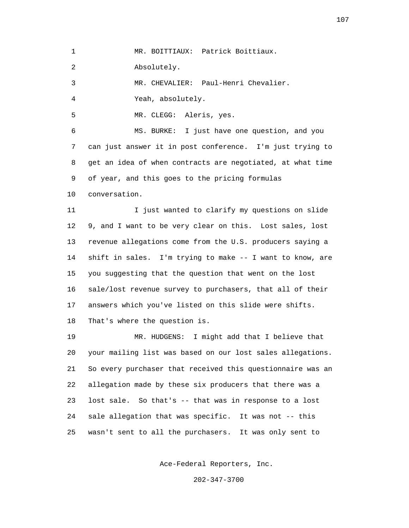1 MR. BOITTIAUX: Patrick Boittiaux.

2 Absolutely.

3 MR. CHEVALIER: Paul-Henri Chevalier.

4 Yeah, absolutely.

5 MR. CLEGG: Aleris, yes.

 6 MS. BURKE: I just have one question, and you 7 can just answer it in post conference. I'm just trying to 8 get an idea of when contracts are negotiated, at what time 9 of year, and this goes to the pricing formulas

10 conversation.

11 11 I just wanted to clarify my questions on slide 12 9, and I want to be very clear on this. Lost sales, lost 13 revenue allegations come from the U.S. producers saying a 14 shift in sales. I'm trying to make -- I want to know, are 15 you suggesting that the question that went on the lost 16 sale/lost revenue survey to purchasers, that all of their 17 answers which you've listed on this slide were shifts. 18 That's where the question is.

 19 MR. HUDGENS: I might add that I believe that 20 your mailing list was based on our lost sales allegations. 21 So every purchaser that received this questionnaire was an 22 allegation made by these six producers that there was a 23 lost sale. So that's -- that was in response to a lost 24 sale allegation that was specific. It was not -- this 25 wasn't sent to all the purchasers. It was only sent to

Ace-Federal Reporters, Inc.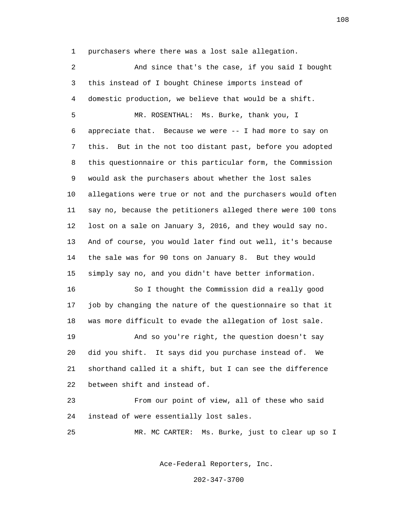1 purchasers where there was a lost sale allegation.

 2 And since that's the case, if you said I bought 3 this instead of I bought Chinese imports instead of 4 domestic production, we believe that would be a shift. 5 MR. ROSENTHAL: Ms. Burke, thank you, I 6 appreciate that. Because we were -- I had more to say on 7 this. But in the not too distant past, before you adopted 8 this questionnaire or this particular form, the Commission 9 would ask the purchasers about whether the lost sales 10 allegations were true or not and the purchasers would often 11 say no, because the petitioners alleged there were 100 tons 12 lost on a sale on January 3, 2016, and they would say no. 13 And of course, you would later find out well, it's because 14 the sale was for 90 tons on January 8. But they would 15 simply say no, and you didn't have better information. 16 So I thought the Commission did a really good 17 job by changing the nature of the questionnaire so that it 18 was more difficult to evade the allegation of lost sale. 19 And so you're right, the question doesn't say 20 did you shift. It says did you purchase instead of. We 21 shorthand called it a shift, but I can see the difference 22 between shift and instead of. 23 From our point of view, all of these who said 24 instead of were essentially lost sales. 25 MR. MC CARTER: Ms. Burke, just to clear up so I

Ace-Federal Reporters, Inc.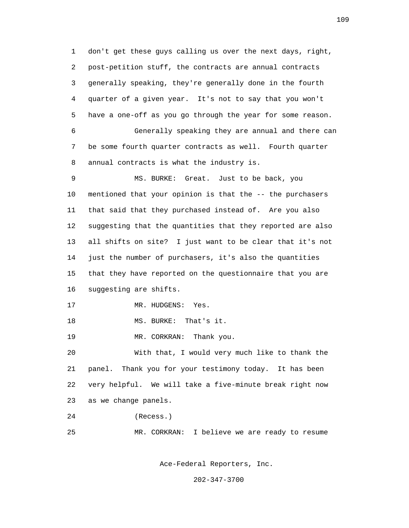1 don't get these guys calling us over the next days, right, 2 post-petition stuff, the contracts are annual contracts 3 generally speaking, they're generally done in the fourth 4 quarter of a given year. It's not to say that you won't 5 have a one-off as you go through the year for some reason. 6 Generally speaking they are annual and there can 7 be some fourth quarter contracts as well. Fourth quarter 8 annual contracts is what the industry is. 9 MS. BURKE: Great. Just to be back, you 10 mentioned that your opinion is that the -- the purchasers 11 that said that they purchased instead of. Are you also 12 suggesting that the quantities that they reported are also 13 all shifts on site? I just want to be clear that it's not 14 just the number of purchasers, it's also the quantities 15 that they have reported on the questionnaire that you are 16 suggesting are shifts. 17 MR. HUDGENS: Yes. 18 MS. BURKE: That's it. 19 MR. CORKRAN: Thank you. 20 With that, I would very much like to thank the 21 panel. Thank you for your testimony today. It has been 22 very helpful. We will take a five-minute break right now 23 as we change panels. 24 (Recess.) 25 MR. CORKRAN: I believe we are ready to resume

Ace-Federal Reporters, Inc.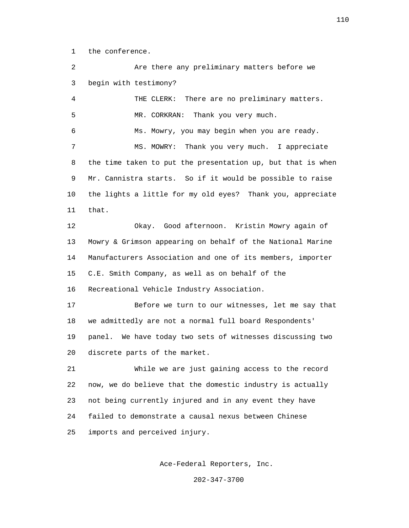1 the conference.

 2 Are there any preliminary matters before we 3 begin with testimony? 4 THE CLERK: There are no preliminary matters. 5 MR. CORKRAN: Thank you very much. 6 Ms. Mowry, you may begin when you are ready. 7 MS. MOWRY: Thank you very much. I appreciate 8 the time taken to put the presentation up, but that is when 9 Mr. Cannistra starts. So if it would be possible to raise 10 the lights a little for my old eyes? Thank you, appreciate 11 that. 12 Okay. Good afternoon. Kristin Mowry again of 13 Mowry & Grimson appearing on behalf of the National Marine 14 Manufacturers Association and one of its members, importer 15 C.E. Smith Company, as well as on behalf of the 16 Recreational Vehicle Industry Association. 17 Before we turn to our witnesses, let me say that 18 we admittedly are not a normal full board Respondents' 19 panel. We have today two sets of witnesses discussing two 20 discrete parts of the market. 21 While we are just gaining access to the record 22 now, we do believe that the domestic industry is actually 23 not being currently injured and in any event they have 24 failed to demonstrate a causal nexus between Chinese 25 imports and perceived injury.

Ace-Federal Reporters, Inc.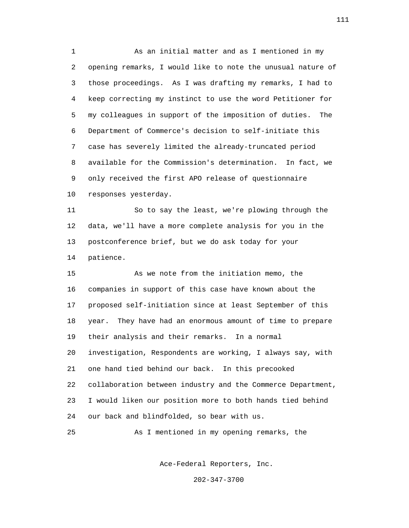1 As an initial matter and as I mentioned in my 2 opening remarks, I would like to note the unusual nature of 3 those proceedings. As I was drafting my remarks, I had to 4 keep correcting my instinct to use the word Petitioner for 5 my colleagues in support of the imposition of duties. The 6 Department of Commerce's decision to self-initiate this 7 case has severely limited the already-truncated period 8 available for the Commission's determination. In fact, we 9 only received the first APO release of questionnaire 10 responses yesterday.

 11 So to say the least, we're plowing through the 12 data, we'll have a more complete analysis for you in the 13 postconference brief, but we do ask today for your 14 patience.

 15 As we note from the initiation memo, the 16 companies in support of this case have known about the 17 proposed self-initiation since at least September of this 18 year. They have had an enormous amount of time to prepare 19 their analysis and their remarks. In a normal 20 investigation, Respondents are working, I always say, with 21 one hand tied behind our back. In this precooked 22 collaboration between industry and the Commerce Department, 23 I would liken our position more to both hands tied behind 24 our back and blindfolded, so bear with us.

25 As I mentioned in my opening remarks, the

Ace-Federal Reporters, Inc.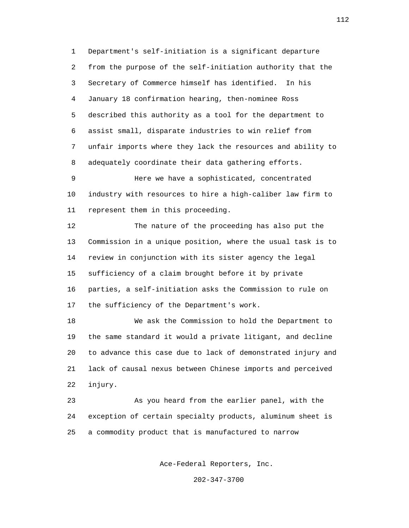1 Department's self-initiation is a significant departure 2 from the purpose of the self-initiation authority that the 3 Secretary of Commerce himself has identified. In his 4 January 18 confirmation hearing, then-nominee Ross 5 described this authority as a tool for the department to 6 assist small, disparate industries to win relief from 7 unfair imports where they lack the resources and ability to 8 adequately coordinate their data gathering efforts.

 9 Here we have a sophisticated, concentrated 10 industry with resources to hire a high-caliber law firm to 11 represent them in this proceeding.

 12 The nature of the proceeding has also put the 13 Commission in a unique position, where the usual task is to 14 review in conjunction with its sister agency the legal 15 sufficiency of a claim brought before it by private 16 parties, a self-initiation asks the Commission to rule on 17 the sufficiency of the Department's work.

 18 We ask the Commission to hold the Department to 19 the same standard it would a private litigant, and decline 20 to advance this case due to lack of demonstrated injury and 21 lack of causal nexus between Chinese imports and perceived 22 injury.

 23 As you heard from the earlier panel, with the 24 exception of certain specialty products, aluminum sheet is 25 a commodity product that is manufactured to narrow

Ace-Federal Reporters, Inc.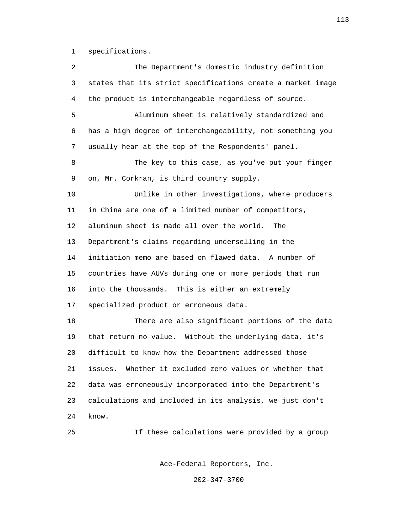1 specifications.

 2 The Department's domestic industry definition 3 states that its strict specifications create a market image 4 the product is interchangeable regardless of source. 5 Aluminum sheet is relatively standardized and 6 has a high degree of interchangeability, not something you 7 usually hear at the top of the Respondents' panel. 8 The key to this case, as you've put your finger 9 on, Mr. Corkran, is third country supply. 10 Unlike in other investigations, where producers 11 in China are one of a limited number of competitors, 12 aluminum sheet is made all over the world. The 13 Department's claims regarding underselling in the 14 initiation memo are based on flawed data. A number of 15 countries have AUVs during one or more periods that run 16 into the thousands. This is either an extremely 17 specialized product or erroneous data. 18 There are also significant portions of the data 19 that return no value. Without the underlying data, it's 20 difficult to know how the Department addressed those 21 issues. Whether it excluded zero values or whether that 22 data was erroneously incorporated into the Department's 23 calculations and included in its analysis, we just don't 24 know. 25 If these calculations were provided by a group

Ace-Federal Reporters, Inc.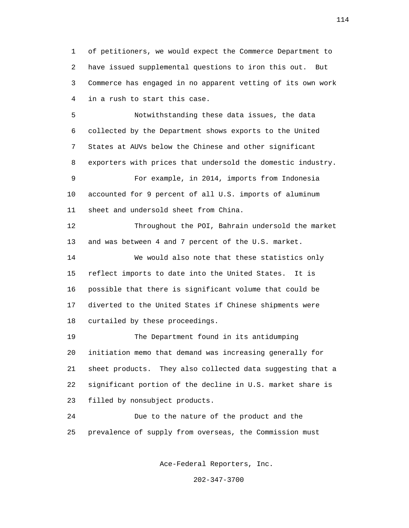1 of petitioners, we would expect the Commerce Department to 2 have issued supplemental questions to iron this out. But 3 Commerce has engaged in no apparent vetting of its own work 4 in a rush to start this case.

 5 Notwithstanding these data issues, the data 6 collected by the Department shows exports to the United 7 States at AUVs below the Chinese and other significant 8 exporters with prices that undersold the domestic industry. 9 For example, in 2014, imports from Indonesia 10 accounted for 9 percent of all U.S. imports of aluminum 11 sheet and undersold sheet from China. 12 Throughout the POI, Bahrain undersold the market 13 and was between 4 and 7 percent of the U.S. market.

 14 We would also note that these statistics only 15 reflect imports to date into the United States. It is 16 possible that there is significant volume that could be 17 diverted to the United States if Chinese shipments were 18 curtailed by these proceedings.

 19 The Department found in its antidumping 20 initiation memo that demand was increasing generally for 21 sheet products. They also collected data suggesting that a 22 significant portion of the decline in U.S. market share is 23 filled by nonsubject products.

 24 Due to the nature of the product and the 25 prevalence of supply from overseas, the Commission must

Ace-Federal Reporters, Inc.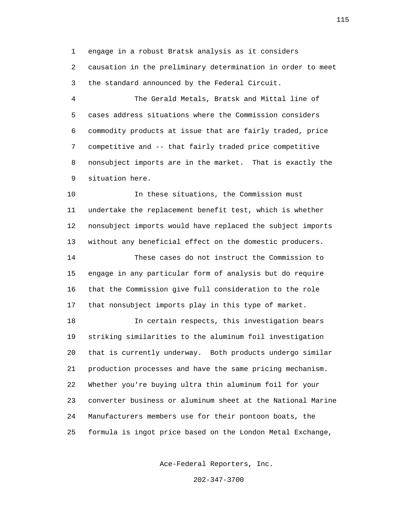1 engage in a robust Bratsk analysis as it considers 2 causation in the preliminary determination in order to meet 3 the standard announced by the Federal Circuit.

 4 The Gerald Metals, Bratsk and Mittal line of 5 cases address situations where the Commission considers 6 commodity products at issue that are fairly traded, price 7 competitive and -- that fairly traded price competitive 8 nonsubject imports are in the market. That is exactly the 9 situation here.

 10 In these situations, the Commission must 11 undertake the replacement benefit test, which is whether 12 nonsubject imports would have replaced the subject imports 13 without any beneficial effect on the domestic producers.

 14 These cases do not instruct the Commission to 15 engage in any particular form of analysis but do require 16 that the Commission give full consideration to the role 17 that nonsubject imports play in this type of market.

 18 In certain respects, this investigation bears 19 striking similarities to the aluminum foil investigation 20 that is currently underway. Both products undergo similar 21 production processes and have the same pricing mechanism. 22 Whether you're buying ultra thin aluminum foil for your 23 converter business or aluminum sheet at the National Marine 24 Manufacturers members use for their pontoon boats, the 25 formula is ingot price based on the London Metal Exchange,

Ace-Federal Reporters, Inc.

202-347-3700

115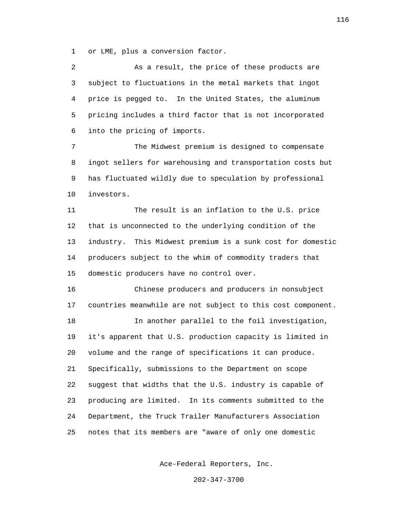1 or LME, plus a conversion factor.

 2 As a result, the price of these products are 3 subject to fluctuations in the metal markets that ingot 4 price is pegged to. In the United States, the aluminum 5 pricing includes a third factor that is not incorporated 6 into the pricing of imports.

 7 The Midwest premium is designed to compensate 8 ingot sellers for warehousing and transportation costs but 9 has fluctuated wildly due to speculation by professional 10 investors.

 11 The result is an inflation to the U.S. price 12 that is unconnected to the underlying condition of the 13 industry. This Midwest premium is a sunk cost for domestic 14 producers subject to the whim of commodity traders that 15 domestic producers have no control over.

 16 Chinese producers and producers in nonsubject 17 countries meanwhile are not subject to this cost component.

 18 In another parallel to the foil investigation, 19 it's apparent that U.S. production capacity is limited in 20 volume and the range of specifications it can produce. 21 Specifically, submissions to the Department on scope 22 suggest that widths that the U.S. industry is capable of 23 producing are limited. In its comments submitted to the 24 Department, the Truck Trailer Manufacturers Association 25 notes that its members are "aware of only one domestic

Ace-Federal Reporters, Inc.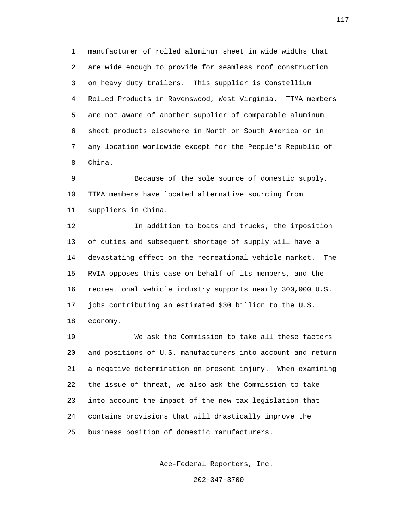1 manufacturer of rolled aluminum sheet in wide widths that 2 are wide enough to provide for seamless roof construction 3 on heavy duty trailers. This supplier is Constellium 4 Rolled Products in Ravenswood, West Virginia. TTMA members 5 are not aware of another supplier of comparable aluminum 6 sheet products elsewhere in North or South America or in 7 any location worldwide except for the People's Republic of 8 China.

 9 Because of the sole source of domestic supply, 10 TTMA members have located alternative sourcing from 11 suppliers in China.

 12 In addition to boats and trucks, the imposition 13 of duties and subsequent shortage of supply will have a 14 devastating effect on the recreational vehicle market. The 15 RVIA opposes this case on behalf of its members, and the 16 recreational vehicle industry supports nearly 300,000 U.S. 17 jobs contributing an estimated \$30 billion to the U.S. 18 economy.

 19 We ask the Commission to take all these factors 20 and positions of U.S. manufacturers into account and return 21 a negative determination on present injury. When examining 22 the issue of threat, we also ask the Commission to take 23 into account the impact of the new tax legislation that 24 contains provisions that will drastically improve the 25 business position of domestic manufacturers.

Ace-Federal Reporters, Inc.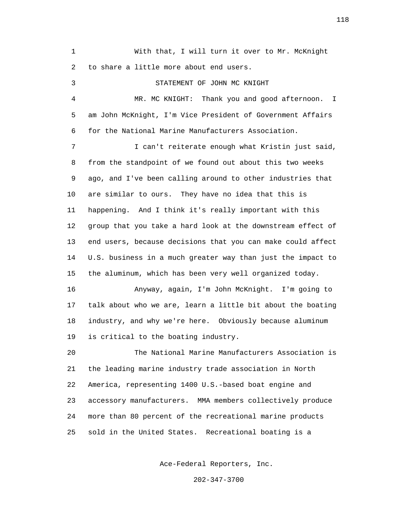1 With that, I will turn it over to Mr. McKnight 2 to share a little more about end users.

 3 STATEMENT OF JOHN MC KNIGHT 4 MR. MC KNIGHT: Thank you and good afternoon. I 5 am John McKnight, I'm Vice President of Government Affairs 6 for the National Marine Manufacturers Association. 7 I can't reiterate enough what Kristin just said, 8 from the standpoint of we found out about this two weeks 9 ago, and I've been calling around to other industries that 10 are similar to ours. They have no idea that this is 11 happening. And I think it's really important with this 12 group that you take a hard look at the downstream effect of 13 end users, because decisions that you can make could affect 14 U.S. business in a much greater way than just the impact to 15 the aluminum, which has been very well organized today. 16 Anyway, again, I'm John McKnight. I'm going to 17 talk about who we are, learn a little bit about the boating 18 industry, and why we're here. Obviously because aluminum 19 is critical to the boating industry. 20 The National Marine Manufacturers Association is 21 the leading marine industry trade association in North 22 America, representing 1400 U.S.-based boat engine and 23 accessory manufacturers. MMA members collectively produce 24 more than 80 percent of the recreational marine products 25 sold in the United States. Recreational boating is a

Ace-Federal Reporters, Inc.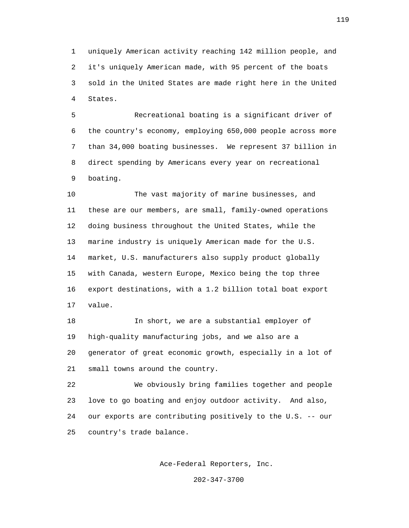1 uniquely American activity reaching 142 million people, and 2 it's uniquely American made, with 95 percent of the boats 3 sold in the United States are made right here in the United 4 States.

 5 Recreational boating is a significant driver of 6 the country's economy, employing 650,000 people across more 7 than 34,000 boating businesses. We represent 37 billion in 8 direct spending by Americans every year on recreational 9 boating.

 10 The vast majority of marine businesses, and 11 these are our members, are small, family-owned operations 12 doing business throughout the United States, while the 13 marine industry is uniquely American made for the U.S. 14 market, U.S. manufacturers also supply product globally 15 with Canada, western Europe, Mexico being the top three 16 export destinations, with a 1.2 billion total boat export 17 value.

 18 In short, we are a substantial employer of 19 high-quality manufacturing jobs, and we also are a 20 generator of great economic growth, especially in a lot of 21 small towns around the country.

 22 We obviously bring families together and people 23 love to go boating and enjoy outdoor activity. And also, 24 our exports are contributing positively to the U.S. -- our 25 country's trade balance.

Ace-Federal Reporters, Inc.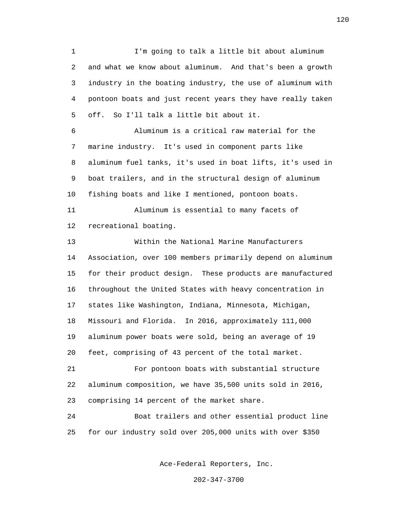1 I'm going to talk a little bit about aluminum 2 and what we know about aluminum. And that's been a growth 3 industry in the boating industry, the use of aluminum with 4 pontoon boats and just recent years they have really taken 5 off. So I'll talk a little bit about it.

 6 Aluminum is a critical raw material for the 7 marine industry. It's used in component parts like 8 aluminum fuel tanks, it's used in boat lifts, it's used in 9 boat trailers, and in the structural design of aluminum 10 fishing boats and like I mentioned, pontoon boats.

 11 Aluminum is essential to many facets of 12 recreational boating.

 13 Within the National Marine Manufacturers 14 Association, over 100 members primarily depend on aluminum 15 for their product design. These products are manufactured 16 throughout the United States with heavy concentration in 17 states like Washington, Indiana, Minnesota, Michigan, 18 Missouri and Florida. In 2016, approximately 111,000 19 aluminum power boats were sold, being an average of 19 20 feet, comprising of 43 percent of the total market. 21 For pontoon boats with substantial structure

 22 aluminum composition, we have 35,500 units sold in 2016, 23 comprising 14 percent of the market share.

 24 Boat trailers and other essential product line 25 for our industry sold over 205,000 units with over \$350

Ace-Federal Reporters, Inc.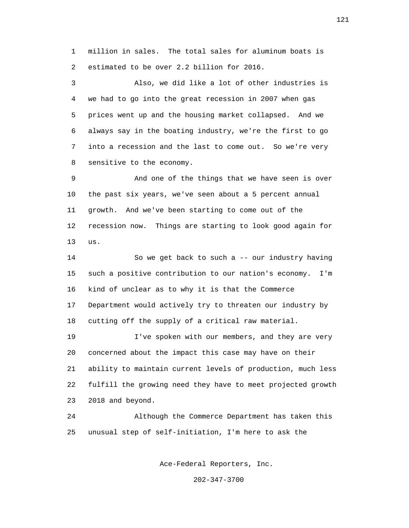1 million in sales. The total sales for aluminum boats is 2 estimated to be over 2.2 billion for 2016.

 3 Also, we did like a lot of other industries is 4 we had to go into the great recession in 2007 when gas 5 prices went up and the housing market collapsed. And we 6 always say in the boating industry, we're the first to go 7 into a recession and the last to come out. So we're very 8 sensitive to the economy.

 9 And one of the things that we have seen is over 10 the past six years, we've seen about a 5 percent annual 11 growth. And we've been starting to come out of the 12 recession now. Things are starting to look good again for 13 us.

> 14 So we get back to such a -- our industry having 15 such a positive contribution to our nation's economy. I'm 16 kind of unclear as to why it is that the Commerce 17 Department would actively try to threaten our industry by 18 cutting off the supply of a critical raw material.

 19 I've spoken with our members, and they are very 20 concerned about the impact this case may have on their 21 ability to maintain current levels of production, much less 22 fulfill the growing need they have to meet projected growth 23 2018 and beyond.

 24 Although the Commerce Department has taken this 25 unusual step of self-initiation, I'm here to ask the

Ace-Federal Reporters, Inc.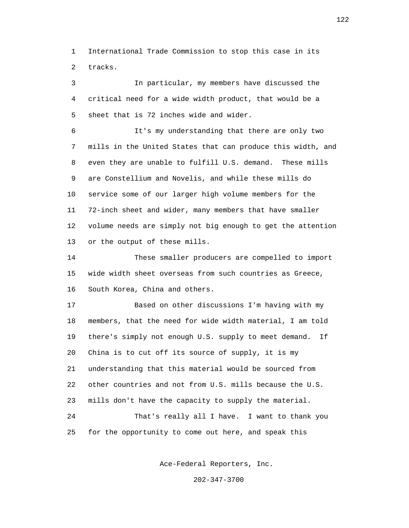1 International Trade Commission to stop this case in its 2 tracks.

 3 In particular, my members have discussed the 4 critical need for a wide width product, that would be a 5 sheet that is 72 inches wide and wider.

 6 It's my understanding that there are only two 7 mills in the United States that can produce this width, and 8 even they are unable to fulfill U.S. demand. These mills 9 are Constellium and Novelis, and while these mills do 10 service some of our larger high volume members for the 11 72-inch sheet and wider, many members that have smaller 12 volume needs are simply not big enough to get the attention 13 or the output of these mills.

 14 These smaller producers are compelled to import 15 wide width sheet overseas from such countries as Greece, 16 South Korea, China and others.

 17 Based on other discussions I'm having with my 18 members, that the need for wide width material, I am told 19 there's simply not enough U.S. supply to meet demand. If 20 China is to cut off its source of supply, it is my 21 understanding that this material would be sourced from 22 other countries and not from U.S. mills because the U.S. 23 mills don't have the capacity to supply the material. 24 That's really all I have. I want to thank you 25 for the opportunity to come out here, and speak this

Ace-Federal Reporters, Inc.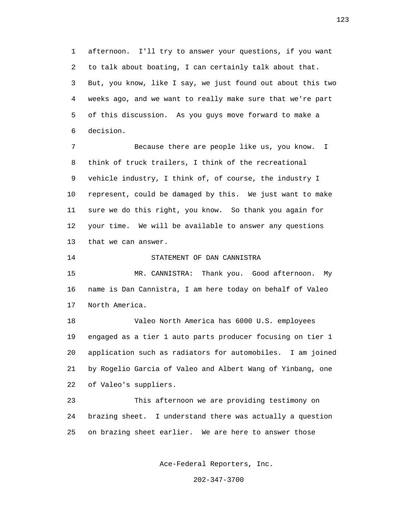1 afternoon. I'll try to answer your questions, if you want 2 to talk about boating, I can certainly talk about that. 3 But, you know, like I say, we just found out about this two 4 weeks ago, and we want to really make sure that we're part 5 of this discussion. As you guys move forward to make a 6 decision.

 7 Because there are people like us, you know. I 8 think of truck trailers, I think of the recreational 9 vehicle industry, I think of, of course, the industry I 10 represent, could be damaged by this. We just want to make 11 sure we do this right, you know. So thank you again for 12 your time. We will be available to answer any questions 13 that we can answer.

14 STATEMENT OF DAN CANNISTRA

 15 MR. CANNISTRA: Thank you. Good afternoon. My 16 name is Dan Cannistra, I am here today on behalf of Valeo 17 North America.

 18 Valeo North America has 6000 U.S. employees 19 engaged as a tier 1 auto parts producer focusing on tier 1 20 application such as radiators for automobiles. I am joined 21 by Rogelio Garcia of Valeo and Albert Wang of Yinbang, one 22 of Valeo's suppliers.

 23 This afternoon we are providing testimony on 24 brazing sheet. I understand there was actually a question 25 on brazing sheet earlier. We are here to answer those

Ace-Federal Reporters, Inc.

202-347-3700

123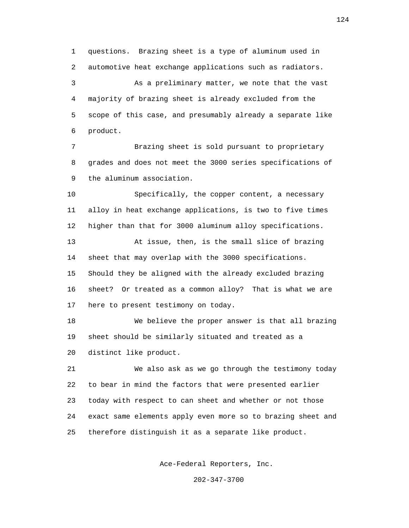1 questions. Brazing sheet is a type of aluminum used in 2 automotive heat exchange applications such as radiators. 3 As a preliminary matter, we note that the vast 4 majority of brazing sheet is already excluded from the 5 scope of this case, and presumably already a separate like 6 product.

 7 Brazing sheet is sold pursuant to proprietary 8 grades and does not meet the 3000 series specifications of 9 the aluminum association.

 10 Specifically, the copper content, a necessary 11 alloy in heat exchange applications, is two to five times 12 higher than that for 3000 aluminum alloy specifications.

 13 At issue, then, is the small slice of brazing 14 sheet that may overlap with the 3000 specifications. 15 Should they be aligned with the already excluded brazing 16 sheet? Or treated as a common alloy? That is what we are 17 here to present testimony on today.

 18 We believe the proper answer is that all brazing 19 sheet should be similarly situated and treated as a 20 distinct like product.

 21 We also ask as we go through the testimony today 22 to bear in mind the factors that were presented earlier 23 today with respect to can sheet and whether or not those 24 exact same elements apply even more so to brazing sheet and 25 therefore distinguish it as a separate like product.

Ace-Federal Reporters, Inc.

202-347-3700

124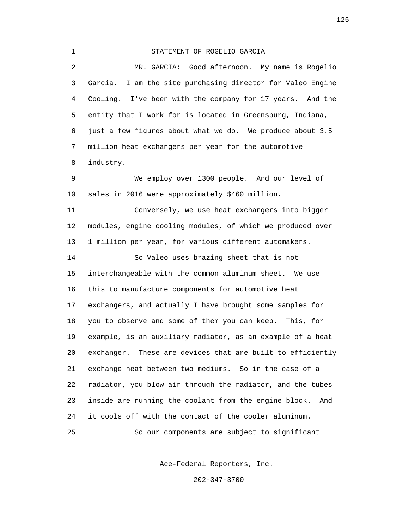| $\mathbf 1$    | STATEMENT OF ROGELIO GARCIA                                   |
|----------------|---------------------------------------------------------------|
| $\overline{a}$ | MR. GARCIA: Good afternoon. My name is Rogelio                |
| 3              | I am the site purchasing director for Valeo Engine<br>Garcia. |
| 4              | Cooling. I've been with the company for 17 years. And the     |
| 5              | entity that I work for is located in Greensburg, Indiana,     |
| 6              | just a few figures about what we do. We produce about 3.5     |
| 7              | million heat exchangers per year for the automotive           |
| 8              | industry.                                                     |
| 9              | We employ over 1300 people. And our level of                  |
| 10             | sales in 2016 were approximately \$460 million.               |
| 11             | Conversely, we use heat exchangers into bigger                |
| 12             | modules, engine cooling modules, of which we produced over    |
| 13             | 1 million per year, for various different automakers.         |
| 14             | So Valeo uses brazing sheet that is not                       |
| 15             | interchangeable with the common aluminum sheet. We use        |
| 16             | this to manufacture components for automotive heat            |
| 17             | exchangers, and actually I have brought some samples for      |
| 18             | you to observe and some of them you can keep. This, for       |
| 19             | example, is an auxiliary radiator, as an example of a heat    |
| 20             | exchanger. These are devices that are built to efficiently    |
| 21             | exchange heat between two mediums. So in the case of a        |
| 22             | radiator, you blow air through the radiator, and the tubes    |
| 23             | inside are running the coolant from the engine block.<br>And  |
| 24             | it cools off with the contact of the cooler aluminum.         |
| 25             | So our components are subject to significant                  |

Ace-Federal Reporters, Inc.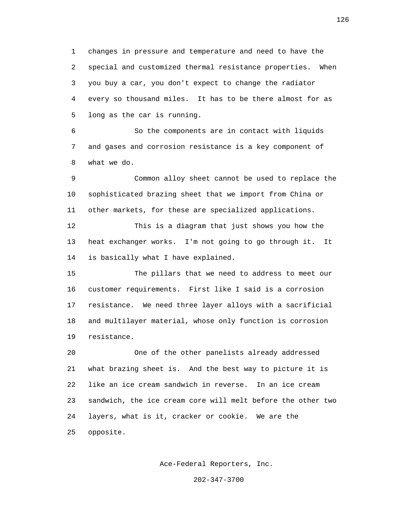1 changes in pressure and temperature and need to have the 2 special and customized thermal resistance properties. When 3 you buy a car, you don't expect to change the radiator 4 every so thousand miles. It has to be there almost for as 5 long as the car is running.

 6 So the components are in contact with liquids 7 and gases and corrosion resistance is a key component of 8 what we do.

 9 Common alloy sheet cannot be used to replace the 10 sophisticated brazing sheet that we import from China or 11 other markets, for these are specialized applications.

 12 This is a diagram that just shows you how the 13 heat exchanger works. I'm not going to go through it. It 14 is basically what I have explained.

 15 The pillars that we need to address to meet our 16 customer requirements. First like I said is a corrosion 17 resistance. We need three layer alloys with a sacrificial 18 and multilayer material, whose only function is corrosion 19 resistance.

 20 One of the other panelists already addressed 21 what brazing sheet is. And the best way to picture it is 22 like an ice cream sandwich in reverse. In an ice cream 23 sandwich, the ice cream core will melt before the other two 24 layers, what is it, cracker or cookie. We are the 25 opposite.

Ace-Federal Reporters, Inc.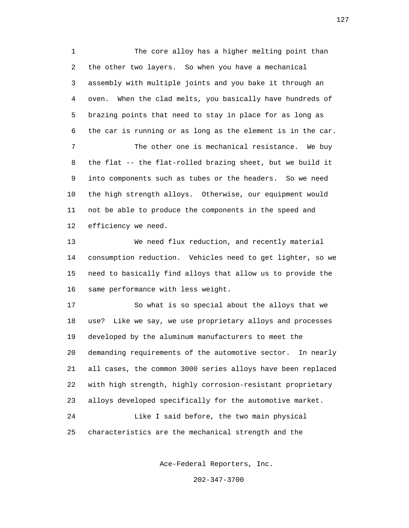1 The core alloy has a higher melting point than 2 the other two layers. So when you have a mechanical 3 assembly with multiple joints and you bake it through an 4 oven. When the clad melts, you basically have hundreds of 5 brazing points that need to stay in place for as long as 6 the car is running or as long as the element is in the car. 7 The other one is mechanical resistance. We buy 8 the flat -- the flat-rolled brazing sheet, but we build it 9 into components such as tubes or the headers. So we need 10 the high strength alloys. Otherwise, our equipment would 11 not be able to produce the components in the speed and 12 efficiency we need.

 13 We need flux reduction, and recently material 14 consumption reduction. Vehicles need to get lighter, so we 15 need to basically find alloys that allow us to provide the 16 same performance with less weight.

 17 So what is so special about the alloys that we 18 use? Like we say, we use proprietary alloys and processes 19 developed by the aluminum manufacturers to meet the 20 demanding requirements of the automotive sector. In nearly 21 all cases, the common 3000 series alloys have been replaced 22 with high strength, highly corrosion-resistant proprietary 23 alloys developed specifically for the automotive market.

 24 Like I said before, the two main physical 25 characteristics are the mechanical strength and the

Ace-Federal Reporters, Inc.

202-347-3700

127 **127**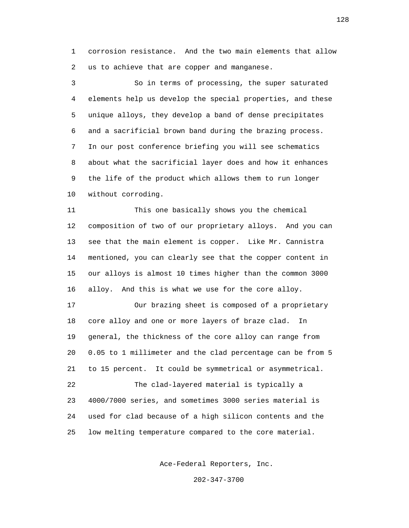1 corrosion resistance. And the two main elements that allow 2 us to achieve that are copper and manganese.

 3 So in terms of processing, the super saturated 4 elements help us develop the special properties, and these 5 unique alloys, they develop a band of dense precipitates 6 and a sacrificial brown band during the brazing process. 7 In our post conference briefing you will see schematics 8 about what the sacrificial layer does and how it enhances 9 the life of the product which allows them to run longer 10 without corroding.

 11 This one basically shows you the chemical 12 composition of two of our proprietary alloys. And you can 13 see that the main element is copper. Like Mr. Cannistra 14 mentioned, you can clearly see that the copper content in 15 our alloys is almost 10 times higher than the common 3000 16 alloy. And this is what we use for the core alloy.

 17 Our brazing sheet is composed of a proprietary 18 core alloy and one or more layers of braze clad. In 19 general, the thickness of the core alloy can range from 20 0.05 to 1 millimeter and the clad percentage can be from 5 21 to 15 percent. It could be symmetrical or asymmetrical. 22 The clad-layered material is typically a 23 4000/7000 series, and sometimes 3000 series material is

 24 used for clad because of a high silicon contents and the 25 low melting temperature compared to the core material.

Ace-Federal Reporters, Inc.

202-347-3700

 $128$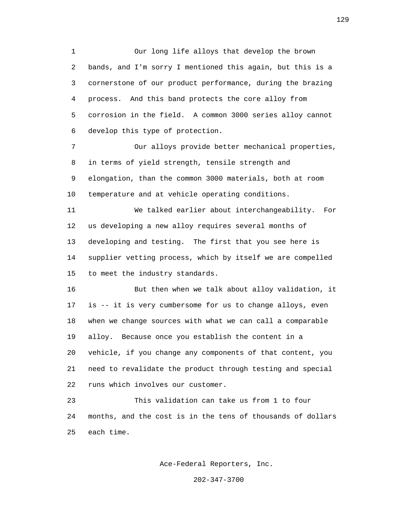1 Our long life alloys that develop the brown 2 bands, and I'm sorry I mentioned this again, but this is a 3 cornerstone of our product performance, during the brazing 4 process. And this band protects the core alloy from 5 corrosion in the field. A common 3000 series alloy cannot 6 develop this type of protection.

 7 Our alloys provide better mechanical properties, 8 in terms of yield strength, tensile strength and 9 elongation, than the common 3000 materials, both at room 10 temperature and at vehicle operating conditions.

 11 We talked earlier about interchangeability. For 12 us developing a new alloy requires several months of 13 developing and testing. The first that you see here is 14 supplier vetting process, which by itself we are compelled 15 to meet the industry standards.

 16 But then when we talk about alloy validation, it 17 is -- it is very cumbersome for us to change alloys, even 18 when we change sources with what we can call a comparable 19 alloy. Because once you establish the content in a 20 vehicle, if you change any components of that content, you 21 need to revalidate the product through testing and special 22 runs which involves our customer.

 23 This validation can take us from 1 to four 24 months, and the cost is in the tens of thousands of dollars 25 each time.

Ace-Federal Reporters, Inc.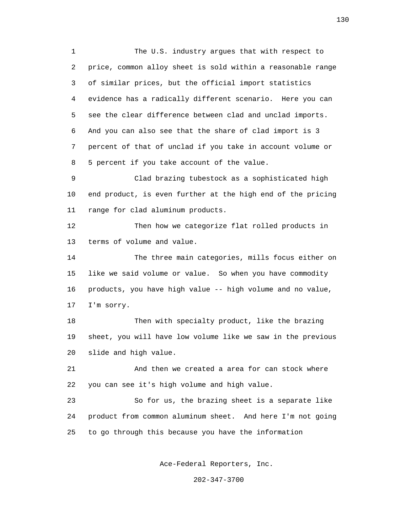1 The U.S. industry argues that with respect to 2 price, common alloy sheet is sold within a reasonable range 3 of similar prices, but the official import statistics 4 evidence has a radically different scenario. Here you can 5 see the clear difference between clad and unclad imports. 6 And you can also see that the share of clad import is 3 7 percent of that of unclad if you take in account volume or 8 5 percent if you take account of the value.

 9 Clad brazing tubestock as a sophisticated high 10 end product, is even further at the high end of the pricing 11 range for clad aluminum products.

 12 Then how we categorize flat rolled products in 13 terms of volume and value.

 14 The three main categories, mills focus either on 15 like we said volume or value. So when you have commodity 16 products, you have high value -- high volume and no value, 17 I'm sorry.

 18 Then with specialty product, like the brazing 19 sheet, you will have low volume like we saw in the previous 20 slide and high value.

 21 And then we created a area for can stock where 22 you can see it's high volume and high value.

 23 So for us, the brazing sheet is a separate like 24 product from common aluminum sheet. And here I'm not going 25 to go through this because you have the information

Ace-Federal Reporters, Inc.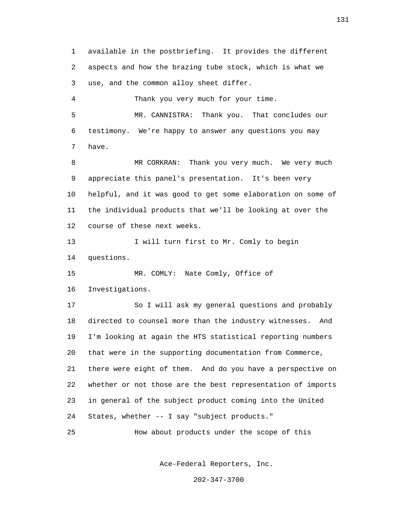1 available in the postbriefing. It provides the different 2 aspects and how the brazing tube stock, which is what we 3 use, and the common alloy sheet differ. 4 Thank you very much for your time. 5 MR. CANNISTRA: Thank you. That concludes our 6 testimony. We're happy to answer any questions you may 7 have. 8 MR CORKRAN: Thank you very much. We very much 9 appreciate this panel's presentation. It's been very 10 helpful, and it was good to get some elaboration on some of 11 the individual products that we'll be looking at over the 12 course of these next weeks. 13 I will turn first to Mr. Comly to begin 14 questions. 15 MR. COMLY: Nate Comly, Office of 16 Investigations. 17 So I will ask my general questions and probably 18 directed to counsel more than the industry witnesses. And 19 I'm looking at again the HTS statistical reporting numbers 20 that were in the supporting documentation from Commerce, 21 there were eight of them. And do you have a perspective on 22 whether or not those are the best representation of imports 23 in general of the subject product coming into the United 24 States, whether -- I say "subject products." 25 How about products under the scope of this

Ace-Federal Reporters, Inc.

202-347-3700

131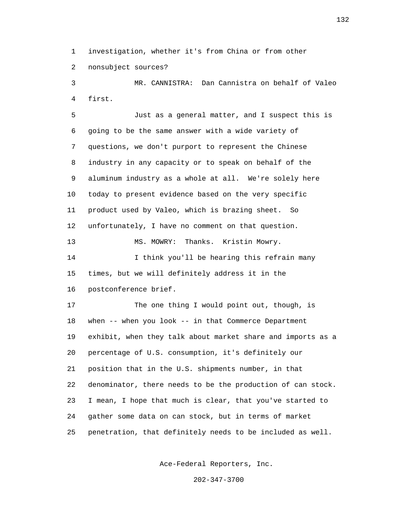1 investigation, whether it's from China or from other 2 nonsubject sources?

 3 MR. CANNISTRA: Dan Cannistra on behalf of Valeo 4 first.

 5 Just as a general matter, and I suspect this is 6 going to be the same answer with a wide variety of 7 questions, we don't purport to represent the Chinese 8 industry in any capacity or to speak on behalf of the 9 aluminum industry as a whole at all. We're solely here 10 today to present evidence based on the very specific 11 product used by Valeo, which is brazing sheet. So 12 unfortunately, I have no comment on that question. 13 MS. MOWRY: Thanks. Kristin Mowry. 14 I think you'll be hearing this refrain many 15 times, but we will definitely address it in the 16 postconference brief. 17 The one thing I would point out, though, is 18 when -- when you look -- in that Commerce Department 19 exhibit, when they talk about market share and imports as a 20 percentage of U.S. consumption, it's definitely our 21 position that in the U.S. shipments number, in that 22 denominator, there needs to be the production of can stock. 23 I mean, I hope that much is clear, that you've started to

25 penetration, that definitely needs to be included as well.

24 gather some data on can stock, but in terms of market

Ace-Federal Reporters, Inc.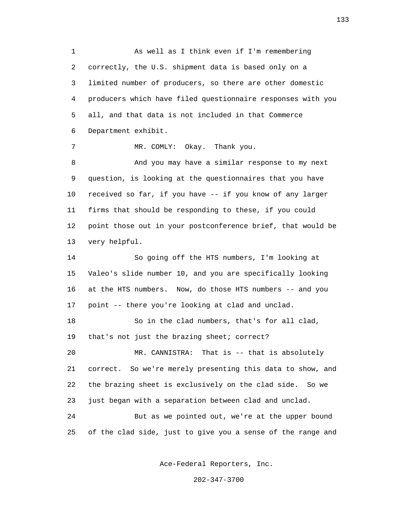1 As well as I think even if I'm remembering 2 correctly, the U.S. shipment data is based only on a 3 limited number of producers, so there are other domestic 4 producers which have filed questionnaire responses with you 5 all, and that data is not included in that Commerce 6 Department exhibit.

7 MR. COMLY: Okay. Thank you.

 8 And you may have a similar response to my next 9 question, is looking at the questionnaires that you have 10 received so far, if you have -- if you know of any larger 11 firms that should be responding to these, if you could 12 point those out in your postconference brief, that would be 13 very helpful.

 14 So going off the HTS numbers, I'm looking at 15 Valeo's slide number 10, and you are specifically looking 16 at the HTS numbers. Now, do those HTS numbers -- and you 17 point -- there you're looking at clad and unclad.

 18 So in the clad numbers, that's for all clad, 19 that's not just the brazing sheet; correct?

 20 MR. CANNISTRA: That is -- that is absolutely 21 correct. So we're merely presenting this data to show, and 22 the brazing sheet is exclusively on the clad side. So we 23 just began with a separation between clad and unclad.

 24 But as we pointed out, we're at the upper bound 25 of the clad side, just to give you a sense of the range and

Ace-Federal Reporters, Inc.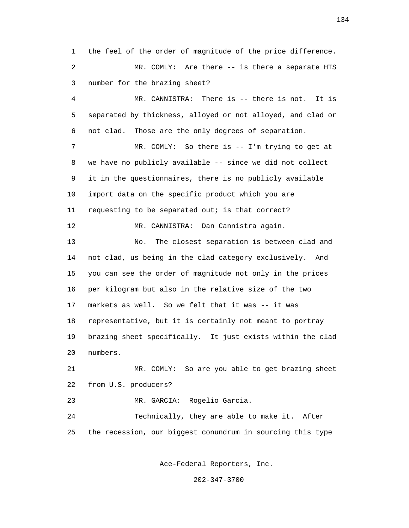1 the feel of the order of magnitude of the price difference. 2 MR. COMLY: Are there -- is there a separate HTS 3 number for the brazing sheet?

 4 MR. CANNISTRA: There is -- there is not. It is 5 separated by thickness, alloyed or not alloyed, and clad or 6 not clad. Those are the only degrees of separation.

7 MR. COMLY: So there is -- I'm trying to get at 8 we have no publicly available -- since we did not collect 9 it in the questionnaires, there is no publicly available 10 import data on the specific product which you are 11 requesting to be separated out; is that correct? 12 MR. CANNISTRA: Dan Cannistra again.

 13 No. The closest separation is between clad and 14 not clad, us being in the clad category exclusively. And 15 you can see the order of magnitude not only in the prices 16 per kilogram but also in the relative size of the two 17 markets as well. So we felt that it was -- it was 18 representative, but it is certainly not meant to portray 19 brazing sheet specifically. It just exists within the clad 20 numbers.

 21 MR. COMLY: So are you able to get brazing sheet 22 from U.S. producers?

23 MR. GARCIA: Rogelio Garcia.

 24 Technically, they are able to make it. After 25 the recession, our biggest conundrum in sourcing this type

Ace-Federal Reporters, Inc.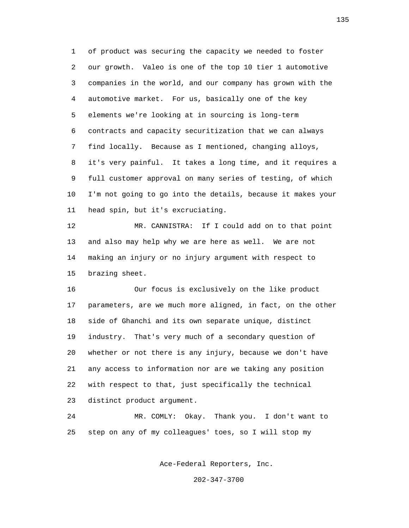1 of product was securing the capacity we needed to foster 2 our growth. Valeo is one of the top 10 tier 1 automotive 3 companies in the world, and our company has grown with the 4 automotive market. For us, basically one of the key 5 elements we're looking at in sourcing is long-term 6 contracts and capacity securitization that we can always 7 find locally. Because as I mentioned, changing alloys, 8 it's very painful. It takes a long time, and it requires a 9 full customer approval on many series of testing, of which 10 I'm not going to go into the details, because it makes your 11 head spin, but it's excruciating.

 12 MR. CANNISTRA: If I could add on to that point 13 and also may help why we are here as well. We are not 14 making an injury or no injury argument with respect to 15 brazing sheet.

 16 Our focus is exclusively on the like product 17 parameters, are we much more aligned, in fact, on the other 18 side of Ghanchi and its own separate unique, distinct 19 industry. That's very much of a secondary question of 20 whether or not there is any injury, because we don't have 21 any access to information nor are we taking any position 22 with respect to that, just specifically the technical 23 distinct product argument.

 24 MR. COMLY: Okay. Thank you. I don't want to 25 step on any of my colleagues' toes, so I will stop my

Ace-Federal Reporters, Inc.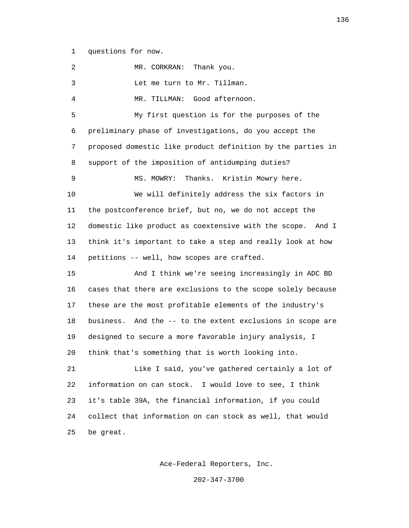1 questions for now.

 2 MR. CORKRAN: Thank you. 3 Let me turn to Mr. Tillman. 4 MR. TILLMAN: Good afternoon. 5 My first question is for the purposes of the 6 preliminary phase of investigations, do you accept the 7 proposed domestic like product definition by the parties in 8 support of the imposition of antidumping duties? 9 MS. MOWRY: Thanks. Kristin Mowry here. 10 We will definitely address the six factors in 11 the postconference brief, but no, we do not accept the 12 domestic like product as coextensive with the scope. And I 13 think it's important to take a step and really look at how 14 petitions -- well, how scopes are crafted. 15 And I think we're seeing increasingly in ADC BD 16 cases that there are exclusions to the scope solely because 17 these are the most profitable elements of the industry's 18 business. And the -- to the extent exclusions in scope are 19 designed to secure a more favorable injury analysis, I 20 think that's something that is worth looking into. 21 Like I said, you've gathered certainly a lot of 22 information on can stock. I would love to see, I think 23 it's table 39A, the financial information, if you could 24 collect that information on can stock as well, that would 25 be great.

Ace-Federal Reporters, Inc.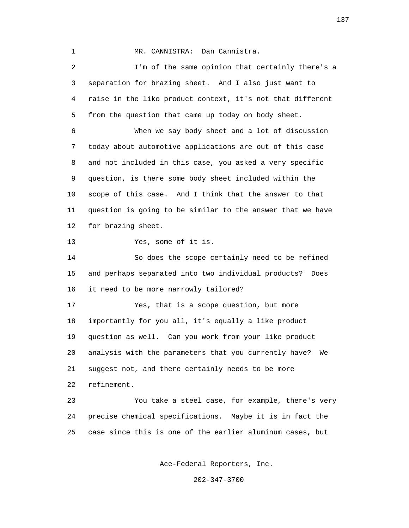1 MR. CANNISTRA: Dan Cannistra.

 2 I'm of the same opinion that certainly there's a 3 separation for brazing sheet. And I also just want to 4 raise in the like product context, it's not that different 5 from the question that came up today on body sheet. 6 When we say body sheet and a lot of discussion 7 today about automotive applications are out of this case 8 and not included in this case, you asked a very specific 9 question, is there some body sheet included within the 10 scope of this case. And I think that the answer to that 11 question is going to be similar to the answer that we have 12 for brazing sheet. 13 Yes, some of it is. 14 So does the scope certainly need to be refined 15 and perhaps separated into two individual products? Does

16 it need to be more narrowly tailored?

 17 Yes, that is a scope question, but more 18 importantly for you all, it's equally a like product 19 question as well. Can you work from your like product 20 analysis with the parameters that you currently have? We 21 suggest not, and there certainly needs to be more 22 refinement.

 23 You take a steel case, for example, there's very 24 precise chemical specifications. Maybe it is in fact the 25 case since this is one of the earlier aluminum cases, but

Ace-Federal Reporters, Inc.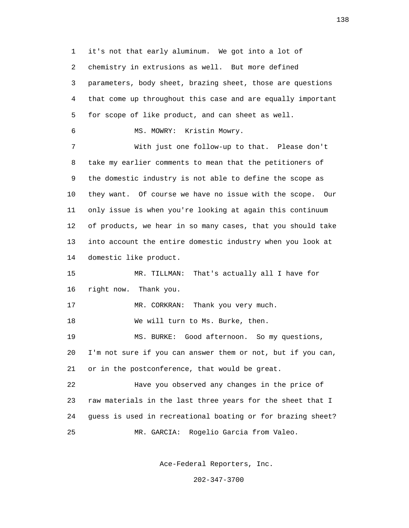1 it's not that early aluminum. We got into a lot of 2 chemistry in extrusions as well. But more defined 3 parameters, body sheet, brazing sheet, those are questions 4 that come up throughout this case and are equally important 5 for scope of like product, and can sheet as well. 6 MS. MOWRY: Kristin Mowry. 7 With just one follow-up to that. Please don't 8 take my earlier comments to mean that the petitioners of 9 the domestic industry is not able to define the scope as 10 they want. Of course we have no issue with the scope. Our 11 only issue is when you're looking at again this continuum 12 of products, we hear in so many cases, that you should take 13 into account the entire domestic industry when you look at 14 domestic like product. 15 MR. TILLMAN: That's actually all I have for 16 right now. Thank you. 17 MR. CORKRAN: Thank you very much. 18 We will turn to Ms. Burke, then. 19 MS. BURKE: Good afternoon. So my questions, 20 I'm not sure if you can answer them or not, but if you can, 21 or in the postconference, that would be great. 22 Have you observed any changes in the price of 23 raw materials in the last three years for the sheet that I 24 guess is used in recreational boating or for brazing sheet? 25 MR. GARCIA: Rogelio Garcia from Valeo.

Ace-Federal Reporters, Inc.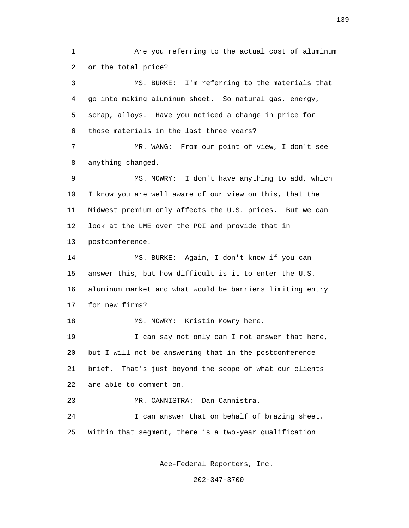1 Are you referring to the actual cost of aluminum 2 or the total price?

 3 MS. BURKE: I'm referring to the materials that 4 go into making aluminum sheet. So natural gas, energy, 5 scrap, alloys. Have you noticed a change in price for 6 those materials in the last three years?

 7 MR. WANG: From our point of view, I don't see 8 anything changed.

 9 MS. MOWRY: I don't have anything to add, which 10 I know you are well aware of our view on this, that the 11 Midwest premium only affects the U.S. prices. But we can 12 look at the LME over the POI and provide that in

13 postconference.

 14 MS. BURKE: Again, I don't know if you can 15 answer this, but how difficult is it to enter the U.S. 16 aluminum market and what would be barriers limiting entry 17 for new firms?

18 MS. MOWRY: Kristin Mowry here.

19 19 I can say not only can I not answer that here, 20 but I will not be answering that in the postconference 21 brief. That's just beyond the scope of what our clients 22 are able to comment on.

23 MR. CANNISTRA: Dan Cannistra.

 24 I can answer that on behalf of brazing sheet. 25 Within that segment, there is a two-year qualification

Ace-Federal Reporters, Inc.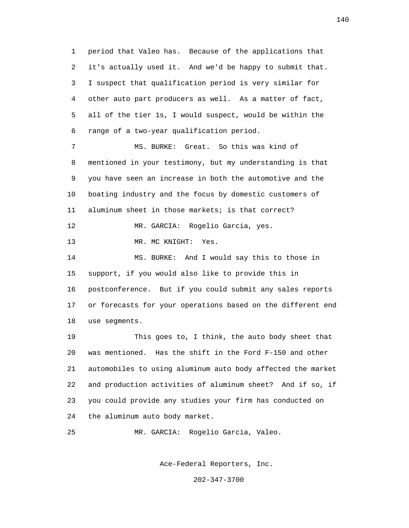1 period that Valeo has. Because of the applications that 2 it's actually used it. And we'd be happy to submit that. 3 I suspect that qualification period is very similar for 4 other auto part producers as well. As a matter of fact, 5 all of the tier 1s, I would suspect, would be within the 6 range of a two-year qualification period.

 7 MS. BURKE: Great. So this was kind of 8 mentioned in your testimony, but my understanding is that 9 you have seen an increase in both the automotive and the 10 boating industry and the focus by domestic customers of 11 aluminum sheet in those markets; is that correct? 12 MR. GARCIA: Rogelio Garcia, yes.

13 MR. MC KNIGHT: Yes.

 14 MS. BURKE: And I would say this to those in 15 support, if you would also like to provide this in 16 postconference. But if you could submit any sales reports 17 or forecasts for your operations based on the different end 18 use segments.

 19 This goes to, I think, the auto body sheet that 20 was mentioned. Has the shift in the Ford F-150 and other 21 automobiles to using aluminum auto body affected the market 22 and production activities of aluminum sheet? And if so, if 23 you could provide any studies your firm has conducted on 24 the aluminum auto body market.

25 MR. GARCIA: Rogelio Garcia, Valeo.

Ace-Federal Reporters, Inc.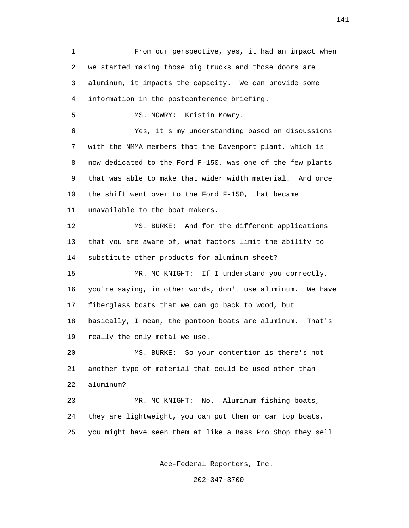1 From our perspective, yes, it had an impact when 2 we started making those big trucks and those doors are 3 aluminum, it impacts the capacity. We can provide some 4 information in the postconference briefing. 5 MS. MOWRY: Kristin Mowry. 6 Yes, it's my understanding based on discussions 7 with the NMMA members that the Davenport plant, which is 8 now dedicated to the Ford F-150, was one of the few plants 9 that was able to make that wider width material. And once 10 the shift went over to the Ford F-150, that became 11 unavailable to the boat makers. 12 MS. BURKE: And for the different applications 13 that you are aware of, what factors limit the ability to 14 substitute other products for aluminum sheet? 15 MR. MC KNIGHT: If I understand you correctly, 16 you're saying, in other words, don't use aluminum. We have 17 fiberglass boats that we can go back to wood, but 18 basically, I mean, the pontoon boats are aluminum. That's 19 really the only metal we use. 20 MS. BURKE: So your contention is there's not 21 another type of material that could be used other than 22 aluminum? 23 MR. MC KNIGHT: No. Aluminum fishing boats, 24 they are lightweight, you can put them on car top boats, 25 you might have seen them at like a Bass Pro Shop they sell

Ace-Federal Reporters, Inc.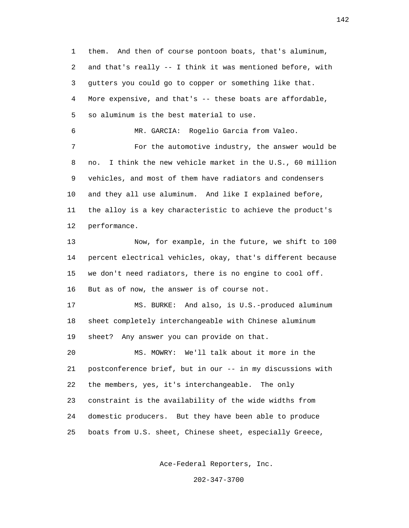1 them. And then of course pontoon boats, that's aluminum, 2 and that's really -- I think it was mentioned before, with 3 gutters you could go to copper or something like that. 4 More expensive, and that's -- these boats are affordable, 5 so aluminum is the best material to use. 6 MR. GARCIA: Rogelio Garcia from Valeo. 7 For the automotive industry, the answer would be 8 no. I think the new vehicle market in the U.S., 60 million 9 vehicles, and most of them have radiators and condensers 10 and they all use aluminum. And like I explained before, 11 the alloy is a key characteristic to achieve the product's 12 performance. 13 Now, for example, in the future, we shift to 100 14 percent electrical vehicles, okay, that's different because 15 we don't need radiators, there is no engine to cool off. 16 But as of now, the answer is of course not. 17 MS. BURKE: And also, is U.S.-produced aluminum 18 sheet completely interchangeable with Chinese aluminum 19 sheet? Any answer you can provide on that. 20 MS. MOWRY: We'll talk about it more in the 21 postconference brief, but in our -- in my discussions with 22 the members, yes, it's interchangeable. The only 23 constraint is the availability of the wide widths from 24 domestic producers. But they have been able to produce 25 boats from U.S. sheet, Chinese sheet, especially Greece,

Ace-Federal Reporters, Inc.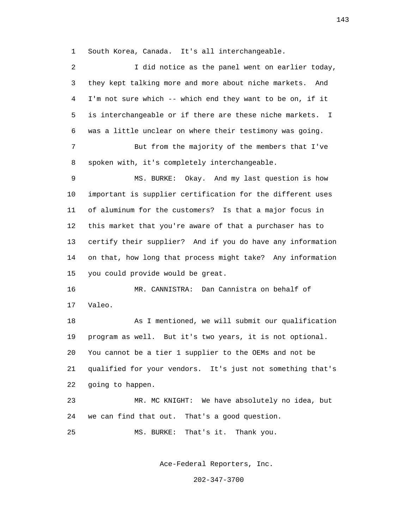1 South Korea, Canada. It's all interchangeable.

 2 I did notice as the panel went on earlier today, 3 they kept talking more and more about niche markets. And 4 I'm not sure which -- which end they want to be on, if it 5 is interchangeable or if there are these niche markets. I 6 was a little unclear on where their testimony was going. 7 But from the majority of the members that I've 8 spoken with, it's completely interchangeable. 9 MS. BURKE: Okay. And my last question is how 10 important is supplier certification for the different uses 11 of aluminum for the customers? Is that a major focus in 12 this market that you're aware of that a purchaser has to 13 certify their supplier? And if you do have any information 14 on that, how long that process might take? Any information 15 you could provide would be great. 16 MR. CANNISTRA: Dan Cannistra on behalf of 17 Valeo. 18 As I mentioned, we will submit our qualification 19 program as well. But it's two years, it is not optional. 20 You cannot be a tier 1 supplier to the OEMs and not be 21 qualified for your vendors. It's just not something that's 22 going to happen. 23 MR. MC KNIGHT: We have absolutely no idea, but 24 we can find that out. That's a good question. 25 MS. BURKE: That's it. Thank you.

Ace-Federal Reporters, Inc.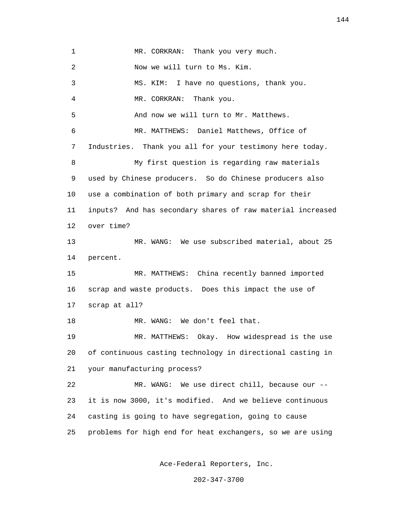1 MR. CORKRAN: Thank you very much. 2 Now we will turn to Ms. Kim. 3 MS. KIM: I have no questions, thank you. 4 MR. CORKRAN: Thank you. 5 And now we will turn to Mr. Matthews. 6 MR. MATTHEWS: Daniel Matthews, Office of 7 Industries. Thank you all for your testimony here today. 8 My first question is regarding raw materials 9 used by Chinese producers. So do Chinese producers also 10 use a combination of both primary and scrap for their 11 inputs? And has secondary shares of raw material increased 12 over time? 13 MR. WANG: We use subscribed material, about 25 14 percent. 15 MR. MATTHEWS: China recently banned imported 16 scrap and waste products. Does this impact the use of 17 scrap at all? 18 MR. WANG: We don't feel that. 19 MR. MATTHEWS: Okay. How widespread is the use 20 of continuous casting technology in directional casting in 21 your manufacturing process? 22 MR. WANG: We use direct chill, because our -- 23 it is now 3000, it's modified. And we believe continuous 24 casting is going to have segregation, going to cause 25 problems for high end for heat exchangers, so we are using

Ace-Federal Reporters, Inc.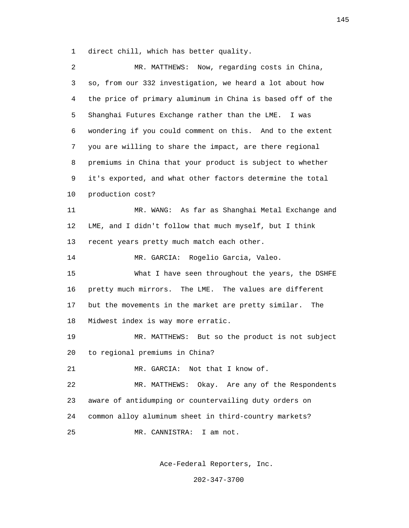1 direct chill, which has better quality.

| MR. MATTHEWS: Now, regarding costs in China,               |
|------------------------------------------------------------|
| so, from our 332 investigation, we heard a lot about how   |
| the price of primary aluminum in China is based off of the |
| Shanghai Futures Exchange rather than the LME.<br>I was    |
| wondering if you could comment on this. And to the extent  |
| you are willing to share the impact, are there regional    |
| premiums in China that your product is subject to whether  |
| it's exported, and what other factors determine the total  |
| production cost?                                           |
| As far as Shanghai Metal Exchange and<br>MR. WANG:         |
| LME, and I didn't follow that much myself, but I think     |
| recent years pretty much match each other.                 |
| MR. GARCIA: Rogelio Garcia, Valeo.                         |
| What I have seen throughout the years, the DSHFE           |
| pretty much mirrors. The LME. The values are different     |
| but the movements in the market are pretty similar.<br>The |
| Midwest index is way more erratic.                         |
| MR. MATTHEWS: But so the product is not subject            |
| to regional premiums in China?                             |
| MR. GARCIA: Not that I know of.                            |
| Okay. Are any of the Respondents<br>MR. MATTHEWS:          |
| aware of antidumping or countervailing duty orders on      |
| common alloy aluminum sheet in third-country markets?      |
| MR. CANNISTRA:<br>I am not.                                |
|                                                            |

Ace-Federal Reporters, Inc.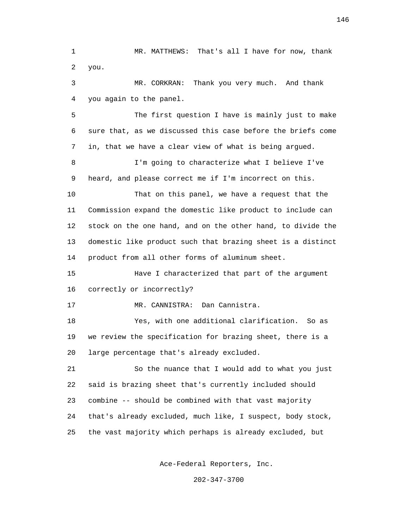1 MR. MATTHEWS: That's all I have for now, thank 2 you. 3 MR. CORKRAN: Thank you very much. And thank 4 you again to the panel. 5 The first question I have is mainly just to make 6 sure that, as we discussed this case before the briefs come 7 in, that we have a clear view of what is being argued. 8 I'm going to characterize what I believe I've 9 heard, and please correct me if I'm incorrect on this. 10 That on this panel, we have a request that the 11 Commission expand the domestic like product to include can 12 stock on the one hand, and on the other hand, to divide the 13 domestic like product such that brazing sheet is a distinct 14 product from all other forms of aluminum sheet. 15 Have I characterized that part of the argument 16 correctly or incorrectly? 17 MR. CANNISTRA: Dan Cannistra. 18 Yes, with one additional clarification. So as 19 we review the specification for brazing sheet, there is a 20 large percentage that's already excluded. 21 So the nuance that I would add to what you just 22 said is brazing sheet that's currently included should 23 combine -- should be combined with that vast majority 24 that's already excluded, much like, I suspect, body stock, 25 the vast majority which perhaps is already excluded, but

Ace-Federal Reporters, Inc.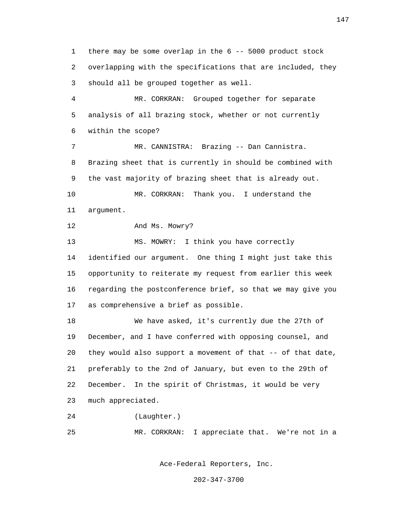1 there may be some overlap in the 6 -- 5000 product stock 2 overlapping with the specifications that are included, they 3 should all be grouped together as well. 4 MR. CORKRAN: Grouped together for separate 5 analysis of all brazing stock, whether or not currently

6 within the scope?

 7 MR. CANNISTRA: Brazing -- Dan Cannistra. 8 Brazing sheet that is currently in should be combined with 9 the vast majority of brazing sheet that is already out. 10 MR. CORKRAN: Thank you. I understand the 11 argument.

12 And Ms. Mowry?

13 MS. MOWRY: I think you have correctly 14 identified our argument. One thing I might just take this 15 opportunity to reiterate my request from earlier this week 16 regarding the postconference brief, so that we may give you 17 as comprehensive a brief as possible.

 18 We have asked, it's currently due the 27th of 19 December, and I have conferred with opposing counsel, and 20 they would also support a movement of that -- of that date, 21 preferably to the 2nd of January, but even to the 29th of 22 December. In the spirit of Christmas, it would be very 23 much appreciated.

24 (Laughter.)

25 MR. CORKRAN: I appreciate that. We're not in a

Ace-Federal Reporters, Inc.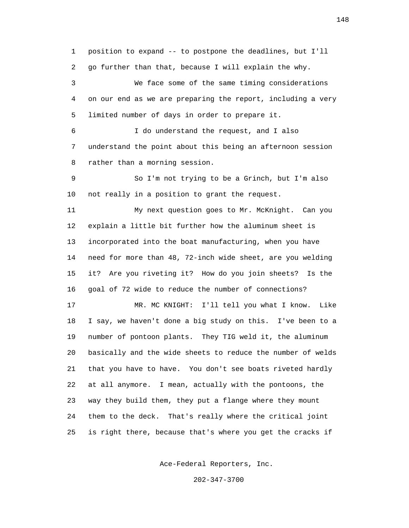1 position to expand -- to postpone the deadlines, but I'll 2 go further than that, because I will explain the why.

 3 We face some of the same timing considerations 4 on our end as we are preparing the report, including a very 5 limited number of days in order to prepare it.

 6 I do understand the request, and I also 7 understand the point about this being an afternoon session 8 rather than a morning session.

 9 So I'm not trying to be a Grinch, but I'm also 10 not really in a position to grant the request.

 11 My next question goes to Mr. McKnight. Can you 12 explain a little bit further how the aluminum sheet is 13 incorporated into the boat manufacturing, when you have 14 need for more than 48, 72-inch wide sheet, are you welding 15 it? Are you riveting it? How do you join sheets? Is the 16 goal of 72 wide to reduce the number of connections?

 17 MR. MC KNIGHT: I'll tell you what I know. Like 18 I say, we haven't done a big study on this. I've been to a 19 number of pontoon plants. They TIG weld it, the aluminum 20 basically and the wide sheets to reduce the number of welds 21 that you have to have. You don't see boats riveted hardly 22 at all anymore. I mean, actually with the pontoons, the 23 way they build them, they put a flange where they mount 24 them to the deck. That's really where the critical joint 25 is right there, because that's where you get the cracks if

Ace-Federal Reporters, Inc.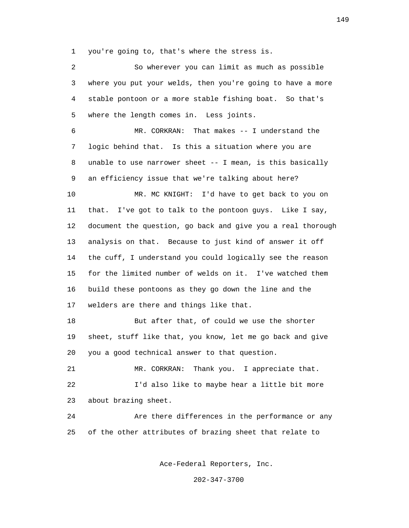1 you're going to, that's where the stress is.

 2 So wherever you can limit as much as possible 3 where you put your welds, then you're going to have a more 4 stable pontoon or a more stable fishing boat. So that's 5 where the length comes in. Less joints. 6 MR. CORKRAN: That makes -- I understand the 7 logic behind that. Is this a situation where you are 8 unable to use narrower sheet -- I mean, is this basically 9 an efficiency issue that we're talking about here? 10 MR. MC KNIGHT: I'd have to get back to you on 11 that. I've got to talk to the pontoon guys. Like I say, 12 document the question, go back and give you a real thorough 13 analysis on that. Because to just kind of answer it off 14 the cuff, I understand you could logically see the reason 15 for the limited number of welds on it. I've watched them 16 build these pontoons as they go down the line and the 17 welders are there and things like that. 18 But after that, of could we use the shorter 19 sheet, stuff like that, you know, let me go back and give 20 you a good technical answer to that question. 21 MR. CORKRAN: Thank you. I appreciate that. 22 I'd also like to maybe hear a little bit more 23 about brazing sheet. 24 Are there differences in the performance or any 25 of the other attributes of brazing sheet that relate to

Ace-Federal Reporters, Inc.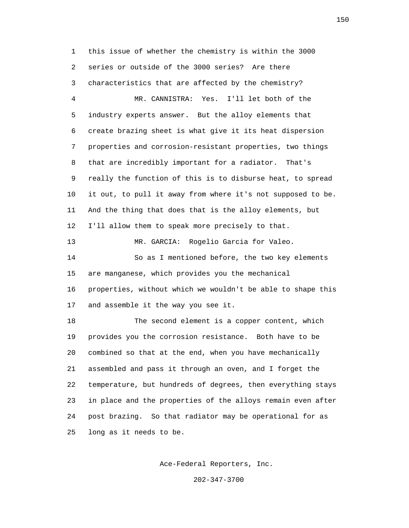1 this issue of whether the chemistry is within the 3000 2 series or outside of the 3000 series? Are there 3 characteristics that are affected by the chemistry? 4 MR. CANNISTRA: Yes. I'll let both of the 5 industry experts answer. But the alloy elements that 6 create brazing sheet is what give it its heat dispersion 7 properties and corrosion-resistant properties, two things 8 that are incredibly important for a radiator. That's 9 really the function of this is to disburse heat, to spread 10 it out, to pull it away from where it's not supposed to be. 11 And the thing that does that is the alloy elements, but 12 I'll allow them to speak more precisely to that. 13 MR. GARCIA: Rogelio Garcia for Valeo. 14 So as I mentioned before, the two key elements 15 are manganese, which provides you the mechanical 16 properties, without which we wouldn't be able to shape this 17 and assemble it the way you see it. 18 The second element is a copper content, which 19 provides you the corrosion resistance. Both have to be 20 combined so that at the end, when you have mechanically 21 assembled and pass it through an oven, and I forget the 22 temperature, but hundreds of degrees, then everything stays 23 in place and the properties of the alloys remain even after 24 post brazing. So that radiator may be operational for as

25 long as it needs to be.

Ace-Federal Reporters, Inc.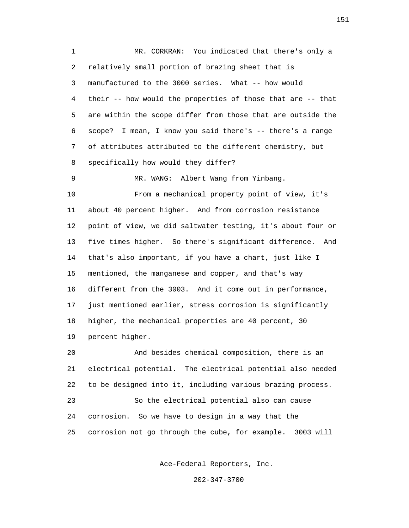1 MR. CORKRAN: You indicated that there's only a 2 relatively small portion of brazing sheet that is 3 manufactured to the 3000 series. What -- how would 4 their -- how would the properties of those that are -- that 5 are within the scope differ from those that are outside the 6 scope? I mean, I know you said there's -- there's a range 7 of attributes attributed to the different chemistry, but 8 specifically how would they differ?

 9 MR. WANG: Albert Wang from Yinbang. 10 From a mechanical property point of view, it's 11 about 40 percent higher. And from corrosion resistance 12 point of view, we did saltwater testing, it's about four or 13 five times higher. So there's significant difference. And 14 that's also important, if you have a chart, just like I 15 mentioned, the manganese and copper, and that's way 16 different from the 3003. And it come out in performance, 17 just mentioned earlier, stress corrosion is significantly 18 higher, the mechanical properties are 40 percent, 30 19 percent higher.

 20 And besides chemical composition, there is an 21 electrical potential. The electrical potential also needed 22 to be designed into it, including various brazing process. 23 So the electrical potential also can cause 24 corrosion. So we have to design in a way that the 25 corrosion not go through the cube, for example. 3003 will

Ace-Federal Reporters, Inc.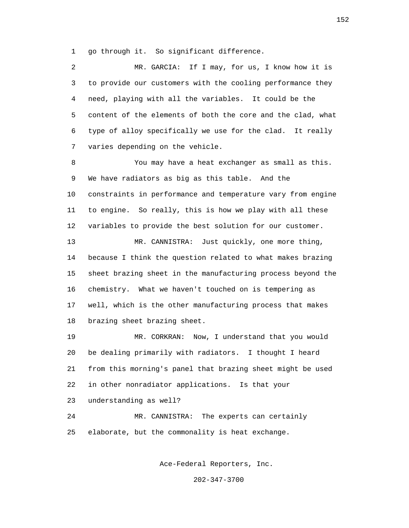1 go through it. So significant difference.

 2 MR. GARCIA: If I may, for us, I know how it is 3 to provide our customers with the cooling performance they 4 need, playing with all the variables. It could be the 5 content of the elements of both the core and the clad, what 6 type of alloy specifically we use for the clad. It really 7 varies depending on the vehicle. 8 You may have a heat exchanger as small as this. 9 We have radiators as big as this table. And the 10 constraints in performance and temperature vary from engine 11 to engine. So really, this is how we play with all these 12 variables to provide the best solution for our customer. 13 MR. CANNISTRA: Just quickly, one more thing, 14 because I think the question related to what makes brazing 15 sheet brazing sheet in the manufacturing process beyond the 16 chemistry. What we haven't touched on is tempering as 17 well, which is the other manufacturing process that makes 18 brazing sheet brazing sheet. 19 MR. CORKRAN: Now, I understand that you would 20 be dealing primarily with radiators. I thought I heard 21 from this morning's panel that brazing sheet might be used 22 in other nonradiator applications. Is that your 23 understanding as well? 24 MR. CANNISTRA: The experts can certainly 25 elaborate, but the commonality is heat exchange.

Ace-Federal Reporters, Inc.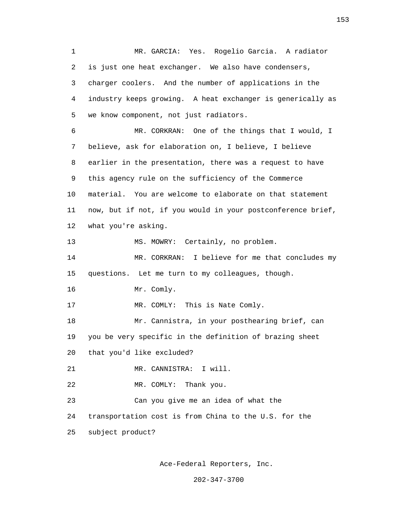1 MR. GARCIA: Yes. Rogelio Garcia. A radiator 2 is just one heat exchanger. We also have condensers, 3 charger coolers. And the number of applications in the 4 industry keeps growing. A heat exchanger is generically as 5 we know component, not just radiators. 6 MR. CORKRAN: One of the things that I would, I 7 believe, ask for elaboration on, I believe, I believe 8 earlier in the presentation, there was a request to have 9 this agency rule on the sufficiency of the Commerce 10 material. You are welcome to elaborate on that statement 11 now, but if not, if you would in your postconference brief, 12 what you're asking. 13 MS. MOWRY: Certainly, no problem. 14 MR. CORKRAN: I believe for me that concludes my 15 questions. Let me turn to my colleagues, though. 16 Mr. Comly. 17 MR. COMLY: This is Nate Comly. 18 Mr. Cannistra, in your posthearing brief, can 19 you be very specific in the definition of brazing sheet 20 that you'd like excluded? 21 MR. CANNISTRA: I will. 22 MR. COMLY: Thank you. 23 Can you give me an idea of what the 24 transportation cost is from China to the U.S. for the 25 subject product?

Ace-Federal Reporters, Inc.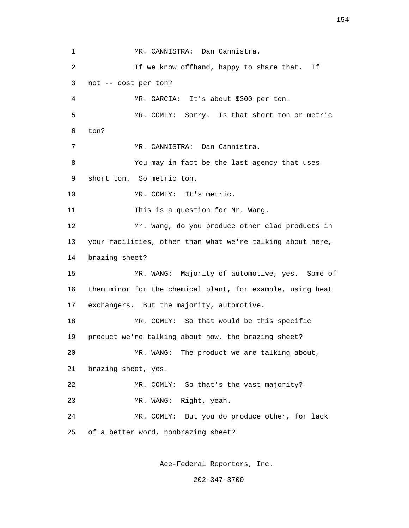1 MR. CANNISTRA: Dan Cannistra. 2 If we know offhand, happy to share that. If 3 not -- cost per ton? 4 MR. GARCIA: It's about \$300 per ton. 5 MR. COMLY: Sorry. Is that short ton or metric 6 ton? 7 MR. CANNISTRA: Dan Cannistra. 8 You may in fact be the last agency that uses 9 short ton. So metric ton. 10 MR. COMLY: It's metric. 11 This is a question for Mr. Wang. 12 Mr. Wang, do you produce other clad products in 13 your facilities, other than what we're talking about here, 14 brazing sheet? 15 MR. WANG: Majority of automotive, yes. Some of 16 them minor for the chemical plant, for example, using heat 17 exchangers. But the majority, automotive. 18 MR. COMLY: So that would be this specific 19 product we're talking about now, the brazing sheet? 20 MR. WANG: The product we are talking about, 21 brazing sheet, yes. 22 MR. COMLY: So that's the vast majority? 23 MR. WANG: Right, yeah. 24 MR. COMLY: But you do produce other, for lack 25 of a better word, nonbrazing sheet?

Ace-Federal Reporters, Inc.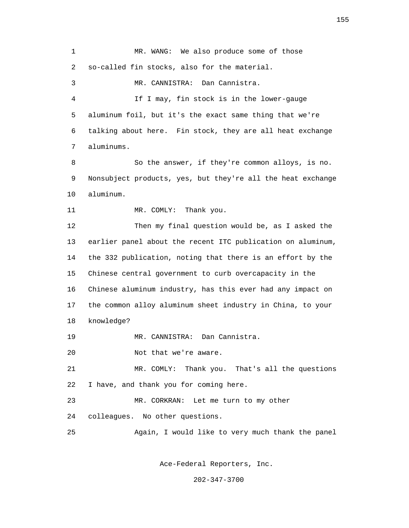1 MR. WANG: We also produce some of those 2 so-called fin stocks, also for the material. 3 MR. CANNISTRA: Dan Cannistra. 4 If I may, fin stock is in the lower-gauge 5 aluminum foil, but it's the exact same thing that we're 6 talking about here. Fin stock, they are all heat exchange 7 aluminums. 8 So the answer, if they're common alloys, is no. 9 Nonsubject products, yes, but they're all the heat exchange 10 aluminum. 11 MR. COMLY: Thank you. 12 Then my final question would be, as I asked the 13 earlier panel about the recent ITC publication on aluminum, 14 the 332 publication, noting that there is an effort by the 15 Chinese central government to curb overcapacity in the 16 Chinese aluminum industry, has this ever had any impact on 17 the common alloy aluminum sheet industry in China, to your 18 knowledge? 19 MR. CANNISTRA: Dan Cannistra. 20 Not that we're aware. 21 MR. COMLY: Thank you. That's all the questions 22 I have, and thank you for coming here. 23 MR. CORKRAN: Let me turn to my other 24 colleagues. No other questions. 25 Again, I would like to very much thank the panel

Ace-Federal Reporters, Inc.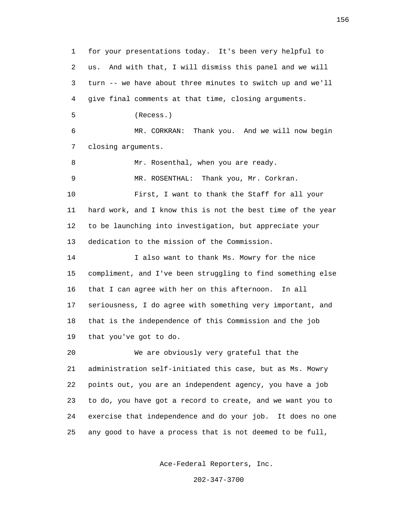1 for your presentations today. It's been very helpful to 2 us. And with that, I will dismiss this panel and we will 3 turn -- we have about three minutes to switch up and we'll 4 give final comments at that time, closing arguments. 5 (Recess.) 6 MR. CORKRAN: Thank you. And we will now begin 7 closing arguments. 8 Mr. Rosenthal, when you are ready. 9 MR. ROSENTHAL: Thank you, Mr. Corkran. 10 First, I want to thank the Staff for all your 11 hard work, and I know this is not the best time of the year 12 to be launching into investigation, but appreciate your 13 dedication to the mission of the Commission. 14 I also want to thank Ms. Mowry for the nice 15 compliment, and I've been struggling to find something else 16 that I can agree with her on this afternoon. In all 17 seriousness, I do agree with something very important, and 18 that is the independence of this Commission and the job 19 that you've got to do. 20 We are obviously very grateful that the 21 administration self-initiated this case, but as Ms. Mowry 22 points out, you are an independent agency, you have a job 23 to do, you have got a record to create, and we want you to 24 exercise that independence and do your job. It does no one 25 any good to have a process that is not deemed to be full,

Ace-Federal Reporters, Inc.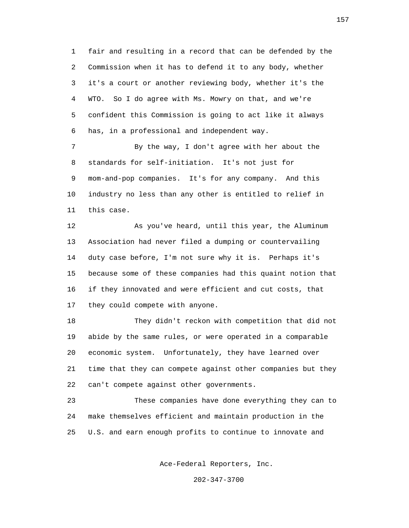1 fair and resulting in a record that can be defended by the 2 Commission when it has to defend it to any body, whether 3 it's a court or another reviewing body, whether it's the 4 WTO. So I do agree with Ms. Mowry on that, and we're 5 confident this Commission is going to act like it always 6 has, in a professional and independent way.

 7 By the way, I don't agree with her about the 8 standards for self-initiation. It's not just for 9 mom-and-pop companies. It's for any company. And this 10 industry no less than any other is entitled to relief in 11 this case.

 12 As you've heard, until this year, the Aluminum 13 Association had never filed a dumping or countervailing 14 duty case before, I'm not sure why it is. Perhaps it's 15 because some of these companies had this quaint notion that 16 if they innovated and were efficient and cut costs, that 17 they could compete with anyone.

 18 They didn't reckon with competition that did not 19 abide by the same rules, or were operated in a comparable 20 economic system. Unfortunately, they have learned over 21 time that they can compete against other companies but they 22 can't compete against other governments.

 23 These companies have done everything they can to 24 make themselves efficient and maintain production in the 25 U.S. and earn enough profits to continue to innovate and

Ace-Federal Reporters, Inc.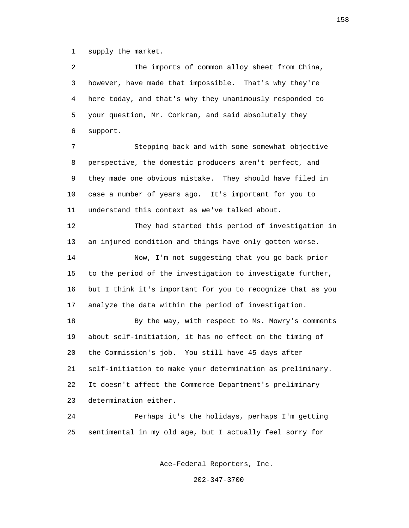1 supply the market.

 2 The imports of common alloy sheet from China, 3 however, have made that impossible. That's why they're 4 here today, and that's why they unanimously responded to 5 your question, Mr. Corkran, and said absolutely they 6 support.

 7 Stepping back and with some somewhat objective 8 perspective, the domestic producers aren't perfect, and 9 they made one obvious mistake. They should have filed in 10 case a number of years ago. It's important for you to 11 understand this context as we've talked about.

 12 They had started this period of investigation in 13 an injured condition and things have only gotten worse. 14 Now, I'm not suggesting that you go back prior 15 to the period of the investigation to investigate further,

 16 but I think it's important for you to recognize that as you 17 analyze the data within the period of investigation.

 18 By the way, with respect to Ms. Mowry's comments 19 about self-initiation, it has no effect on the timing of 20 the Commission's job. You still have 45 days after 21 self-initiation to make your determination as preliminary. 22 It doesn't affect the Commerce Department's preliminary 23 determination either.

 24 Perhaps it's the holidays, perhaps I'm getting 25 sentimental in my old age, but I actually feel sorry for

Ace-Federal Reporters, Inc.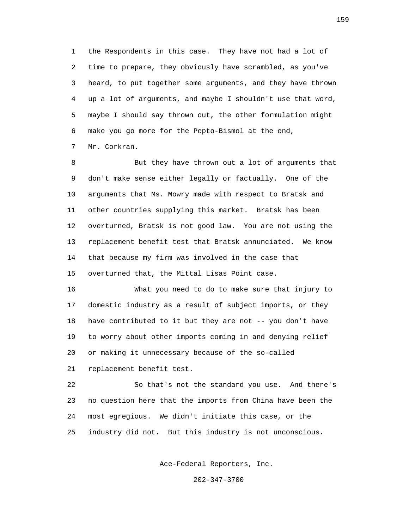1 the Respondents in this case. They have not had a lot of 2 time to prepare, they obviously have scrambled, as you've 3 heard, to put together some arguments, and they have thrown 4 up a lot of arguments, and maybe I shouldn't use that word, 5 maybe I should say thrown out, the other formulation might 6 make you go more for the Pepto-Bismol at the end, 7 Mr. Corkran.

 8 But they have thrown out a lot of arguments that 9 don't make sense either legally or factually. One of the 10 arguments that Ms. Mowry made with respect to Bratsk and 11 other countries supplying this market. Bratsk has been 12 overturned, Bratsk is not good law. You are not using the 13 replacement benefit test that Bratsk annunciated. We know 14 that because my firm was involved in the case that 15 overturned that, the Mittal Lisas Point case.

 16 What you need to do to make sure that injury to 17 domestic industry as a result of subject imports, or they 18 have contributed to it but they are not -- you don't have 19 to worry about other imports coming in and denying relief 20 or making it unnecessary because of the so-called 21 replacement benefit test.

 22 So that's not the standard you use. And there's 23 no question here that the imports from China have been the 24 most egregious. We didn't initiate this case, or the 25 industry did not. But this industry is not unconscious.

Ace-Federal Reporters, Inc.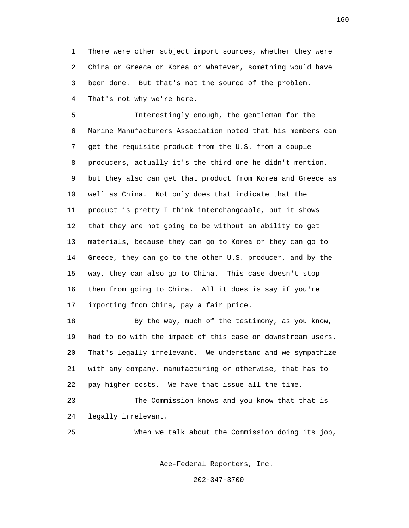1 There were other subject import sources, whether they were 2 China or Greece or Korea or whatever, something would have 3 been done. But that's not the source of the problem. 4 That's not why we're here.

 5 Interestingly enough, the gentleman for the 6 Marine Manufacturers Association noted that his members can 7 get the requisite product from the U.S. from a couple 8 producers, actually it's the third one he didn't mention, 9 but they also can get that product from Korea and Greece as 10 well as China. Not only does that indicate that the 11 product is pretty I think interchangeable, but it shows 12 that they are not going to be without an ability to get 13 materials, because they can go to Korea or they can go to 14 Greece, they can go to the other U.S. producer, and by the 15 way, they can also go to China. This case doesn't stop 16 them from going to China. All it does is say if you're 17 importing from China, pay a fair price.

 18 By the way, much of the testimony, as you know, 19 had to do with the impact of this case on downstream users. 20 That's legally irrelevant. We understand and we sympathize 21 with any company, manufacturing or otherwise, that has to 22 pay higher costs. We have that issue all the time.

 23 The Commission knows and you know that that is 24 legally irrelevant.

25 When we talk about the Commission doing its job,

Ace-Federal Reporters, Inc.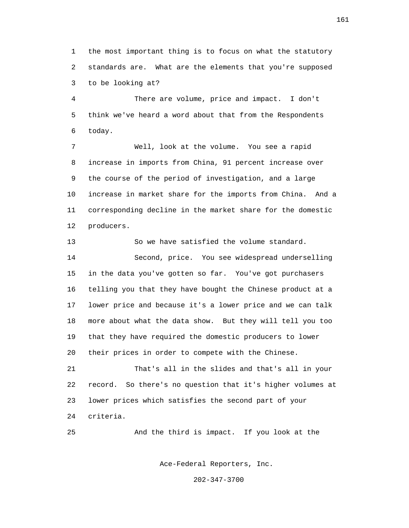1 the most important thing is to focus on what the statutory 2 standards are. What are the elements that you're supposed 3 to be looking at?

 4 There are volume, price and impact. I don't 5 think we've heard a word about that from the Respondents 6 today.

 7 Well, look at the volume. You see a rapid 8 increase in imports from China, 91 percent increase over 9 the course of the period of investigation, and a large 10 increase in market share for the imports from China. And a 11 corresponding decline in the market share for the domestic 12 producers.

 13 So we have satisfied the volume standard. 14 Second, price. You see widespread underselling 15 in the data you've gotten so far. You've got purchasers 16 telling you that they have bought the Chinese product at a 17 lower price and because it's a lower price and we can talk 18 more about what the data show. But they will tell you too 19 that they have required the domestic producers to lower 20 their prices in order to compete with the Chinese.

 21 That's all in the slides and that's all in your 22 record. So there's no question that it's higher volumes at 23 lower prices which satisfies the second part of your 24 criteria.

25 And the third is impact. If you look at the

Ace-Federal Reporters, Inc.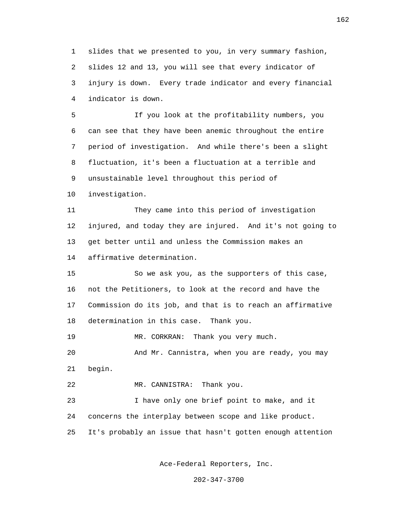1 slides that we presented to you, in very summary fashion, 2 slides 12 and 13, you will see that every indicator of 3 injury is down. Every trade indicator and every financial 4 indicator is down.

 5 If you look at the profitability numbers, you 6 can see that they have been anemic throughout the entire 7 period of investigation. And while there's been a slight 8 fluctuation, it's been a fluctuation at a terrible and 9 unsustainable level throughout this period of

10 investigation.

 11 They came into this period of investigation 12 injured, and today they are injured. And it's not going to 13 get better until and unless the Commission makes an 14 affirmative determination.

 15 So we ask you, as the supporters of this case, 16 not the Petitioners, to look at the record and have the 17 Commission do its job, and that is to reach an affirmative 18 determination in this case. Thank you.

19 MR. CORKRAN: Thank you very much.

 20 And Mr. Cannistra, when you are ready, you may 21 begin.

22 MR. CANNISTRA: Thank you.

 23 I have only one brief point to make, and it 24 concerns the interplay between scope and like product. 25 It's probably an issue that hasn't gotten enough attention

Ace-Federal Reporters, Inc.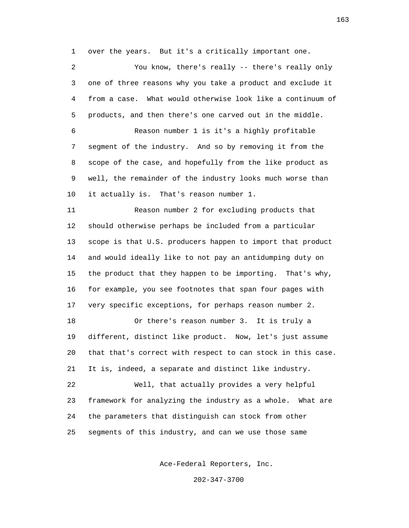1 over the years. But it's a critically important one.

 2 You know, there's really -- there's really only 3 one of three reasons why you take a product and exclude it 4 from a case. What would otherwise look like a continuum of 5 products, and then there's one carved out in the middle. 6 Reason number 1 is it's a highly profitable 7 segment of the industry. And so by removing it from the 8 scope of the case, and hopefully from the like product as 9 well, the remainder of the industry looks much worse than 10 it actually is. That's reason number 1.

 11 Reason number 2 for excluding products that 12 should otherwise perhaps be included from a particular 13 scope is that U.S. producers happen to import that product 14 and would ideally like to not pay an antidumping duty on 15 the product that they happen to be importing. That's why, 16 for example, you see footnotes that span four pages with 17 very specific exceptions, for perhaps reason number 2.

 18 Or there's reason number 3. It is truly a 19 different, distinct like product. Now, let's just assume 20 that that's correct with respect to can stock in this case. 21 It is, indeed, a separate and distinct like industry.

 22 Well, that actually provides a very helpful 23 framework for analyzing the industry as a whole. What are 24 the parameters that distinguish can stock from other 25 segments of this industry, and can we use those same

Ace-Federal Reporters, Inc.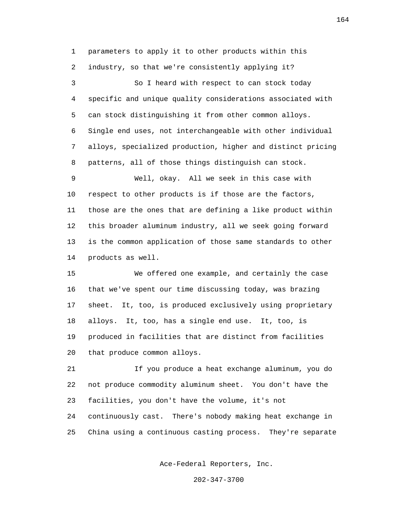1 parameters to apply it to other products within this 2 industry, so that we're consistently applying it? 3 So I heard with respect to can stock today 4 specific and unique quality considerations associated with 5 can stock distinguishing it from other common alloys. 6 Single end uses, not interchangeable with other individual 7 alloys, specialized production, higher and distinct pricing 8 patterns, all of those things distinguish can stock. 9 Well, okay. All we seek in this case with 10 respect to other products is if those are the factors, 11 those are the ones that are defining a like product within 12 this broader aluminum industry, all we seek going forward 13 is the common application of those same standards to other 14 products as well. 15 We offered one example, and certainly the case 16 that we've spent our time discussing today, was brazing 17 sheet. It, too, is produced exclusively using proprietary 18 alloys. It, too, has a single end use. It, too, is 19 produced in facilities that are distinct from facilities 20 that produce common alloys. 21 If you produce a heat exchange aluminum, you do

 22 not produce commodity aluminum sheet. You don't have the 23 facilities, you don't have the volume, it's not 24 continuously cast. There's nobody making heat exchange in 25 China using a continuous casting process. They're separate

Ace-Federal Reporters, Inc.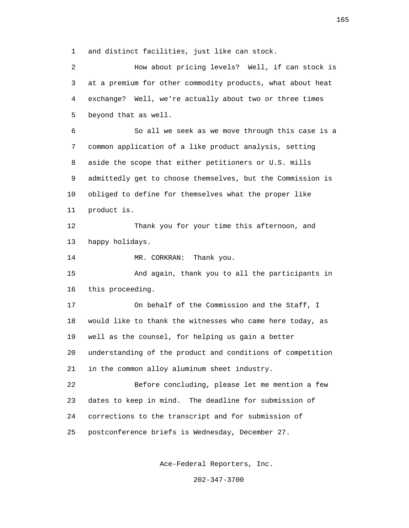1 and distinct facilities, just like can stock.

 2 How about pricing levels? Well, if can stock is 3 at a premium for other commodity products, what about heat 4 exchange? Well, we're actually about two or three times 5 beyond that as well.

 6 So all we seek as we move through this case is a 7 common application of a like product analysis, setting 8 aside the scope that either petitioners or U.S. mills 9 admittedly get to choose themselves, but the Commission is 10 obliged to define for themselves what the proper like 11 product is.

 12 Thank you for your time this afternoon, and 13 happy holidays.

14 MR. CORKRAN: Thank you.

 15 And again, thank you to all the participants in 16 this proceeding.

 17 On behalf of the Commission and the Staff, I 18 would like to thank the witnesses who came here today, as 19 well as the counsel, for helping us gain a better 20 understanding of the product and conditions of competition 21 in the common alloy aluminum sheet industry.

 22 Before concluding, please let me mention a few 23 dates to keep in mind. The deadline for submission of 24 corrections to the transcript and for submission of 25 postconference briefs is Wednesday, December 27.

Ace-Federal Reporters, Inc.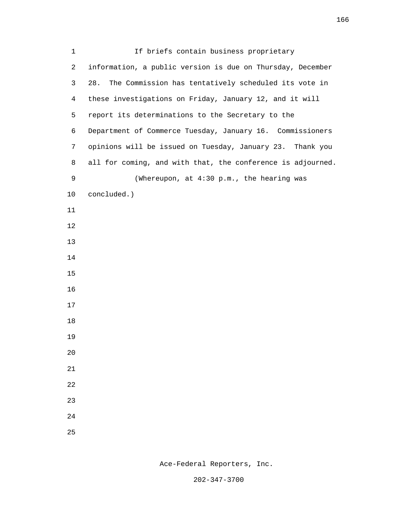| $\mathbf{1}$   | If briefs contain business proprietary                      |
|----------------|-------------------------------------------------------------|
| 2              | information, a public version is due on Thursday, December  |
| 3              | 28.<br>The Commission has tentatively scheduled its vote in |
| $\overline{4}$ | these investigations on Friday, January 12, and it will     |
| 5              | report its determinations to the Secretary to the           |
| 6              | Department of Commerce Tuesday, January 16. Commissioners   |
| 7              | opinions will be issued on Tuesday, January 23. Thank you   |
| 8              | all for coming, and with that, the conference is adjourned. |
| 9              | (Whereupon, at 4:30 p.m., the hearing was                   |
| 10             | concluded.)                                                 |
| 11             |                                                             |
| 12             |                                                             |
| 13             |                                                             |
| 14             |                                                             |
| 15             |                                                             |
| 16             |                                                             |
| 17             |                                                             |
| 18             |                                                             |
| 19             |                                                             |
| $20\,$         |                                                             |
| 21             |                                                             |
| 22             |                                                             |
| 23             |                                                             |
| 24             |                                                             |
| 25             |                                                             |

Ace-Federal Reporters, Inc.